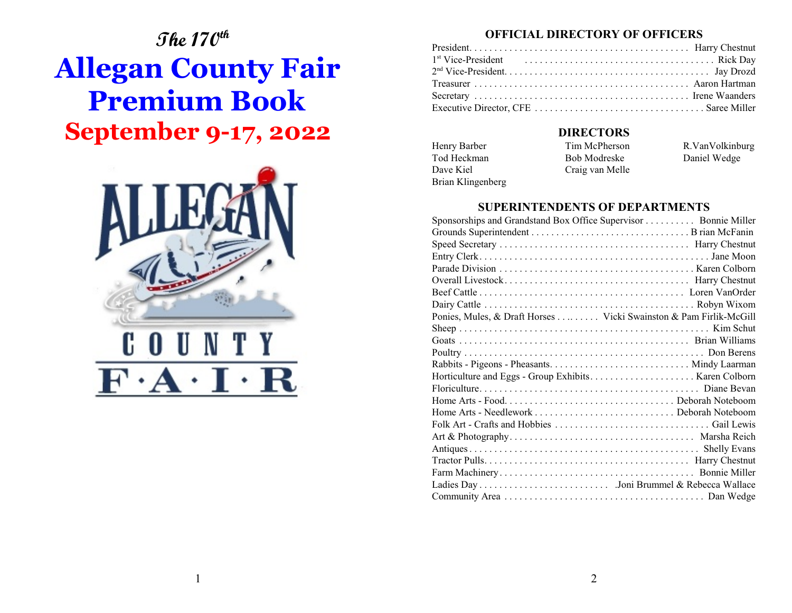# **The 170th Allegan County Fair Premium Book September 9-17, 2022**



# **OFFICIAL DIRECTORY OF OFFICERS**

# **DIRECTORS**

Brian Klingenberg

Henry Barber Tim McPherson R.VanVolkinburg Tod Heckman Bob Modreske Daniel Wedge Dave Kiel Craig van Melle

# **SUPERINTENDENTS OF DEPARTMENTS**

| Sponsorships and Grandstand Box Office Supervisor  Bonnie Miller  |  |
|-------------------------------------------------------------------|--|
|                                                                   |  |
|                                                                   |  |
|                                                                   |  |
|                                                                   |  |
|                                                                   |  |
|                                                                   |  |
|                                                                   |  |
| Ponies, Mules, & Draft Horses Vicki Swainston & Pam Firlik-McGill |  |
|                                                                   |  |
|                                                                   |  |
|                                                                   |  |
|                                                                   |  |
|                                                                   |  |
|                                                                   |  |
|                                                                   |  |
|                                                                   |  |
|                                                                   |  |
|                                                                   |  |
|                                                                   |  |
|                                                                   |  |
|                                                                   |  |
|                                                                   |  |
|                                                                   |  |
|                                                                   |  |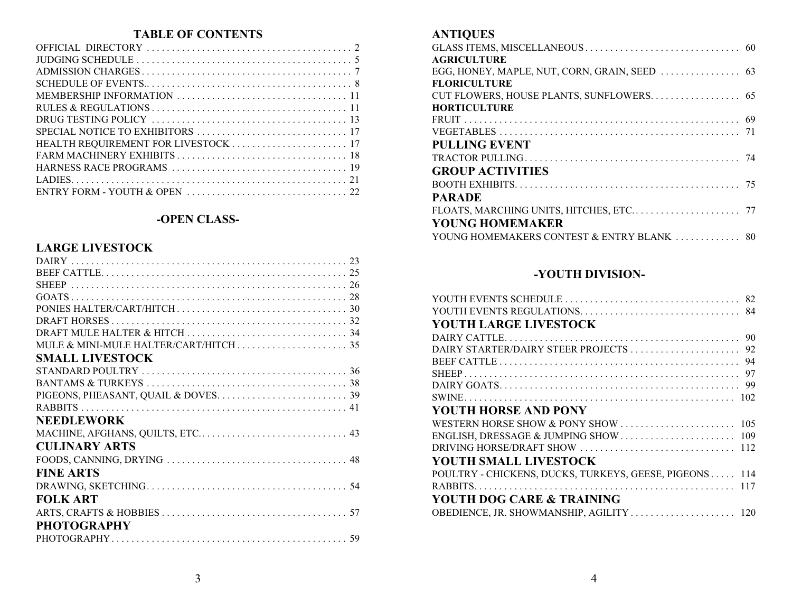# **TABLE OF CONTENTS**

# **-OPEN CLASS-**

# **LARGE LIVESTOCK**

# **ANTIQUES**

| <b>AGRICULTURE</b>                                                                                                                                |
|---------------------------------------------------------------------------------------------------------------------------------------------------|
|                                                                                                                                                   |
| <b>FLORICULTURE</b>                                                                                                                               |
|                                                                                                                                                   |
| <b>HORTICULTURE</b>                                                                                                                               |
|                                                                                                                                                   |
|                                                                                                                                                   |
| <b>PULLING EVENT</b>                                                                                                                              |
|                                                                                                                                                   |
| <b>GROUP ACTIVITIES</b>                                                                                                                           |
| BOOTH EXHIBITS. $\ldots$ , $\ldots$ , $\ldots$ , $\ldots$ , $\ldots$ , $\ldots$ , $\ldots$ , $\ldots$ , $\ldots$ , $\ldots$ , $\ldots$ , $\ldots$ |
| <b>PARADE</b>                                                                                                                                     |
|                                                                                                                                                   |
| <b>YOUNG HOMEMAKER</b>                                                                                                                            |
|                                                                                                                                                   |

# **-YOUTH DIVISION-**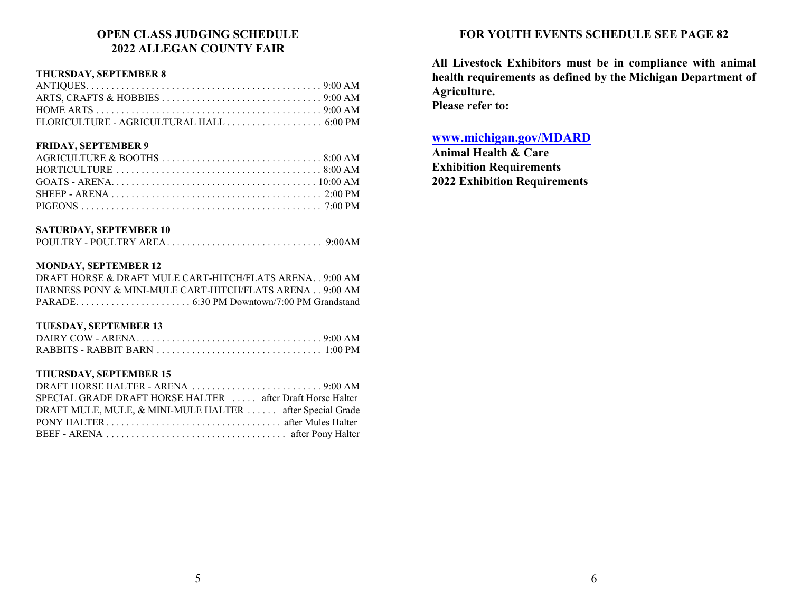# **OPEN CLASS JUDGING SCHEDULE 2022 ALLEGAN COUNTY FAIR**

### **THURSDAY, SEPTEMBER 8**

#### **FRIDAY, SEPTEMBER 9**

# **SATURDAY, SEPTEMBER 10**

#### **MONDAY, SEPTEMBER 12**

| DRAFT HORSE & DRAFT MULE CART-HITCH/FLATS ARENA9:00 AM  |  |  |  |
|---------------------------------------------------------|--|--|--|
| HARNESS PONY & MINI-MULE CART-HITCH/FLATS ARENA 9:00 AM |  |  |  |
|                                                         |  |  |  |

# **TUESDAY, SEPTEMBER 13**

#### **THURSDAY, SEPTEMBER 15**

| SPECIAL GRADE DRAFT HORSE HALTER  after Draft Horse Halter |  |
|------------------------------------------------------------|--|
| DRAFT MULE, MULE, & MINI-MULE HALTER  after Special Grade  |  |
|                                                            |  |
|                                                            |  |

# **FOR YOUTH EVENTS SCHEDULE SEE PAGE 82**

**All Livestock Exhibitors must be in compliance with animal health requirements as defined by the Michigan Department of Agriculture. Please refer to:**

# **[www.michigan.gov/MDARD](http://www.michigan.gov/MDARD)**

**Animal Health & Care Exhibition Requirements 2022 Exhibition Requirements**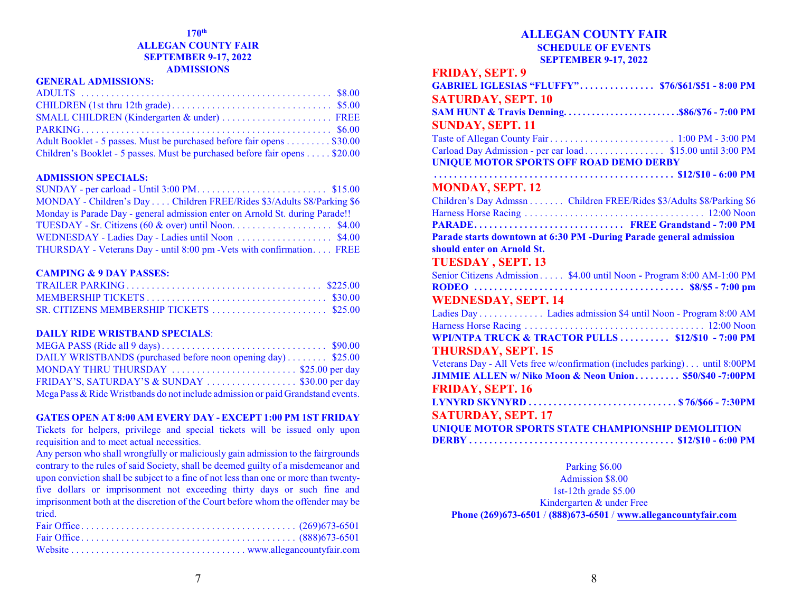#### **170 th ALLEGAN COUNTY FAIR SEPTEMBER 9-17, 2022 ADMISSIONS**

#### **GENERAL ADMISSIONS:**

| SMALL CHILDREN (Kindergarten & under)  FREE                                |  |
|----------------------------------------------------------------------------|--|
|                                                                            |  |
| Adult Booklet - 5 passes. Must be purchased before fair opens \$30.00      |  |
| Children's Booklet - 5 passes. Must be purchased before fair opens \$20.00 |  |

#### **ADMISSION SPECIALS:**

| MONDAY - Children's Day Children FREE/Rides \$3/Adults \$8/Parking \$6       |  |
|------------------------------------------------------------------------------|--|
| Monday is Parade Day - general admission enter on Arnold St. during Parade!! |  |
|                                                                              |  |
|                                                                              |  |
| THURSDAY - Veterans Day - until 8:00 pm - Vets with confirmation FREE        |  |

#### **CAMPING & 9 DAY PASSES:**

#### **DAILY RIDE WRISTBAND SPECIALS**:

| DAILY WRISTBANDS (purchased before noon opening day) \$25.00                    |  |
|---------------------------------------------------------------------------------|--|
| MONDAY THRU THURSDAY \$25.00 per day                                            |  |
|                                                                                 |  |
| Mega Pass & Ride Wristbands do not include admission or paid Grandstand events. |  |

#### **GATES OPEN AT 8:00 AM EVERY DAY - EXCEPT 1:00 PM 1ST FRIDAY**

Tickets for helpers, privilege and special tickets will be issued only upon requisition and to meet actual necessities.

Any person who shall wrongfully or maliciously gain admission to the fairgrounds contrary to the rules of said Society, shall be deemed guilty of a misdemeanor and upon conviction shall be subject to a fine of not less than one or more than twentyfive dollars or imprisonment not exceeding thirty days or such fine and imprisonment both at the discretion of the Court before whom the offender may be tried.

# **ALLEGAN COUNTY FAIR SCHEDULE OF EVENTS SEPTEMBER 9-17, 2022**

# **FRIDAY, SEPT. 9**

| GABRIEL IGLESIAS "FLUFFY" \$76/\$61/\$51 - 8:00 PM                                                     |  |
|--------------------------------------------------------------------------------------------------------|--|
| <b>SATURDAY, SEPT. 10</b>                                                                              |  |
| SAM HUNT & Travis Denning\$86/\$76 - 7:00 PM                                                           |  |
| <b>SUNDAY, SEPT. 11</b>                                                                                |  |
|                                                                                                        |  |
| Carload Day Admission - per car load \$15.00 until 3:00 PM                                             |  |
| <b>UNIQUE MOTOR SPORTS OFF ROAD DEMO DERBY</b>                                                         |  |
|                                                                                                        |  |
| <b>MONDAY, SEPT. 12</b>                                                                                |  |
| Children's Day Admssn Children FREE/Rides \$3/Adults \$8/Parking \$6                                   |  |
|                                                                                                        |  |
| PARADE FREE Grandstand - 7:00 PM<br>Parade starts downtown at 6:30 PM -During Parade general admission |  |
| should enter on Arnold St.                                                                             |  |
| <b>TUESDAY, SEPT. 13</b>                                                                               |  |
| Senior Citizens Admission \$4.00 until Noon - Program 8:00 AM-1:00 PM                                  |  |
|                                                                                                        |  |
| <b>WEDNESDAY, SEPT. 14</b>                                                                             |  |
| Ladies Day Ladies admission \$4 until Noon - Program 8:00 AM                                           |  |
|                                                                                                        |  |
| WPI/NTPA TRUCK & TRACTOR PULLS  \$12/\$10 - 7:00 PM                                                    |  |
| <b>THURSDAY, SEPT. 15</b>                                                                              |  |
| Veterans Day - All Vets free w/confirmation (includes parking) until 8:00PM                            |  |
| JIMMIE ALLEN w/ Niko Moon & Neon Union \$50/\$40 -7:00PM                                               |  |
| <b>FRIDAY, SEPT. 16</b>                                                                                |  |
|                                                                                                        |  |
| <b>SATURDAY, SEPT. 17</b>                                                                              |  |
| UNIQUE MOTOR SPORTS STATE CHAMPIONSHIP DEMOLITION                                                      |  |
|                                                                                                        |  |

Parking \$6.00 Admission \$8.00 1st-12th grade \$5.00 Kindergarten & under Free **Phone (269)673-6501** / **(888)673-6501** / **[www.allegancountyfair.com](http://www.allegancountyfair.com)**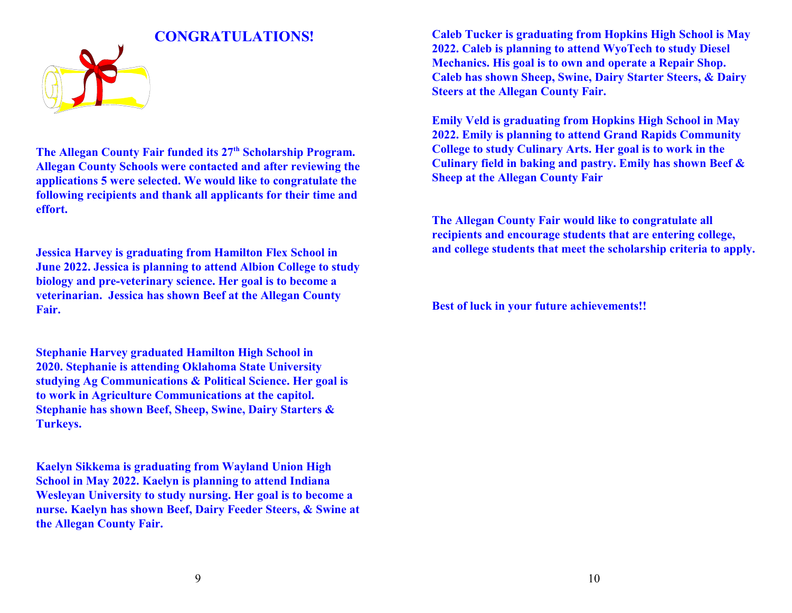

**The Allegan County Fair funded its 27th Scholarship Program. Allegan County Schools were contacted and after reviewing the applications 5 were selected. We would like to congratulate the following recipients and thank all applicants for their time and effort.**

**Jessica Harvey is graduating from Hamilton Flex School in June 2022. Jessica is planning to attend Albion College to study biology and pre-veterinary science. Her goal is to become a veterinarian. Jessica has shown Beef at the Allegan County Fair.**

**Stephanie Harvey graduated Hamilton High School in 2020. Stephanie is attending Oklahoma State University studying Ag Communications & Political Science. Her goal is to work in Agriculture Communications at the capitol. Stephanie has shown Beef, Sheep, Swine, Dairy Starters & Turkeys.** 

**Kaelyn Sikkema is graduating from Wayland Union High School in May 2022. Kaelyn is planning to attend Indiana Wesleyan University to study nursing. Her goal is to become a nurse. Kaelyn has shown Beef, Dairy Feeder Steers, & Swine at the Allegan County Fair.**

**Caleb Tucker is graduating from Hopkins High School is May 2022. Caleb is planning to attend WyoTech to study Diesel Mechanics. His goal is to own and operate a Repair Shop. Caleb has shown Sheep, Swine, Dairy Starter Steers, & Dairy Steers at the Allegan County Fair.**

**Emily Veld is graduating from Hopkins High School in May 2022. Emily is planning to attend Grand Rapids Community College to study Culinary Arts. Her goal is to work in the Culinary field in baking and pastry. Emily has shown Beef & Sheep at the Allegan County Fair**

**The Allegan County Fair would like to congratulate all recipients and encourage students that are entering college, and college students that meet the scholarship criteria to apply.**

**Best of luck in your future achievements!!**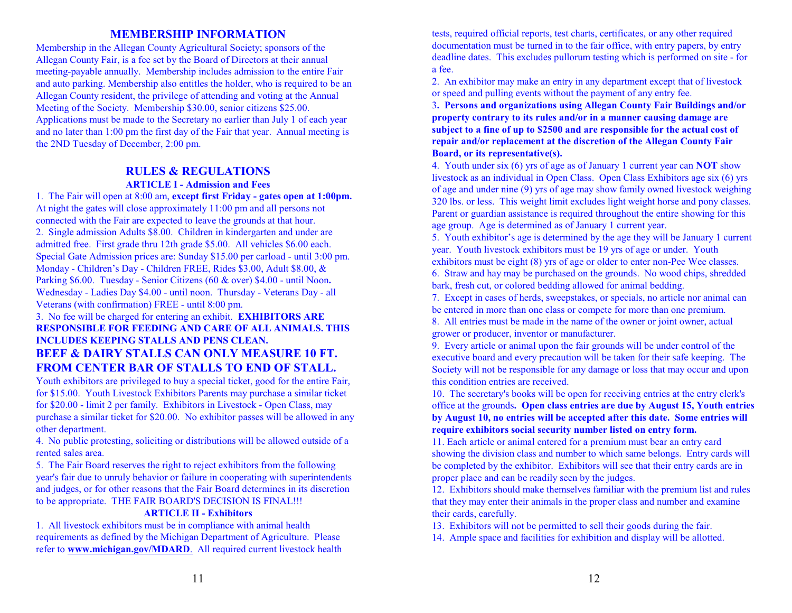# **MEMBERSHIP INFORMATION**

Membership in the Allegan County Agricultural Society; sponsors of the Allegan County Fair, is a fee set by the Board of Directors at their annual meeting-payable annually. Membership includes admission to the entire Fair and auto parking. Membership also entitles the holder, who is required to be an Allegan County resident, the privilege of attending and voting at the Annual Meeting of the Society. Membership \$30.00, senior citizens \$25.00. Applications must be made to the Secretary no earlier than July 1 of each year and no later than 1:00 pm the first day of the Fair that year. Annual meeting is the 2ND Tuesday of December, 2:00 pm.

# **RULES & REGULATIONS ARTICLE I - Admission and Fees**

1. The Fair will open at 8:00 am, **except first Friday - gates open at 1:00pm.**  At night the gates will close approximately 11:00 pm and all persons not connected with the Fair are expected to leave the grounds at that hour. 2. Single admission Adults \$8.00. Children in kindergarten and under are admitted free. First grade thru 12th grade \$5.00. All vehicles \$6.00 each. Special Gate Admission prices are: Sunday \$15.00 per carload - until 3:00 pm. Monday - Children's Day - Children FREE, Rides \$3.00, Adult \$8.00, & Parking \$6.00. Tuesday - Senior Citizens (60 & over) \$4.00 - until Noon**.** Wednesday - Ladies Day \$4.00 - until noon. Thursday - Veterans Day - all Veterans (with confirmation) FREE - until 8:00 pm.

# 3. No fee will be charged for entering an exhibit. **EXHIBITORS ARE RESPONSIBLE FOR FEEDING AND CARE OF ALL ANIMALS. THIS INCLUDES KEEPING STALLS AND PENS CLEAN. BEEF & DAIRY STALLS CAN ONLY MEASURE 10 FT. FROM CENTER BAR OF STALLS TO END OF STALL.**

Youth exhibitors are privileged to buy a special ticket, good for the entire Fair, for \$15.00. Youth Livestock Exhibitors Parents may purchase a similar ticket for \$20.00 - limit 2 per family. Exhibitors in Livestock - Open Class, may purchase a similar ticket for \$20.00. No exhibitor passes will be allowed in any other department.

4. No public protesting, soliciting or distributions will be allowed outside of a rented sales area.

5. The Fair Board reserves the right to reject exhibitors from the following year's fair due to unruly behavior or failure in cooperating with superintendents and judges, or for other reasons that the Fair Board determines in its discretion to be appropriate. THE FAIR BOARD'S DECISION IS FINAL!!!

#### **ARTICLE II - Exhibitors**

1. All livestock exhibitors must be in compliance with animal health requirements as defined by the Michigan Department of Agriculture. Please refer to **[www.michigan.gov/MDARD](http://www.michigan.gov/MDARD.)**. All required current livestock health

tests, required official reports, test charts, certificates, or any other required documentation must be turned in to the fair office, with entry papers, by entry deadline dates. This excludes pullorum testing which is performed on site - for a fee.

2. An exhibitor may make an entry in any department except that of livestock or speed and pulling events without the payment of any entry fee.

3**. Persons and organizations using Allegan County Fair Buildings and/or property contrary to its rules and/or in a manner causing damage are subject to a fine of up to \$2500 and are responsible for the actual cost of repair and/or replacement at the discretion of the Allegan County Fair Board, or its representative(s).**

4. Youth under six (6) yrs of age as of January 1 current year can **NOT** show livestock as an individual in Open Class. Open Class Exhibitors age six (6) yrs of age and under nine (9) yrs of age may show family owned livestock weighing 320 lbs. or less. This weight limit excludes light weight horse and pony classes. Parent or guardian assistance is required throughout the entire showing for this age group. Age is determined as of January 1 current year.

5. Youth exhibitor's age is determined by the age they will be January 1 current year. Youth livestock exhibitors must be 19 yrs of age or under. Youth exhibitors must be eight (8) yrs of age or older to enter non-Pee Wee classes.

6. Straw and hay may be purchased on the grounds. No wood chips, shredded bark, fresh cut, or colored bedding allowed for animal bedding.

7. Except in cases of herds, sweepstakes, or specials, no article nor animal can be entered in more than one class or compete for more than one premium.

8. All entries must be made in the name of the owner or joint owner, actual grower or producer, inventor or manufacturer.

9. Every article or animal upon the fair grounds will be under control of the executive board and every precaution will be taken for their safe keeping. The Society will not be responsible for any damage or loss that may occur and upon this condition entries are received.

10. The secretary's books will be open for receiving entries at the entry clerk's office at the grounds**. Open class entries are due by August 15, Youth entries by August 10, no entries will be accepted after this date. Some entries will require exhibitors social security number listed on entry form.**

11. Each article or animal entered for a premium must bear an entry card showing the division class and number to which same belongs. Entry cards will be completed by the exhibitor. Exhibitors will see that their entry cards are in proper place and can be readily seen by the judges.

12. Exhibitors should make themselves familiar with the premium list and rules that they may enter their animals in the proper class and number and examine their cards, carefully.

13. Exhibitors will not be permitted to sell their goods during the fair.

14. Ample space and facilities for exhibition and display will be allotted.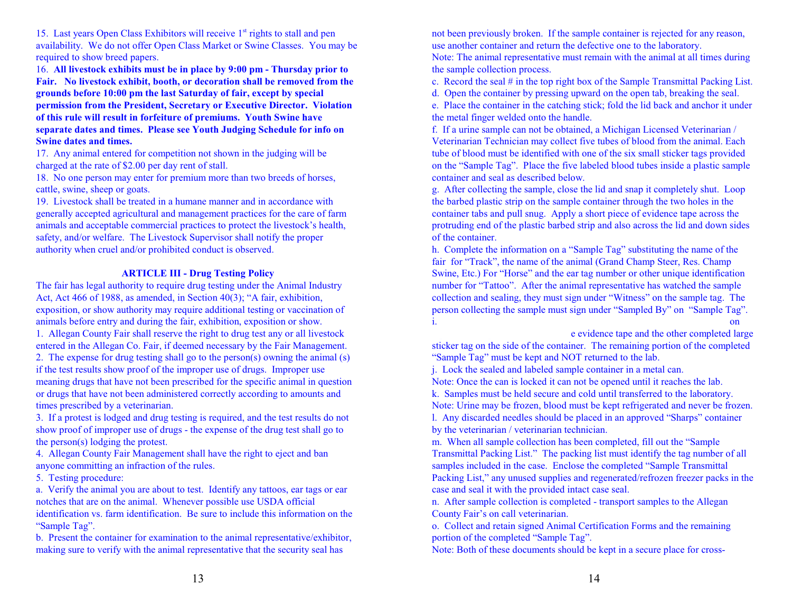15. Last years Open Class Exhibitors will receive 1<sup>st</sup> rights to stall and pen availability. We do not offer Open Class Market or Swine Classes. You may be required to show breed papers.

16. **All livestock exhibits must be in place by 9:00 pm - Thursday prior to Fair. No livestock exhibit, booth, or decoration shall be removed from the grounds before 10:00 pm the last Saturday of fair, except by special permission from the President, Secretary or Executive Director. Violation of this rule will result in forfeiture of premiums. Youth Swine have separate dates and times. Please see Youth Judging Schedule for info on Swine dates and times.**

17. Any animal entered for competition not shown in the judging will be charged at the rate of \$2.00 per day rent of stall.

18. No one person may enter for premium more than two breeds of horses, cattle, swine, sheep or goats.

19. Livestock shall be treated in a humane manner and in accordance with generally accepted agricultural and management practices for the care of farm animals and acceptable commercial practices to protect the livestock's health, safety, and/or welfare. The Livestock Supervisor shall notify the proper authority when cruel and/or prohibited conduct is observed.

### **ARTICLE III - Drug Testing Policy**

The fair has legal authority to require drug testing under the Animal Industry Act, Act 466 of 1988, as amended, in Section 40(3); "A fair, exhibition, exposition, or show authority may require additional testing or vaccination of animals before entry and during the fair, exhibition, exposition or show. 1. Allegan County Fair shall reserve the right to drug test any or all livestock entered in the Allegan Co. Fair, if deemed necessary by the Fair Management. 2. The expense for drug testing shall go to the person(s) owning the animal (s) if the test results show proof of the improper use of drugs. Improper use meaning drugs that have not been prescribed for the specific animal in question

or drugs that have not been administered correctly according to amounts and times prescribed by a veterinarian.

3. If a protest is lodged and drug testing is required, and the test results do not show proof of improper use of drugs - the expense of the drug test shall go to the person(s) lodging the protest.

4. Allegan County Fair Management shall have the right to eject and ban anyone committing an infraction of the rules.

5. Testing procedure:

a. Verify the animal you are about to test. Identify any tattoos, ear tags or ear notches that are on the animal. Whenever possible use USDA official identification vs. farm identification. Be sure to include this information on the "Sample Tag".

b. Present the container for examination to the animal representative/exhibitor, making sure to verify with the animal representative that the security seal has

not been previously broken. If the sample container is rejected for any reason, use another container and return the defective one to the laboratory.

Note: The animal representative must remain with the animal at all times during the sample collection process.

c. Record the seal # in the top right box of the Sample Transmittal Packing List.

d. Open the container by pressing upward on the open tab, breaking the seal.

e. Place the container in the catching stick; fold the lid back and anchor it under the metal finger welded onto the handle.

f. If a urine sample can not be obtained, a Michigan Licensed Veterinarian / Veterinarian Technician may collect five tubes of blood from the animal. Each tube of blood must be identified with one of the six small sticker tags provided on the "Sample Tag". Place the five labeled blood tubes inside a plastic sample container and seal as described below.

g. After collecting the sample, close the lid and snap it completely shut. Loop the barbed plastic strip on the sample container through the two holes in the container tabs and pull snug. Apply a short piece of evidence tape across the protruding end of the plastic barbed strip and also across the lid and down sides of the container.

h. Complete the information on a "Sample Tag" substituting the name of the fair for "Track", the name of the animal (Grand Champ Steer, Res. Champ Swine, Etc.) For "Horse" and the ear tag number or other unique identification number for "Tattoo". After the animal representative has watched the sample collection and sealing, they must sign under "Witness" on the sample tag. The person collecting the sample must sign under "Sampled By" on "Sample Tag". i. Place one completed large sticker tag from the top of the top of the top of the top of the "Sample Tag" one

the evidence tape and the other completed large

sticker tag on the side of the container. The remaining portion of the completed "Sample Tag" must be kept and NOT returned to the lab.

j. Lock the sealed and labeled sample container in a metal can.

Note: Once the can is locked it can not be opened until it reaches the lab. k. Samples must be held secure and cold until transferred to the laboratory. Note: Urine may be frozen, blood must be kept refrigerated and never be frozen. l. Any discarded needles should be placed in an approved "Sharps" container by the veterinarian / veterinarian technician.

m. When all sample collection has been completed, fill out the "Sample Transmittal Packing List." The packing list must identify the tag number of all samples included in the case. Enclose the completed "Sample Transmittal Packing List," any unused supplies and regenerated/refrozen freezer packs in the case and seal it with the provided intact case seal.

n. After sample collection is completed - transport samples to the Allegan County Fair's on call veterinarian.

o. Collect and retain signed Animal Certification Forms and the remaining portion of the completed "Sample Tag".

Note: Both of these documents should be kept in a secure place for cross-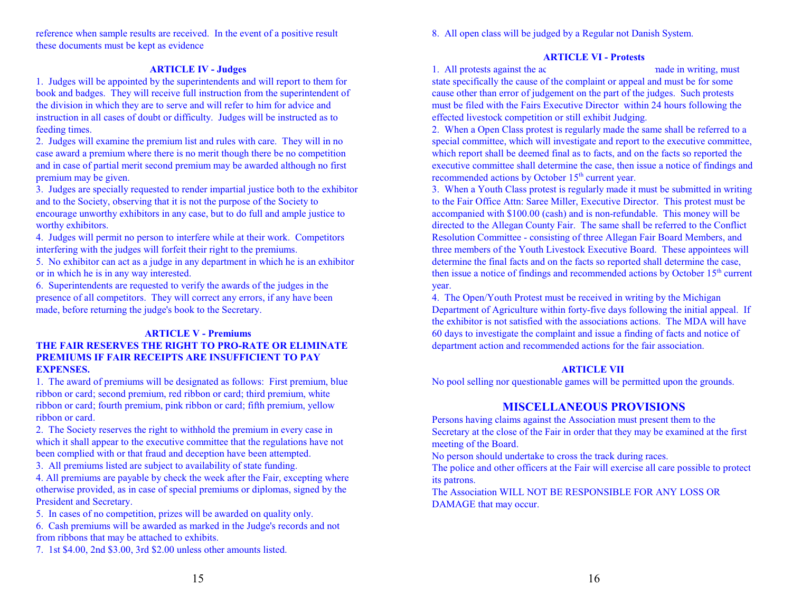8. All open class will be judged by a Regular not Danish System.

reference when sample results are received. In the event of a positive result these documents must be kept as evidence

# **ARTICLE IV - Judges**

1. Judges will be appointed by the superintendents and will report to them for book and badges. They will receive full instruction from the superintendent of the division in which they are to serve and will refer to him for advice and instruction in all cases of doubt or difficulty. Judges will be instructed as to feeding times.

2. Judges will examine the premium list and rules with care. They will in no case award a premium where there is no merit though there be no competition and in case of partial merit second premium may be awarded although no first premium may be given.

3. Judges are specially requested to render impartial justice both to the exhibitor and to the Society, observing that it is not the purpose of the Society to encourage unworthy exhibitors in any case, but to do full and ample justice to worthy exhibitors.

4. Judges will permit no person to interfere while at their work. Competitors interfering with the judges will forfeit their right to the premiums.

5. No exhibitor can act as a judge in any department in which he is an exhibitor or in which he is in any way interested.

6. Superintendents are requested to verify the awards of the judges in the presence of all competitors. They will correct any errors, if any have been made, before returning the judge's book to the Secretary.

## **ARTICLE V - Premiums THE FAIR RESERVES THE RIGHT TO PRO-RATE OR ELIMINATE PREMIUMS IF FAIR RECEIPTS ARE INSUFFICIENT TO PAY EXPENSES.**

1. The award of premiums will be designated as follows: First premium, blue ribbon or card; second premium, red ribbon or card; third premium, white ribbon or card; fourth premium, pink ribbon or card; fifth premium, yellow ribbon or card.

2. The Society reserves the right to withhold the premium in every case in which it shall appear to the executive committee that the regulations have not been complied with or that fraud and deception have been attempted.

3. All premiums listed are subject to availability of state funding.

4. All premiums are payable by check the week after the Fair, excepting where otherwise provided, as in case of special premiums or diplomas, signed by the President and Secretary.

5. In cases of no competition, prizes will be awarded on quality only.

6. Cash premiums will be awarded as marked in the Judge's records and not from ribbons that may be attached to exhibits.

7. 1st \$4.00, 2nd \$3.00, 3rd \$2.00 unless other amounts listed.

#### **ARTICLE VI - Protests**

1. All protests against the action of the made in writing, must be made in writing, must state specifically the cause of the complaint or appeal and must be for some cause other than error of judgement on the part of the judges. Such protests must be filed with the Fairs Executive Director within 24 hours following the effected livestock competition or still exhibit Judging.

2. When a Open Class protest is regularly made the same shall be referred to a special committee, which will investigate and report to the executive committee, which report shall be deemed final as to facts, and on the facts so reported the executive committee shall determine the case, then issue a notice of findings and recommended actions by October 15<sup>th</sup> current year.

3. When a Youth Class protest is regularly made it must be submitted in writing to the Fair Office Attn: Saree Miller, Executive Director. This protest must be accompanied with \$100.00 (cash) and is non-refundable. This money will be directed to the Allegan County Fair. The same shall be referred to the Conflict Resolution Committee - consisting of three Allegan Fair Board Members, and three members of the Youth Livestock Executive Board. These appointees will determine the final facts and on the facts so reported shall determine the case, then issue a notice of findings and recommended actions by October 15<sup>th</sup> current year.

4. The Open/Youth Protest must be received in writing by the Michigan Department of Agriculture within forty-five days following the initial appeal. If the exhibitor is not satisfied with the associations actions. The MDA will have 60 days to investigate the complaint and issue a finding of facts and notice of department action and recommended actions for the fair association.

# **ARTICLE VII**

No pool selling nor questionable games will be permitted upon the grounds.

# **MISCELLANEOUS PROVISIONS**

Persons having claims against the Association must present them to the Secretary at the close of the Fair in order that they may be examined at the first meeting of the Board.

No person should undertake to cross the track during races.

The police and other officers at the Fair will exercise all care possible to protect its patrons.

The Association WILL NOT BE RESPONSIBLE FOR ANY LOSS OR DAMAGE that may occur.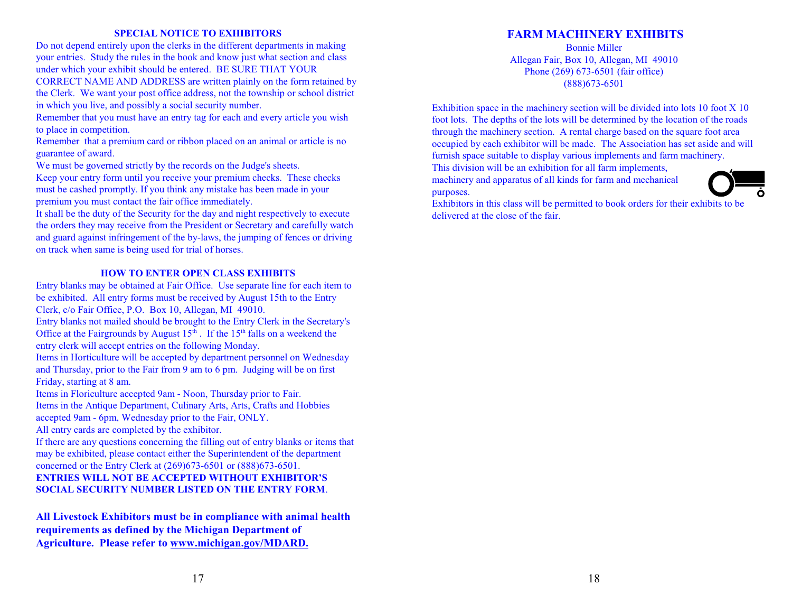#### **SPECIAL NOTICE TO EXHIBITORS**

Do not depend entirely upon the clerks in the different departments in making your entries. Study the rules in the book and know just what section and class under which your exhibit should be entered. BE SURE THAT YOUR CORRECT NAME AND ADDRESS are written plainly on the form retained by the Clerk. We want your post office address, not the township or school district in which you live, and possibly a social security number.

Remember that you must have an entry tag for each and every article you wish to place in competition.

Remember that a premium card or ribbon placed on an animal or article is no guarantee of award.

We must be governed strictly by the records on the Judge's sheets.

Keep your entry form until you receive your premium checks. These checks must be cashed promptly. If you think any mistake has been made in your premium you must contact the fair office immediately.

It shall be the duty of the Security for the day and night respectively to execute the orders they may receive from the President or Secretary and carefully watch and guard against infringement of the by-laws, the jumping of fences or driving on track when same is being used for trial of horses.

#### **HOW TO ENTER OPEN CLASS EXHIBITS**

Entry blanks may be obtained at Fair Office. Use separate line for each item to be exhibited. All entry forms must be received by August 15th to the Entry Clerk, c/o Fair Office, P.O. Box 10, Allegan, MI 49010.

Entry blanks not mailed should be brought to the Entry Clerk in the Secretary's Office at the Fairgrounds by August  $15<sup>th</sup>$ . If the  $15<sup>th</sup>$  falls on a weekend the entry clerk will accept entries on the following Monday.

Items in Horticulture will be accepted by department personnel on Wednesday and Thursday, prior to the Fair from 9 am to 6 pm. Judging will be on first Friday, starting at 8 am.

Items in Floriculture accepted 9am - Noon, Thursday prior to Fair. Items in the Antique Department, Culinary Arts, Arts, Crafts and Hobbies accepted 9am - 6pm, Wednesday prior to the Fair, ONLY. All entry cards are completed by the exhibitor.

If there are any questions concerning the filling out of entry blanks or items that may be exhibited, please contact either the Superintendent of the department concerned or the Entry Clerk at (269)673-6501 or (888)673-6501.

# **ENTRIES WILL NOT BE ACCEPTED WITHOUT EXHIBITOR'S SOCIAL SECURITY NUMBER LISTED ON THE ENTRY FORM**.

**All Livestock Exhibitors must be in compliance with animal health requirements as defined by the Michigan Department of Agriculture. Please refer to [www.michigan.gov/MDARD.](http://www.michigan.gov/MDARD.)**

# **FARM MACHINERY EXHIBITS**

Bonnie Miller Allegan Fair, Box 10, Allegan, MI 49010 Phone (269) 673-6501 (fair office) (888)673-6501

Exhibition space in the machinery section will be divided into lots 10 foot X 10 foot lots. The depths of the lots will be determined by the location of the roads through the machinery section. A rental charge based on the square foot area occupied by each exhibitor will be made. The Association has set aside and will furnish space suitable to display various implements and farm machinery.

This division will be an exhibition for all farm implements,

machinery and apparatus of all kinds for farm and mechanical purposes.



Exhibitors in this class will be permitted to book orders for their exhibits to be delivered at the close of the fair.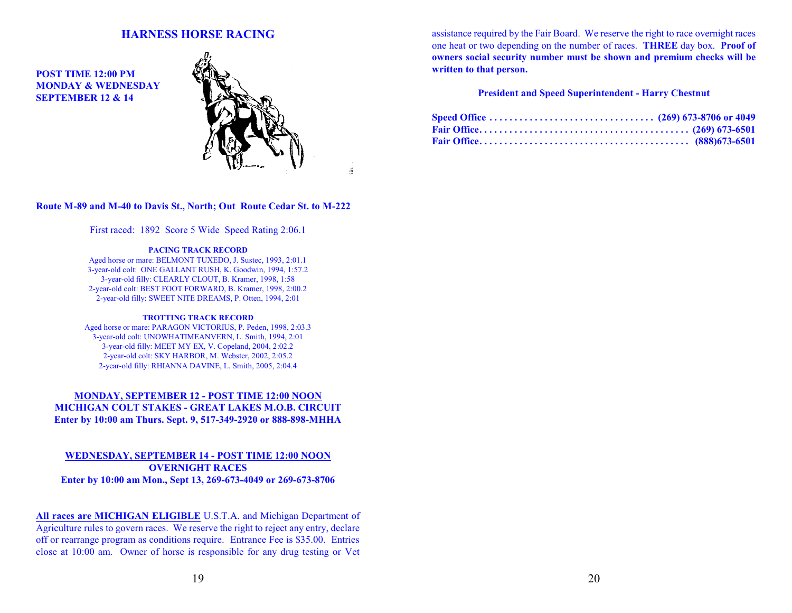# **HARNESS HORSE RACING**

**POST TIME 12:00 PM MONDAY & WEDNESDAY SEPTEMBER 12 & 14**



â

#### **Route M-89 and M-40 to Davis St., North; Out Route Cedar St. to M-222**

First raced: 1892 Score 5 Wide Speed Rating 2:06.1

#### **PACING TRACK RECORD**

Aged horse or mare: BELMONT TUXEDO, J. Sustec, 1993, 2:01.1 3-year-old colt: ONE GALLANT RUSH, K. Goodwin, 1994, 1:57.2 3-year-old filly: CLEARLY CLOUT, B. Kramer, 1998, 1:58 2-year-old colt: BEST FOOT FORWARD, B. Kramer, 1998, 2:00.2 2-year-old filly: SWEET NITE DREAMS, P. Otten, 1994, 2:01

#### **TROTTING TRACK RECORD**

Aged horse or mare: PARAGON VICTORIUS, P. Peden, 1998, 2:03.3 3-year-old colt: UNOWHATIMEANVERN, L. Smith, 1994, 2:01 3-year-old filly: MEET MY EX, V. Copeland, 2004, 2:02.2 2-year-old colt: SKY HARBOR, M. Webster, 2002, 2:05.2 2-year-old filly: RHIANNA DAVINE, L. Smith, 2005, 2:04.4

#### **MONDAY, SEPTEMBER 12 - POST TIME 12:00 NOON MICHIGAN COLT STAKES - GREAT LAKES M.O.B. CIRCUIT Enter by 10:00 am Thurs. Sept. 9, 517-349-2920 or 888-898-MHHA**

#### **WEDNESDAY, SEPTEMBER 14 - POST TIME 12:00 NOON OVERNIGHT RACES Enter by 10:00 am Mon., Sept 13, 269-673-4049 or 269-673-8706**

**All races are MICHIGAN ELIGIBLE** U.S.T.A. and Michigan Department of Agriculture rules to govern races. We reserve the right to reject any entry, declare off or rearrange program as conditions require. Entrance Fee is \$35.00. Entries close at 10:00 am. Owner of horse is responsible for any drug testing or Vet assistance required by the Fair Board. We reserve the right to race overnight races one heat or two depending on the number of races. **THREE** day box. **Proof of owners social security number must be shown and premium checks will be written to that person.**

#### **President and Speed Superintendent - Harry Chestnut**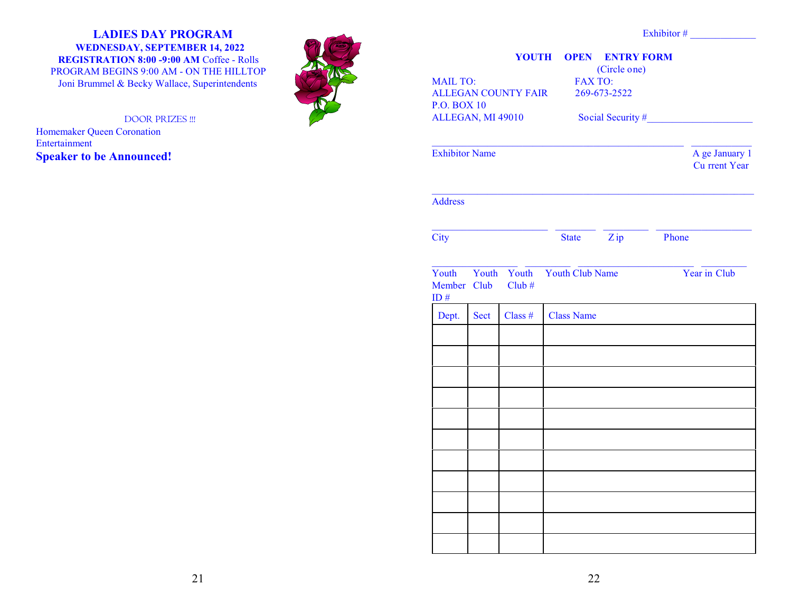# **LADIES DAY PROGRAM WEDNESDAY, SEPTEMBER 14, 2022**

**REGISTRATION 8:00 -9:00 AM** Coffee - Rolls PROGRAM BEGINS 9:00 AM - ON THE HILLTOP Joni Brummel & Becky Wallace, Superintendents

DOOR PRIZES !!!

Homemaker Queen Coronation Entertainment **Speaker to be Announced!**



| <b>MAIL TO:</b>                         |      |                            | <b>FAX TO:</b>                    | (Circle one) |                                        |  |
|-----------------------------------------|------|----------------------------|-----------------------------------|--------------|----------------------------------------|--|
|                                         |      | <b>ALLEGAN COUNTY FAIR</b> |                                   | 269-673-2522 |                                        |  |
| <b>P.O. BOX 10</b><br>ALLEGAN, MI 49010 |      |                            |                                   |              | Social Security #                      |  |
|                                         |      |                            |                                   |              |                                        |  |
| <b>Exhibitor Name</b>                   |      |                            |                                   |              | A ge January 1<br><b>Cu</b> rrent Year |  |
| <b>Address</b>                          |      |                            |                                   |              |                                        |  |
| <b>City</b>                             |      |                            |                                   | State Zip    | Phone                                  |  |
|                                         |      |                            |                                   |              |                                        |  |
| Member Club<br>ID $#$                   |      | $Club \#$                  | Youth Youth Youth Youth Club Name |              | Year in Club                           |  |
| Dept.                                   | Sect | Class $#$                  | <b>Class Name</b>                 |              |                                        |  |
|                                         |      |                            |                                   |              |                                        |  |
|                                         |      |                            |                                   |              |                                        |  |
|                                         |      |                            |                                   |              |                                        |  |
|                                         |      |                            |                                   |              |                                        |  |
|                                         |      |                            |                                   |              |                                        |  |
|                                         |      |                            |                                   |              |                                        |  |
|                                         |      |                            |                                   |              |                                        |  |
|                                         |      |                            |                                   |              |                                        |  |
|                                         |      |                            |                                   |              |                                        |  |
|                                         |      |                            |                                   |              |                                        |  |
|                                         |      |                            |                                   |              |                                        |  |
|                                         |      |                            |                                   |              |                                        |  |
|                                         |      |                            |                                   |              |                                        |  |

Exhibitor #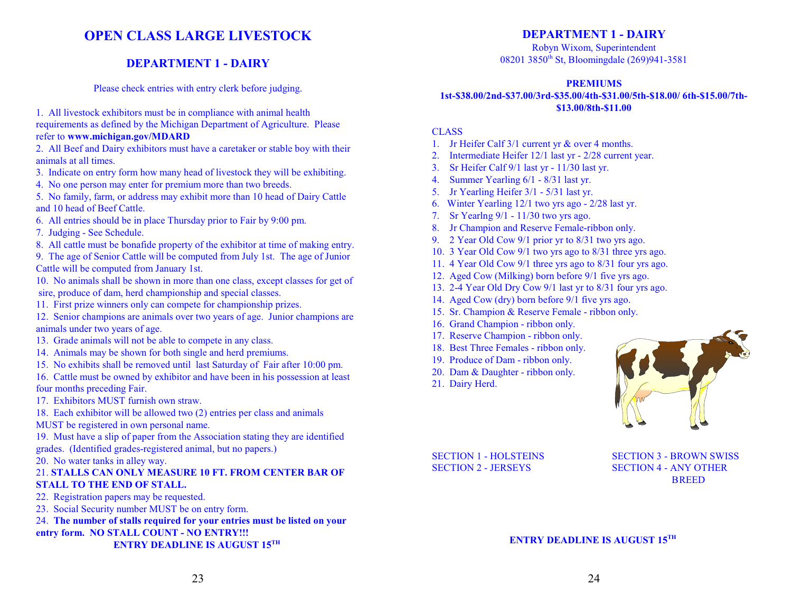# **OPEN CLASS LARGE LIVESTOCK**

# **DEPARTMENT 1 - DAIRY**

Please check entries with entry clerk before judging.

1. All livestock exhibitors must be in compliance with animal health

requirements as defined by the Michigan Department of Agriculture. Please refer to **www.michigan.gov/MDARD**

2. All Beef and Dairy exhibitors must have a caretaker or stable boy with their animals at all times.

- 3. Indicate on entry form how many head of livestock they will be exhibiting.
- 4. No one person may enter for premium more than two breeds.

5. No family, farm, or address may exhibit more than 10 head of Dairy Cattle and 10 head of Beef Cattle.

- 6. All entries should be in place Thursday prior to Fair by 9:00 pm.
- 7. Judging See Schedule.

8. All cattle must be bonafide property of the exhibitor at time of making entry.

9. The age of Senior Cattle will be computed from July 1st. The age of Junior Cattle will be computed from January 1st.

10. No animals shall be shown in more than one class, except classes for get of sire, produce of dam, herd championship and special classes.

11. First prize winners only can compete for championship prizes.

12. Senior champions are animals over two years of age. Junior champions are animals under two years of age.

- 13. Grade animals will not be able to compete in any class.
- 14. Animals may be shown for both single and herd premiums.
- 15. No exhibits shall be removed until last Saturday of Fair after 10:00 pm.

16. Cattle must be owned by exhibitor and have been in his possession at least four months preceding Fair.

17. Exhibitors MUST furnish own straw.

18. Each exhibitor will be allowed two (2) entries per class and animals

MUST be registered in own personal name.

19. Must have a slip of paper from the Association stating they are identified grades. (Identified grades-registered animal, but no papers.)

20. No water tanks in alley way.

# 21. **STALLS CAN ONLY MEASURE 10 FT. FROM CENTER BAR OF STALL TO THE END OF STALL.**

22. Registration papers may be requested.

23. Social Security number MUST be on entry form.

24. **The number of stalls required for your entries must be listed on your entry form. NO STALL COUNT - NO ENTRY!!! ENTRY DEADLINE IS AUGUST 15TH** 

# **DEPARTMENT 1 - DAIRY**

Robyn Wixom, Superintendent 08201 3850<sup>th</sup> St, Bloomingdale (269)941-3581

# **PREMIUMS**

# **1st-\$38.00/2nd-\$37.00/3rd-\$35.00/4th-\$31.00/5th-\$18.00/ 6th-\$15.00/7th- \$13.00/8th-\$11.00**

## CLASS

- 1. Jr Heifer Calf 3/1 current yr & over 4 months.
- 2. Intermediate Heifer 12/1 last yr 2/28 current year.
- 3. Sr Heifer Calf 9/1 last yr 11/30 last yr.
- 4. Summer Yearling 6/1 8/31 last yr.
- 5. Jr Yearling Heifer 3/1 5/31 last yr.
- 6. Winter Yearling 12/1 two yrs ago 2/28 last yr.
- 7. Sr Yearlng 9/1 11/30 two yrs ago.
- 8. Jr Champion and Reserve Female-ribbon only.
- 9. 2 Year Old Cow 9/1 prior yr to 8/31 two yrs ago.
- 10. 3 Year Old Cow 9/1 two yrs ago to 8/31 three yrs ago.
- 11. 4 Year Old Cow 9/1 three yrs ago to 8/31 four yrs ago.
- 12. Aged Cow (Milking) born before 9/1 five yrs ago.
- 13. 2-4 Year Old Dry Cow 9/1 last yr to 8/31 four yrs ago.
- 14. Aged Cow (dry) born before 9/1 five yrs ago.
- 15. Sr. Champion & Reserve Female ribbon only.
- 16. Grand Champion ribbon only.
- 17. Reserve Champion ribbon only.
- 18. Best Three Females ribbon only.
- 19. Produce of Dam ribbon only.
- 20. Dam & Daughter ribbon only.
- 21. Dairy Herd.



SECTION 1 - HOLSTEINS SECTION 3 - BROWN SWISS SECTION 2 - JERSEYS SECTION 4 - ANY OTHER **BREED**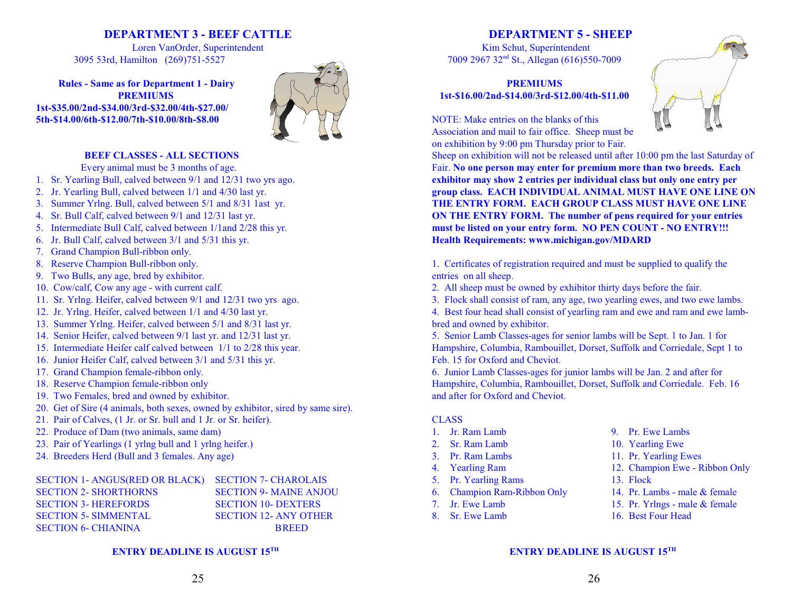# **DEPARTMENT 3 - BEEF CATTLE**

Loren VanOrder, Superintendent 3095 53rd, Hamilton (269)751-5527

**Rules - Same as for Department 1 - Dairy PREMIUMS 1st-\$35.00/2nd-\$34.00/3rd-\$32.00/4th-\$27.00/ 5th-\$14.00/6th-\$12.00/7th-\$10.00/8th-\$8.00**



### **BEEF CLASSES - ALL SECTIONS**

- Every animal must be 3 months of age.
- 1. Sr. Yearling Bull, calved between 9/1 and 12/31 two yrs ago.
- 2. Jr. Yearling Bull, calved between 1/1 and 4/30 last yr.
- 3. Summer Yrlng. Bull, calved between 5/1 and 8/31 1ast yr.
- 4. Sr. Bull Calf, calved between 9/1 and 12/31 last yr.
- 5. Intermediate Bull Calf, calved between 1/1and 2/28 this yr.
- 6. Jr. Bull Calf, calved between 3/1 and 5/31 this yr.
- 7. Grand Champion Bull-ribbon only.
- 8. Reserve Champion Bull-ribbon only.
- 9. Two Bulls, any age, bred by exhibitor.
- 10. Cow/calf, Cow any age with current calf.
- 11. Sr. Yrlng. Heifer, calved between 9/1 and 12/31 two yrs ago.
- 12. Jr. Yrlng. Heifer, calved between 1/1 and 4/30 last yr.
- 13. Summer Yrlng. Heifer, calved between 5/1 and 8/31 last yr.
- 14. Senior Heifer, calved between 9/1 last yr. and 12/31 last yr.
- 15. Intermediate Heifer calf calved between 1/1 to 2/28 this year.
- 16. Junior Heifer Calf, calved between 3/1 and 5/31 this yr.
- 17. Grand Champion female-ribbon only.
- 18. Reserve Champion female-ribbon only
- 19. Two Females, bred and owned by exhibitor.
- 20. Get of Sire (4 animals, both sexes, owned by exhibitor, sired by same sire).
- 21. Pair of Calves, (1 Jr. or Sr. bull and 1 Jr. or Sr. heifer).
- 22. Produce of Dam (two animals, same dam)
- 23. Pair of Yearlings (1 yrlng bull and 1 yrlng heifer.)
- 24. Breeders Herd (Bull and 3 females. Any age)

| SECTION 1- ANGUS(RED OR BLACK) SECTION 7- CHAROLAIS |                               |
|-----------------------------------------------------|-------------------------------|
| <b>SECTION 2- SHORTHORNS</b>                        | <b>SECTION 9- MAINE ANJOU</b> |
| <b>SECTION 3- HEREFORDS</b>                         | <b>SECTION 10- DEXTERS</b>    |
| <b>SECTION 5- SIMMENTAL</b>                         | <b>SECTION 12- ANY OTHER</b>  |
| <b>SECTION 6- CHIANINA</b>                          | <b>BREED</b>                  |

#### **ENTRY DEADLINE IS AUGUST 15TH**

# **DEPARTMENT 5 - SHEEP**

Kim Schut, Superintendent 7009 2967 32<sup>nd</sup> St., Allegan (616)550-7009

# **PREMIUMS 1st-\$16.00/2nd-\$14.00/3rd-\$12.00/4th-\$11.00**

NOTE: Make entries on the blanks of this Association and mail to fair office. Sheep must be on exhibition by 9:00 pm Thursday prior to Fair.



Sheep on exhibition will not be released until after 10:00 pm the last Saturday of Fair. **No one person may enter for premium more than two breeds. Each exhibitor may show 2 entries per individual class but only one entry per group class. EACH INDIVIDUAL ANIMAL MUST HAVE ONE LINE ON THE ENTRY FORM. EACH GROUP CLASS MUST HAVE ONE LINE ON THE ENTRY FORM. The number of pens required for your entries must be listed on your entry form. NO PEN COUNT - NO ENTRY!!! Health Requirements: www.michigan.gov/MDARD**

1. Certificates of registration required and must be supplied to qualify the entries on all sheep.

- 2. All sheep must be owned by exhibitor thirty days before the fair.
- 3. Flock shall consist of ram, any age, two yearling ewes, and two ewe lambs.

4. Best four head shall consist of yearling ram and ewe and ram and ewe lambbred and owned by exhibitor.

5. Senior Lamb Classes-ages for senior lambs will be Sept. 1 to Jan. 1 for Hampshire, Columbia, Rambouillet, Dorset, Suffolk and Corriedale, Sept 1 to Feb. 15 for Oxford and Cheviot.

6. Junior Lamb Classes-ages for junior lambs will be Jan. 2 and after for Hampshire, Columbia, Rambouillet, Dorset, Suffolk and Corriedale. Feb. 16 and after for Oxford and Cheviot.

#### CLASS

- 
- 2. Sr. Ram Lamb 10. Yearling Ewe
- 
- 
- 5. Pr. Yearling Rams 13. Flock
- 6. Champion Ram-Ribbon Only 14. Pr. Lambs male & female
- 
- 
- 1. Jr. Ram Lamb 9. Pr. Ewe Lambs
	-
- 3. Pr. Ram Lambs 11. Pr. Yearling Ewes
- 4. Yearling Ram 12. Champion Ewe Ribbon Only
	-
	-
- 7. Jr. Ewe Lamb 15. Pr. Yrlngs male & female
- 8. Sr. Ewe Lamb 16. Best Four Head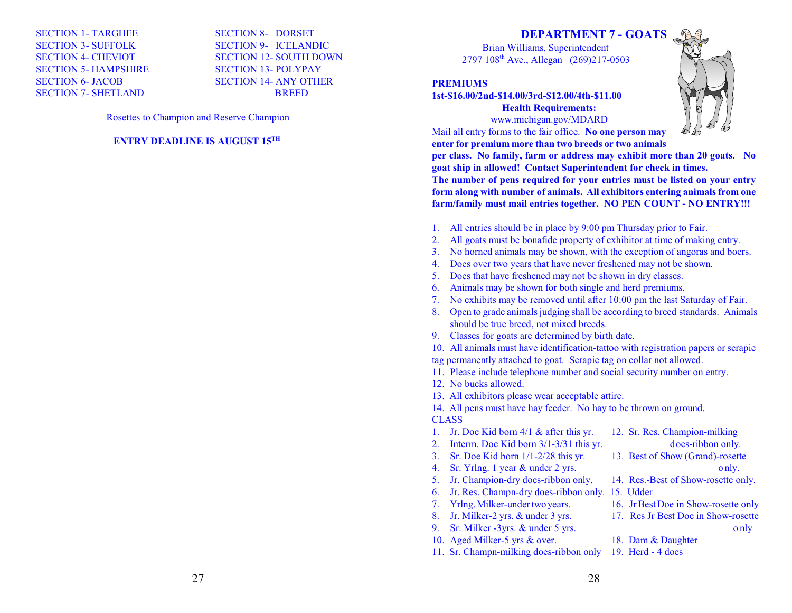SECTION 1- TARGHEE SECTION 8- DORSET SECTION 3- SUFFOLK SECTION 9- ICELANDIC SECTION 5- HAMPSHIRE SECTION 13- POLYPAY SECTION 6- JACOB SECTION 14- ANY OTHER SECTION 7- SHETLAND BREED

SECTION 4- CHEVIOT SECTION 12- SOUTH DOWN

Rosettes to Champion and Reserve Champion

#### **ENTRY DEADLINE IS AUGUST 15TH**

# **DEPARTMENT 7 - GOATS**

Brian Williams, Superintendent 2797 108<sup>th</sup> Ave., Allegan (269)217-0503

#### **PREMIUMS**

**1st-\$16.00/2nd-\$14.00/3rd-\$12.00/4th-\$11.00 Health Requirements:** www.michigan.gov/MDARD

Mail all entry forms to the fair office. **No one person may enter for premium more than two breeds or two animals**



**per class. No family, farm or address may exhibit more than 20 goats. No goat ship in allowed! Contact Superintendent for check in times. The number of pens required for your entries must be listed on your entry form along with number of animals. All exhibitors entering animals from one farm/family must mail entries together. NO PEN COUNT - NO ENTRY!!!**

- 1. All entries should be in place by 9:00 pm Thursday prior to Fair.
- 2. All goats must be bonafide property of exhibitor at time of making entry.
- 3. No horned animals may be shown, with the exception of angoras and boers.
- 4. Does over two years that have never freshened may not be shown.
- 5. Does that have freshened may not be shown in dry classes.
- 6. Animals may be shown for both single and herd premiums.
- 7. No exhibits may be removed until after 10:00 pm the last Saturday of Fair.
- 8. Open to grade animals judging shall be according to breed standards. Animals should be true breed, not mixed breeds.
- 9. Classes for goats are determined by birth date.

10. All animals must have identification-tattoo with registration papers or scrapie tag permanently attached to goat. Scrapie tag on collar not allowed.

- 11. Please include telephone number and social security number on entry.
- 12. No bucks allowed.
- 13. All exhibitors please wear acceptable attire.

14. All pens must have hay feeder. No hay to be thrown on ground.

#### CLASS

- 1. Jr. Doe Kid born 4/1 & after this yr. 12. Sr. Res. Champion-milking
	-
- 3. Sr. Doe Kid born 1/1-2/28 this yr. 13. Best of Show (Grand)-rosette
- 4. Sr. Yrlng. 1 year & under 2 yrs. o nly.
- 5. Jr. Champion-dry does-ribbon only. 14. Res.-Best of Show-rosette only.
- 6. Jr. Res. Champn-dry does-ribbon only. 15. Udder
- 
- 
- 
- 10. Aged Milker-5 yrs & over. 18. Dam & Daughter
- 11. Sr. Champn-milking does-ribbon only 19. Herd 4 does
- 2. Interm. Doe Kid born 3/1-3/31 this yr. does-ribbon only.
	-
	-
	-
- 7. Yrlng. Milker-under two years. 16. Jr Best Doe in Show-rosette only
- 8. Jr. Milker-2 yrs. & under 3 yrs. 17. Res Jr Best Doe in Show-rosette 9. Sr. Milker -3yrs. & under 5 yrs.  $\omega$  only
	-
	-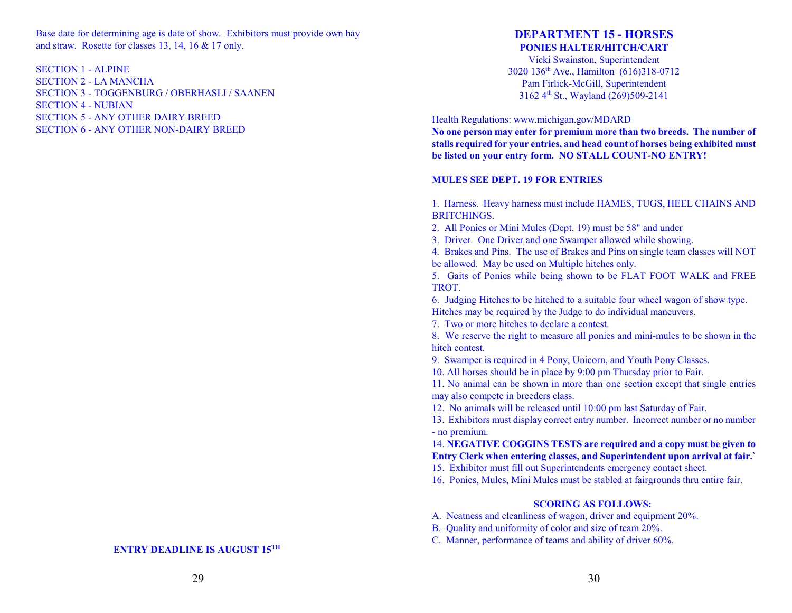Base date for determining age is date of show. Exhibitors must provide own hay and straw. Rosette for classes 13, 14, 16 & 17 only.

SECTION 1 - ALPINE SECTION 2 - LA MANCHA SECTION 3 - TOGGENBURG / OBERHASLI / SAANEN SECTION 4 - NUBIAN SECTION 5 - ANY OTHER DAIRY BREED SECTION 6 - ANY OTHER NON-DAIRY BREED

# **DEPARTMENT 15 - HORSES PONIES HALTER/HITCH/CART**

Vicki Swainston, Superintendent 3020 136<sup>th</sup> Ave., Hamilton (616)318-0712 Pam Firlick-McGill, Superintendent 3162 4<sup>th</sup> St., Wayland (269)509-2141

Health Regulations: www.michigan.gov/MDARD

**No one person may enter for premium more than two breeds. The number of stalls required for your entries, and head count of horses being exhibited must be listed on your entry form. NO STALL COUNT-NO ENTRY!**

#### **MULES SEE DEPT. 19 FOR ENTRIES**

1. Harness. Heavy harness must include HAMES, TUGS, HEEL CHAINS AND BRITCHINGS.

2. All Ponies or Mini Mules (Dept. 19) must be 58" and under

3. Driver. One Driver and one Swamper allowed while showing.

4. Brakes and Pins. The use of Brakes and Pins on single team classes will NOT be allowed. May be used on Multiple hitches only.

5. Gaits of Ponies while being shown to be FLAT FOOT WALK and FREE TROT.

6. Judging Hitches to be hitched to a suitable four wheel wagon of show type. Hitches may be required by the Judge to do individual maneuvers.

7. Two or more hitches to declare a contest.

8. We reserve the right to measure all ponies and mini-mules to be shown in the hitch contest.

9. Swamper is required in 4 Pony, Unicorn, and Youth Pony Classes.

10. All horses should be in place by 9:00 pm Thursday prior to Fair.

11. No animal can be shown in more than one section except that single entries may also compete in breeders class.

12. No animals will be released until 10:00 pm last Saturday of Fair.

13. Exhibitors must display correct entry number. Incorrect number or no number - no premium.

14. **NEGATIVE COGGINS TESTS are required and a copy must be given to Entry Clerk when entering classes, and Superintendent upon arrival at fair.`** 

15. Exhibitor must fill out Superintendents emergency contact sheet.

16. Ponies, Mules, Mini Mules must be stabled at fairgrounds thru entire fair.

#### **SCORING AS FOLLOWS:**

A. Neatness and cleanliness of wagon, driver and equipment 20%.

B. Quality and uniformity of color and size of team 20%.

C. Manner, performance of teams and ability of driver 60%.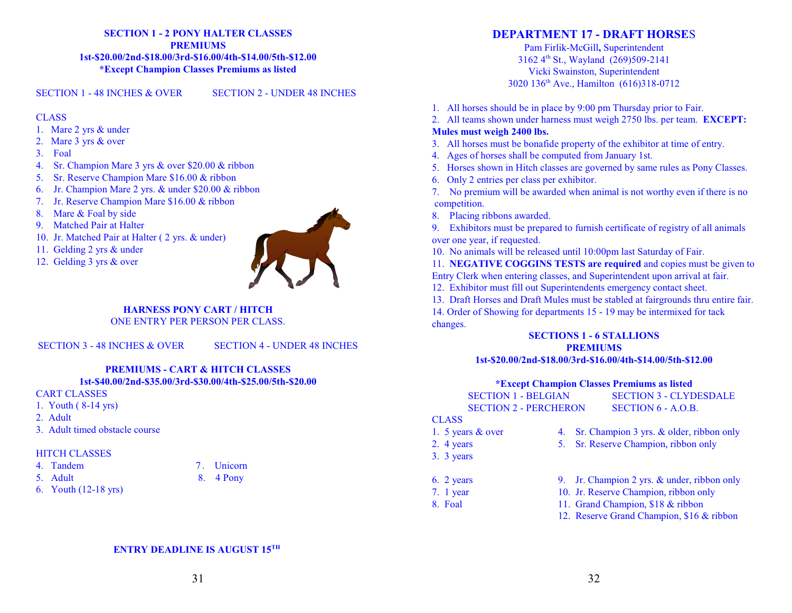#### **SECTION 1 - 2 PONY HALTER CLASSES PREMIUMS 1st-\$20.00/2nd-\$18.00/3rd-\$16.00/4th-\$14.00/5th-\$12.00 \*Except Champion Classes Premiums as listed**

SECTION 1 - 48 INCHES & OVER SECTION 2 - UNDER 48 INCHES

#### **CLASS**

- 1. Mare 2 yrs & under
- 2. Mare 3 yrs & over
- 3. Foal
- 4. Sr. Champion Mare 3 yrs & over \$20.00 & ribbon
- 5. Sr. Reserve Champion Mare \$16.00 & ribbon
- 6. Jr. Champion Mare 2 yrs. & under \$20.00 & ribbon
- 7. Jr. Reserve Champion Mare \$16.00 & ribbon
- 8. Mare & Foal by side
- 9. Matched Pair at Halter
- 10. Jr. Matched Pair at Halter ( 2 yrs. & under)
- 11. Gelding 2 yrs & under
- 12. Gelding 3 yrs & over



# **HARNESS PONY CART / HITCH**

ONE ENTRY PER PERSON PER CLASS.

SECTION 3 - 48 INCHES & OVER SECTION 4 - UNDER 48 INCHES

#### **PREMIUMS - CART & HITCH CLASSES 1st-\$40.00/2nd-\$35.00/3rd-\$30.00/4th-\$25.00/5th-\$20.00**

CART CLASSES

- 1. Youth ( 8-14 yrs)
- 2. Adult
- 3. Adult timed obstacle course

#### HITCH CLASSES

- 
- 
- 6. Youth (12-18 yrs)

# **DEPARTMENT 17 - DRAFT HORSE**S

Pam Firlik-McGill**,** Superintendent 3162 4<sup>th</sup> St., Wayland (269)509-2141 Vicki Swainston, Superintendent 3020 136<sup>th</sup> Ave., Hamilton (616)318-0712

- 1. All horses should be in place by 9:00 pm Thursday prior to Fair.
- 2. All teams shown under harness must weigh 2750 lbs. per team. **EXCEPT: Mules must weigh 2400 lbs.**

- 3. All horses must be bonafide property of the exhibitor at time of entry.
- 4. Ages of horses shall be computed from January 1st.
- 5. Horses shown in Hitch classes are governed by same rules as Pony Classes.
- 6. Only 2 entries per class per exhibitor.
- 7. No premium will be awarded when animal is not worthy even if there is no competition.
- 8. Placing ribbons awarded.
- 9. Exhibitors must be prepared to furnish certificate of registry of all animals over one year, if requested.
- 10. No animals will be released until 10:00pm last Saturday of Fair.

11. **NEGATIVE COGGINS TESTS are required** and copies must be given to Entry Clerk when entering classes, and Superintendent upon arrival at fair.

- 12. Exhibitor must fill out Superintendents emergency contact sheet.
- 13. Draft Horses and Draft Mules must be stabled at fairgrounds thru entire fair. 14. Order of Showing for departments 15 - 19 may be intermixed for tack changes.

#### **SECTIONS 1 - 6 STALLIONS PREMIUMS 1st-\$20.00/2nd-\$18.00/3rd-\$16.00/4th-\$14.00/5th-\$12.00**

#### **\*Except Champion Classes Premiums as listed**

| <b>SECTION 1 - BELGIAN</b>   | <b>SECTION 3 - CLYDESDALE</b>               |  |
|------------------------------|---------------------------------------------|--|
| <b>SECTION 2 - PERCHERON</b> | SECTION 6 - A.O.B.                          |  |
| CLASS.                       |                                             |  |
| 1. 5 years $&$ over          | 4. Sr. Champion 3 yrs. & older, ribbon only |  |

# $CLAS$ <br> $1.5$

- 2. 4 years 5. Sr. Reserve Champion, ribbon only
- 3. 3 years
	- -
	-
- 6. 2 years 9. Jr. Champion 2 yrs. & under, ribbon only
- 7. 1 year 10. Jr. Reserve Champion, ribbon only
- 8. Foal 11. Grand Champion, \$18 & ribbon
	- 12. Reserve Grand Champion, \$16 & ribbon

- 
- 
- 
- 
- 
- 
- 
- 
- 
- 
- -
- -
	-
	-
	-
- 
- 
- 
- -
- 
- -
- 4. Tandem 7. Unicorn
	- -
- -
- 5. Adult 8. 4 Pony
- 
-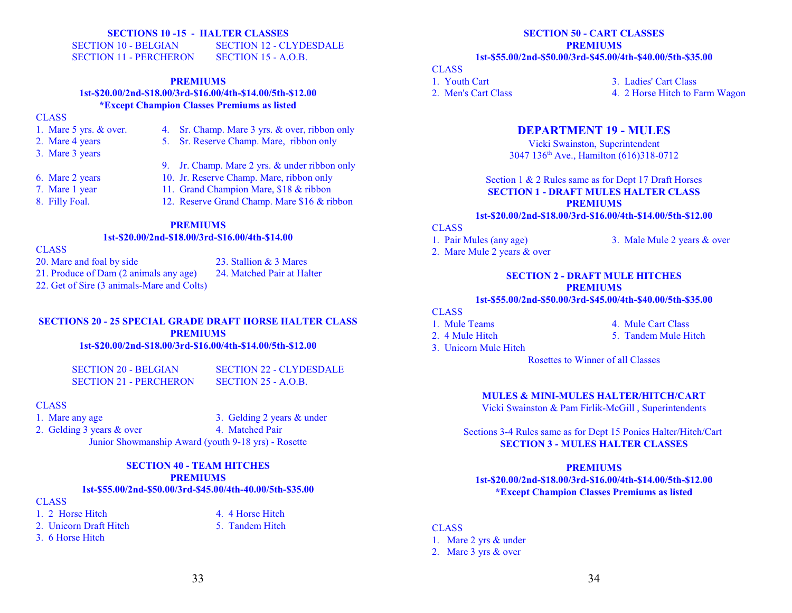#### **SECTIONS 10 -15 - HALTER CLASSES**

SECTION 10 - BELGIAN SECTION 12 - CLYDESDALE SECTION 11 - PERCHERON SECTION 15 - A.O.B.

#### **PREMIUMS 1st-\$20.00/2nd-\$18.00/3rd-\$16.00/4th-\$14.00/5th-\$12.00 \*Except Champion Classes Premiums as listed**

#### **CLASS**

- 1. Mare 5 yrs. & over. 4. Sr. Champ. Mare 3 yrs. & over, ribbon only
- 2. Mare 4 years 5. Sr. Reserve Champ. Mare, ribbon only
- 3. Mare 3 years
- 
- 
- 7. Mare 1 year 11. Grand Champion Mare, \$18 & ribbon
- 
- 6. Mare 2 years 10. Jr. Reserve Champ. Mare, ribbon only

9. Jr. Champ. Mare 2 yrs. & under ribbon only

- 8. Filly Foal. 12. Reserve Grand Champ. Mare \$16 & ribbon
	- **PREMIUMS**

#### **1st-\$20.00/2nd-\$18.00/3rd-\$16.00/4th-\$14.00**

CLASS

- 20. Mare and foal by side 23. Stallion & 3 Mares
- 21. Produce of Dam (2 animals any age) 24. Matched Pair at Halter
- 
- 22. Get of Sire (3 animals-Mare and Colts)

#### **SECTIONS 20 - 25 SPECIAL GRADE DRAFT HORSE HALTER CLASS PREMIUMS 1st-\$20.00/2nd-\$18.00/3rd-\$16.00/4th-\$14.00/5th-\$12.00**

SECTION 21 - PERCHERON SECTION 25 - A.O.B.

SECTION 20 - BELGIAN SECTION 22 - CLYDESDALE

#### CLASS

1. Mare any age 3. Gelding 2 years & under 2. Gelding 3 years & over 4. Matched Pair

Junior Showmanship Award (youth 9-18 yrs) - Rosette

# **SECTION 40 - TEAM HITCHES PREMIUMS**

#### **1st-\$55.00/2nd-\$50.00/3rd-\$45.00/4th-40.00/5th-\$35.00**

**CLASS** 

- 1. 2 Horse Hitch 4. 4 Horse Hitch
- 2. Unicorn Draft Hitch 5. Tandem Hitch
- 3. 6 Horse Hitch

#### **SECTION 50 - CART CLASSES PREMIUMS 1st-\$55.00/2nd-\$50.00/3rd-\$45.00/4th-\$40.00/5th-\$35.00**

#### **CLASS**

1. Youth Cart 3. Ladies' Cart Class 2. Men's Cart Class 2. Horse Hitch to Farm Wagon

# **DEPARTMENT 19 - MULES**

Vicki Swainston, Superintendent 3047 136<sup>th</sup> Ave., Hamilton (616)318-0712

Section 1 & 2 Rules same as for Dept 17 Draft Horses **SECTION 1 - DRAFT MULES HALTER CLASS PREMIUMS**

#### **1st-\$20.00/2nd-\$18.00/3rd-\$16.00/4th-\$14.00/5th-\$12.00**

# **CLASS**

- 
- 2. Mare Mule 2 years & over
- 1. Pair Mules (any age) 3. Male Mule 2 years & over

#### **SECTION 2 - DRAFT MULE HITCHES PREMIUMS**

#### **1st-\$55.00/2nd-\$50.00/3rd-\$45.00/4th-\$40.00/5th-\$35.00**

### **CLASS**

- 
- 1. Mule Teams 4. Mule Cart Class
- 2. 4 Mule Hitch 5. Tandem Mule Hitch
- 3. Unicorn Mule Hitch
	- Rosettes to Winner of all Classes

#### **MULES & MINI-MULES HALTER/HITCH/CART**

Vicki Swainston & Pam Firlik-McGill , Superintendents

Sections 3-4 Rules same as for Dept 15 Ponies Halter/Hitch/Cart **SECTION 3 - MULES HALTER CLASSES**

#### **PREMIUMS**

**1st-\$20.00/2nd-\$18.00/3rd-\$16.00/4th-\$14.00/5th-\$12.00 \*Except Champion Classes Premiums as listed**

#### CLASS

1. Mare 2 yrs & under 2. Mare 3 yrs & over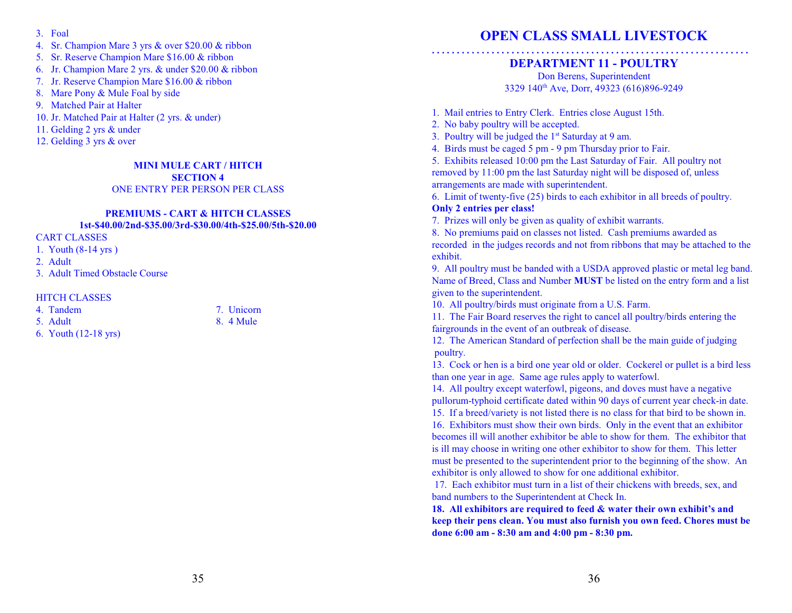- 3. Foal
- 4. Sr. Champion Mare 3 yrs & over \$20.00 & ribbon
- 5. Sr. Reserve Champion Mare \$16.00 & ribbon
- 6. Jr. Champion Mare 2 yrs. & under \$20.00 & ribbon
- 7. Jr. Reserve Champion Mare \$16.00 & ribbon
- 8. Mare Pony & Mule Foal by side
- 9. Matched Pair at Halter
- 10. Jr. Matched Pair at Halter (2 yrs. & under)
- 11. Gelding 2 yrs & under
- 12. Gelding 3 yrs & over

# **MINI MULE CART / HITCH SECTION 4**

### ONE ENTRY PER PERSON PER CLASS

#### **PREMIUMS - CART & HITCH CLASSES 1st-\$40.00/2nd-\$35.00/3rd-\$30.00/4th-\$25.00/5th-\$20.00**

#### CART CLASSES

- 1. Youth (8-14 yrs )
- 2. Adult
- 3. Adult Timed Obstacle Course

#### HITCH CLASSES

- 4. Tandem 7. Unicorn
- 5. Adult 8. 4 Mule
- 6. Youth (12-18 yrs)

# **OPEN CLASS SMALL LIVESTOCK**

# **. . . . . . . . . . . . . . . . . . . . . . . . . . . . . . . . . . . . . . . . . . . . . . . . . . . . . . . . . . . . . . . . DEPARTMENT 11 - POULTRY**

Don Berens, Superintendent 3329 140<sup>th</sup> Ave, Dorr, 49323 (616)896-9249

1. Mail entries to Entry Clerk. Entries close August 15th.

- 2. No baby poultry will be accepted.
- 3. Poultry will be judged the 1<sup>st</sup> Saturday at 9 am.
- 4. Birds must be caged 5 pm 9 pm Thursday prior to Fair.
- 5. Exhibits released 10:00 pm the Last Saturday of Fair. All poultry not removed by 11:00 pm the last Saturday night will be disposed of, unless arrangements are made with superintendent.

6. Limit of twenty-five (25) birds to each exhibitor in all breeds of poultry.

### **Only 2 entries per class!**

7. Prizes will only be given as quality of exhibit warrants.

8. No premiums paid on classes not listed. Cash premiums awarded as recorded in the judges records and not from ribbons that may be attached to the exhibit.

9. All poultry must be banded with a USDA approved plastic or metal leg band. Name of Breed, Class and Number **MUST** be listed on the entry form and a list given to the superintendent.

10. All poultry/birds must originate from a U.S. Farm.

11. The Fair Board reserves the right to cancel all poultry/birds entering the fairgrounds in the event of an outbreak of disease.

12. The American Standard of perfection shall be the main guide of judging poultry.

13. Cock or hen is a bird one year old or older. Cockerel or pullet is a bird less than one year in age. Same age rules apply to waterfowl.

14. All poultry except waterfowl, pigeons, and doves must have a negative pullorum-typhoid certificate dated within 90 days of current year check-in date.

15. If a breed/variety is not listed there is no class for that bird to be shown in. 16. Exhibitors must show their own birds. Only in the event that an exhibitor

becomes ill will another exhibitor be able to show for them. The exhibitor that is ill may choose in writing one other exhibitor to show for them. This letter must be presented to the superintendent prior to the beginning of the show. An exhibitor is only allowed to show for one additional exhibitor.

 17. Each exhibitor must turn in a list of their chickens with breeds, sex, and band numbers to the Superintendent at Check In.

**18. All exhibitors are required to feed & water their own exhibit's and keep their pens clean. You must also furnish you own feed. Chores must be done 6:00 am - 8:30 am and 4:00 pm - 8:30 pm.**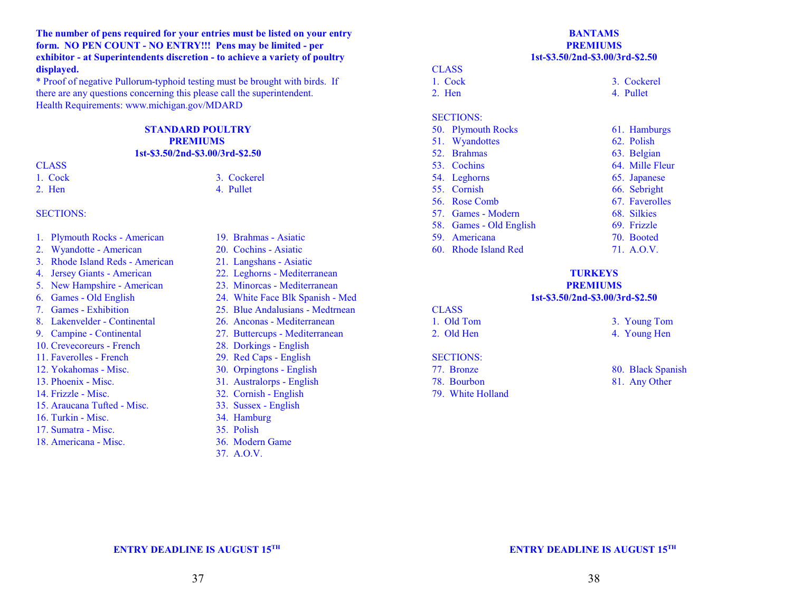**The number of pens required for your entries must be listed on your entry form. NO PEN COUNT - NO ENTRY!!! Pens may be limited - per exhibitor - at Superintendents discretion - to achieve a variety of poultry displayed.**

\* Proof of negative Pullorum-typhoid testing must be brought with birds. If there are any questions concerning this please call the superintendent. Health Requirements: www.michigan.gov/MDARD

#### **STANDARD POULTRY PREMIUMS 1st-\$3.50/2nd-\$3.00/3rd-\$2.50**

# **CLASS**

1. Cock 3. Cockerel

2. Hen 4. Pullet

#### SECTIONS:

- 1. Plymouth Rocks American 19. Brahmas Asiatic
- 2. Wyandotte American 20. Cochins Asiatic
- 3. Rhode Island Reds American 21. Langshans Asiatic
- 
- 
- 
- 
- 
- 
- 10. Crevecoreurs French 28. Dorkings English
- 11. Faverolles French 29. Red Caps English
- 
- 
- 
- 15. Araucana Tufted Misc. 33. Sussex English
- 16. Turkin Misc. 34. Hamburg
- 17. Sumatra Misc. 35. Polish
- 18. Americana Misc. 36. Modern Game
- 
- 
- 
- 4. Jersey Giants American 22. Leghorns Mediterranean
- 5. New Hampshire American 23. Minorcas Mediterranean
- 6. Games Old English 24. White Face Blk Spanish Med
- 7. Games Exhibition 25. Blue Andalusians Medtrnean
- 8. Lakenvelder Continental 26. Anconas Mediterranean
- 9. Campine Continental 27. Buttercups Mediterranean
	-
	-
- 12. Yokahomas Misc. 30. Orpingtons English
- 13. Phoenix Misc. 31. Australorps English
- 14. Frizzle Misc. 32. Cornish English
	-
	-
	-
	-
	-
	- 37. A.O.V.

#### **BANTAMS PREMIUMS 1st-\$3.50/2nd-\$3.00/3rd-\$2.50**

#### **CLASS**

1. Cock 3. Cockerel 2. Hen 4. Pullet

#### SECTIONS:

50. Plymouth Rocks 61. Hamburgs 51. Wyandottes 62. Polish 52. Brahmas 63. Belgian 53. Cochins 64. Mille Fleur 54. Leghorns 65. Japanese 55. Cornish 66. Sebright 56. Rose Comb 67. Faverolles 57. Games - Modern 68. Silkies 58. Games - Old English 69. Frizzle 59. Americana 70. Booted 60. Rhode Island Red 71. A.O.V.

# **TURKEYS PREMIUMS**

#### **1st-\$3.50/2nd-\$3.00/3rd-\$2.50**

# **CLASS**

1. Old Tom 3. Young Tom 2. Old Hen 4. Young Hen

#### SECTIONS:

- 
- 
- 79. White Holland

- 77. Bronze 80. Black Spanish
- 78. Bourbon 81. Any Other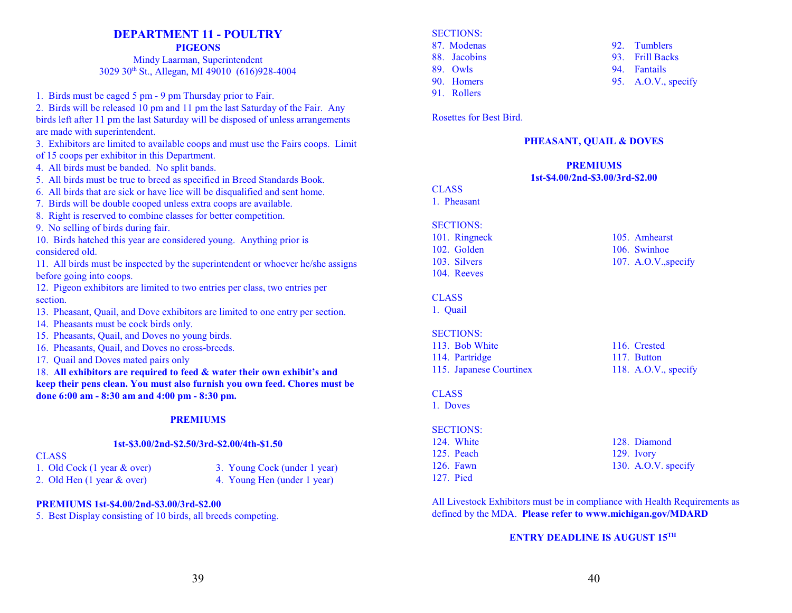# **DEPARTMENT 11 - POULTRY**

**PIGEONS**

Mindy Laarman, Superintendent 3029 30<sup>th</sup> St., Allegan, MI 49010 (616)928-4004

- 1. Birds must be caged 5 pm 9 pm Thursday prior to Fair.
- 2. Birds will be released 10 pm and 11 pm the last Saturday of the Fair. Any birds left after 11 pm the last Saturday will be disposed of unless arrangements are made with superintendent.
- 3. Exhibitors are limited to available coops and must use the Fairs coops. Limit of 15 coops per exhibitor in this Department.
- 4. All birds must be banded. No split bands.
- 5. All birds must be true to breed as specified in Breed Standards Book.
- 6. All birds that are sick or have lice will be disqualified and sent home.
- 7. Birds will be double cooped unless extra coops are available.
- 8. Right is reserved to combine classes for better competition.
- 9. No selling of birds during fair.
- 10. Birds hatched this year are considered young. Anything prior is considered old.
- 11. All birds must be inspected by the superintendent or whoever he/she assigns before going into coops.
- 12. Pigeon exhibitors are limited to two entries per class, two entries per section.
- 13. Pheasant, Quail, and Dove exhibitors are limited to one entry per section.
- 14. Pheasants must be cock birds only.
- 15. Pheasants, Quail, and Doves no young birds.
- 16. Pheasants, Quail, and Doves no cross-breeds.
- 17. Quail and Doves mated pairs only

18. **All exhibitors are required to feed & water their own exhibit's and keep their pens clean. You must also furnish you own feed. Chores must be done 6:00 am - 8:30 am and 4:00 pm - 8:30 pm.**

# **PREMIUMS**

#### **1st-\$3.00/2nd-\$2.50/3rd-\$2.00/4th-\$1.50**

#### CLASS

- 
- 1. Old Cock (1 year & over) 3. Young Cock (under 1 year) 2. Old Hen (1 year & over) 4. Young Hen (under 1 year)

#### **PREMIUMS 1st-\$4.00/2nd-\$3.00/3rd-\$2.00**

5. Best Display consisting of 10 birds, all breeds competing.

#### SECTIONS:

- 87. Modenas 92. Tumblers
- 
- 
- 91. Rollers

88. Jacobins 93. Frill Backs

- 89. Owls 94. Fantails
- 90. Homers 95. A.O.V., specify

Rosettes for Best Bird.

#### **PHEASANT, QUAIL & DOVES**

#### **PREMIUMS 1st-\$4.00/2nd-\$3.00/3rd-\$2.00**

**CLASS** 

# 1. Pheasant

- SECTIONS:
- 102. Golden 106. Swinhoe 103. Silvers 107. A.O.V., specify 104. Reeves

# CLASS

1. Quail

#### SECTIONS:

113. Bob White 116. Crested 114. Partridge 117. Button 115. Japanese Courtinex 118. A.O.V., specify

# **CLASS**

1. Doves

#### SECTIONS:

- 124. White 128. Diamond 125. Peach 129. Ivory 126. Fawn 130. A.O.V. specify 127. Pied
	-

All Livestock Exhibitors must be in compliance with Health Requirements as defined by the MDA. **Please refer to www.michigan.gov/MDARD**

# **ENTRY DEADLINE IS AUGUST 15TH**

101. Ringneck 105. Amhearst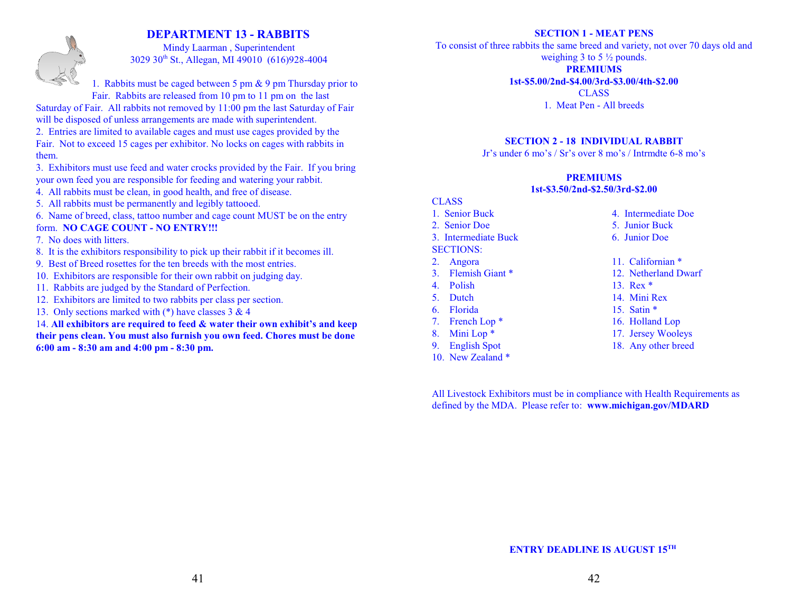# **DEPARTMENT 13 - RABBITS**



#### Mindy Laarman , Superintendent 3029 30<sup>th</sup> St., Allegan, MI 49010 (616)928-4004

1. Rabbits must be caged between 5 pm & 9 pm Thursday prior to Fair. Rabbits are released from 10 pm to 11 pm on the last

Saturday of Fair. All rabbits not removed by 11:00 pm the last Saturday of Fair will be disposed of unless arrangements are made with superintendent.

- 2. Entries are limited to available cages and must use cages provided by the Fair. Not to exceed 15 cages per exhibitor. No locks on cages with rabbits in them.
- 3. Exhibitors must use feed and water crocks provided by the Fair. If you bring your own feed you are responsible for feeding and watering your rabbit.
- 4. All rabbits must be clean, in good health, and free of disease.
- 5. All rabbits must be permanently and legibly tattooed.

6. Name of breed, class, tattoo number and cage count MUST be on the entry

- form. **NO CAGE COUNT NO ENTRY!!!**
- 7. No does with litters.
- 8. It is the exhibitors responsibility to pick up their rabbit if it becomes ill.
- 9. Best of Breed rosettes for the ten breeds with the most entries.
- 10. Exhibitors are responsible for their own rabbit on judging day.
- 11. Rabbits are judged by the Standard of Perfection.
- 12. Exhibitors are limited to two rabbits per class per section.
- 13. Only sections marked with  $(*)$  have classes 3 & 4

14. **All exhibitors are required to feed & water their own exhibit's and keep their pens clean. You must also furnish you own feed. Chores must be done 6:00 am - 8:30 am and 4:00 pm - 8:30 pm.**

#### **SECTION 1 - MEAT PENS**

To consist of three rabbits the same breed and variety, not over 70 days old and weighing 3 to 5  $\frac{1}{2}$  pounds.

**PREMIUMS**

#### **1st-\$5.00/2nd-\$4.00/3rd-\$3.00/4th-\$2.00**

CLASS 1. Meat Pen - All breeds

#### **SECTION 2 - 18 INDIVIDUAL RABBIT**

Jr's under 6 mo's / Sr's over 8 mo's / Intrmdte 6-8 mo's

#### **PREMIUMS 1st-\$3.50/2nd-\$2.50/3rd-\$2.00**

# CLASS

- 
- 
- 
- SECTIONS:
- 
- 
- 
- 
- 
- 7. French Lop \* 16. Holland Lop
- 
- 
- 10. New Zealand \*
- 1. Senior Buck 4. Intermediate Doe
- 2. Senior Doe 5. Junior Buck
- 3. Intermediate Buck 6. Junior Doe
- 2. Angora 11. Californian \*
- 3. Flemish Giant \* 12. Netherland Dwarf
- 4. Polish 13. Rex \*
- 5. Dutch 14. Mini Rex
- 6. Florida 15. Satin \*
	-
- 8. Mini Lop \* 17. Jersey Wooleys
- 9. English Spot 18. Any other breed

All Livestock Exhibitors must be in compliance with Health Requirements as defined by the MDA. Please refer to: **www.michigan.gov/MDARD**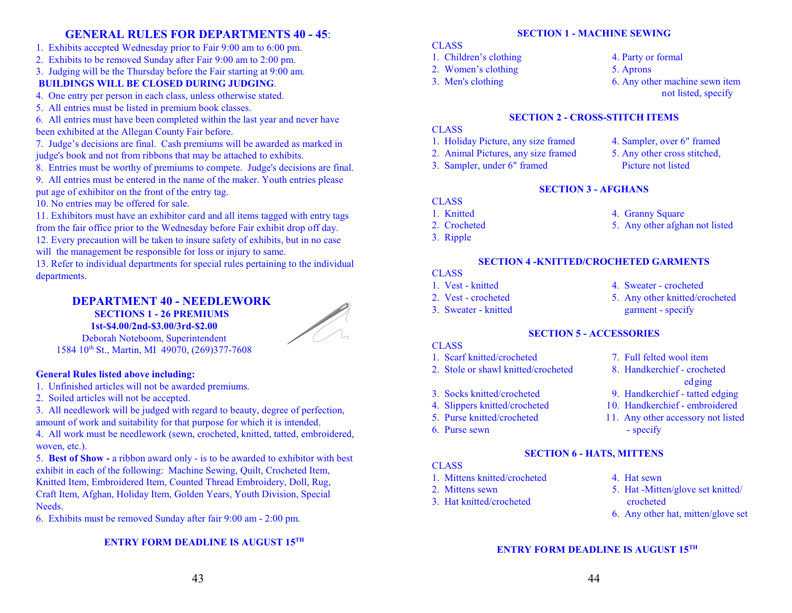# **GENERAL RULES FOR DEPARTMENTS 40 - 45**:

- 1. Exhibits accepted Wednesday prior to Fair 9:00 am to 6:00 pm.
- 2. Exhibits to be removed Sunday after Fair 9:00 am to 2:00 pm.

3. Judging will be the Thursday before the Fair starting at 9:00 am.

# **BUILDINGS WILL BE CLOSED DURING JUDGING**.

4. One entry per person in each class, unless otherwise stated.

5. All entries must be listed in premium book classes.

6. All entries must have been completed within the last year and never have been exhibited at the Allegan County Fair before.

7. Judge's decisions are final. Cash premiums will be awarded as marked in judge's book and not from ribbons that may be attached to exhibits.

8. Entries must be worthy of premiums to compete. Judge's decisions are final.

9. All entries must be entered in the name of the maker. Youth entries please put age of exhibitor on the front of the entry tag.

10. No entries may be offered for sale.

11. Exhibitors must have an exhibitor card and all items tagged with entry tags from the fair office prior to the Wednesday before Fair exhibit drop off day.

12. Every precaution will be taken to insure safety of exhibits, but in no case will the management be responsible for loss or injury to same.

13. Refer to individual departments for special rules pertaining to the individual departments.

#### **DEPARTMENT 40 - NEEDLEWORK SECTIONS 1 - 26 PREMIUMS**

**1st-\$4.00/2nd-\$3.00/3rd-\$2.00**



Deborah Noteboom, Superintendent 1584 10<sup>th</sup> St., Martin, MI 49070, (269)377-7608

# **General Rules listed above including:**

- 1. Unfinished articles will not be awarded premiums.
- 2. Soiled articles will not be accepted.

3. All needlework will be judged with regard to beauty, degree of perfection, amount of work and suitability for that purpose for which it is intended.

4. All work must be needlework (sewn, crocheted, knitted, tatted, embroidered, woven, etc.).

5. **Best of Show -** a ribbon award only - is to be awarded to exhibitor with best exhibit in each of the following: Machine Sewing, Quilt, Crocheted Item, Knitted Item, Embroidered Item, Counted Thread Embroidery, Doll, Rug, Craft Item, Afghan, Holiday Item, Golden Years, Youth Division, Special Needs.

6. Exhibits must be removed Sunday after fair 9:00 am - 2:00 pm.

# **ENTRY FORM DEADLINE IS AUGUST 15TH**

# **SECTION 1 - MACHINE SEWING**

- **CLASS**
- 1. Children's clothing 4. Party or formal
- 2. Women's clothing 5. Aprons
- 

- 
- 3. Men's clothing 6. Any other machine sewn item not listed, specify

# **SECTION 2 - CROSS-STITCH ITEMS**

# CLASS

- 1. Holiday Picture, any size framed 4. Sampler, over 6" framed
- 2. Animal Pictures, any size framed 5. Any other cross stitched,
- 3. Sampler, under 6" framed Picture not listed
- 
- 

# **SECTION 3 - AFGHANS**

- **CLASS**
- 1. Knitted 4. Granny Square
- 2. Crocheted 5. Any other afghan not listed
- 3. Ripple

# **SECTION 4 -KNITTED/CROCHETED GARMENTS**

# **CLASS**

- 
- 
- 
- 1. Vest knitted 4. Sweater crocheted
- 2. Vest crocheted 5. Any other knitted/crocheted 3. Sweater - knitted garment - specify

edging

# **SECTION 5 - ACCESSORIES**

- **CLASS**
- 1. Scarf knitted/crocheted 7. Full felted wool item
- 2. Stole or shawl knitted/crocheted 8. Handkerchief crocheted
- 3. Socks knitted/crocheted 9. Handkerchief tatted edging
- 4. Slippers knitted/crocheted 10. Handkerchief embroidered
- 5. Purse knitted/crocheted 11. Any other accessory not listed
- 6. Purse sewn specify

# **SECTION 6 - HATS, MITTENS**

# **CLASS**

- 1. Mittens knitted/crocheted 4. Hat sewn
- 
- 3. Hat knitted/crocheted crocheted
- 
- 2. Mittens sewn 5. Hat -Mitten/glove set knitted/
	- 6. Any other hat, mitten/glove set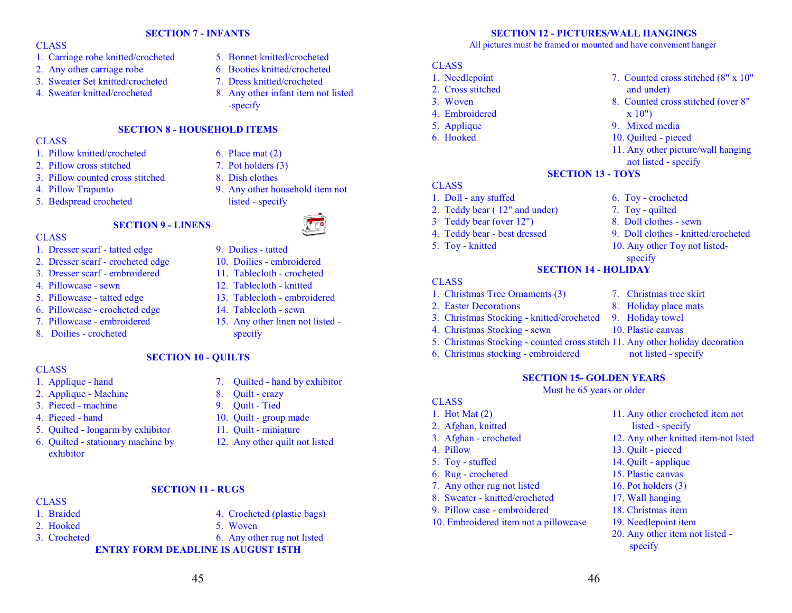#### **CLASS**

- 1. Carriage robe knitted/crocheted 5. Bonnet knitted/crocheted
- 2. Any other carriage robe 6. Booties knitted/crocheted
- 3. Sweater Set knitted/crocheted 7. Dress knitted/crocheted
- 
- 
- 
- 
- 4. Sweater knitted/crocheted 8. Any other infant item not listed -specify

### **SECTION 8 - HOUSEHOLD ITEMS**

**SECTION 7 - INFANTS**

#### **CLASS**

- 1. Pillow knitted/crocheted 6. Place mat (2)
- 2. Pillow cross stitched 7. Pot holders (3)
- 3. Pillow counted cross stitched 8. Dish clothes
- 
- 5. Bedspread crocheted listed specify

#### **SECTION 9 - LINENS**

#### **CLASS**

- 1. Dresser scarf tatted edge 9. Doilies tatted
- 2. Dresser scarf crocheted edge 10. Doilies embroidered
- 3. Dresser scarf embroidered 11. Tablecloth crocheted
- 4. Pillowcase sewn 12. Tablecloth knitted
- 5. Pillowcase tatted edge 13. Tablecloth embroidered
- 6. Pillowcase crocheted edge 14. Tablecloth sewn
- 
- 8. Doilies crocheted specify
- -
	-
- 4. Pillow Trapunto 9. Any other household item not



- 
- 
- 
- 
- 
- 7. Pillowcase embroidered 15. Any other linen not listed -

#### **SECTION 10 - QUILTS**

- **CLASS**
- 
- 2. Applique Machine 8. Quilt crazy
- 3. Pieced machine 9. Quilt Tied
- 
- 5. Quilted longarm by exhibitor 11. Quilt miniature
- 6. Quilted stationary machine by 12. Any other quilt not listed exhibitor
- 
- 1. Applique hand 7. Quilted hand by exhibitor
	-
	-
- 4. Pieced hand 10. Quilt group made
	-
	-

#### **SECTION 11 - RUGS**

- CLASS 1. Braided 4. Crocheted (plastic bags)
- 2. Hooked 5. Woven
- 
- 3. Crocheted 6. Any other rug not listed

**ENTRY FORM DEADLINE IS AUGUST 15TH**

45

### **SECTION 12 - PICTURES/WALL HANGINGS**

All pictures must be framed or mounted and have convenient hanger

**SECTION 13 - TOYS** 

**SECTION 14 - HOLIDAY**

#### **CLASS**

- 1. Needlepoint 7. Counted cross stitched (8" x 10"
- 2. Cross stitched and under)
- 3. Woven 8. Counted cross stitched (over 8"
- 4. Embroidered x 10")
- 5. Applique 9. Mixed media
- 6. Hooked 10. Quilted pieced

#### **CLASS**

- 1. Doll any stuffed 6. Toy crocheted
- 2. Teddy bear (12" and under) 7. Toy quilted
- 3 Teddy bear (over 12") 8. Doll clothes sewn
- 4. Teddy bear best dressed 9. Doll clothes knitted/crocheted
- 5. Toy knitted 10. Any other Toy not listed-

#### CLASS

- 1. Christmas Tree Ornaments (3) 7. Christmas tree skirt
- 2. Easter Decorations 8. Holiday place mats
- 3. Christmas Stocking knitted/crocheted 9. Holiday towel
- 4. Christmas Stocking sewn 10. Plastic canvas
- 5. Christmas Stocking counted cross stitch 11. Any other holiday decoration
- 6. Christmas stocking embroidered not listed specify

#### **SECTION 15- GOLDEN YEARS**

Must be 65 years or older

46

# **CLASS**

- 
- 
- 
- 
- 
- 
- 7. Any other rug not listed 16. Pot holders (3)
- 8. Sweater knitted/crocheted 17. Wall hanging
- 9. Pillow case embroidered 18. Christmas item
- 10. Embroidered item not a pillowcase 19. Needlepoint item

1. Hot Mat (2) 11. Any other crocheted item not 2. Afghan, knitted listed - specify

20. Any other item not listed -

- 
- 3. Afghan crocheted 12. Any other knitted item-not lsted

11. Any other picture/wall hanging

not listed - specify

specify

- 4. Pillow 13. Quilt pieced
- 5. Toy stuffed 14. Quilt applique
- 6. Rug crocheted 15. Plastic canvas
	-

specify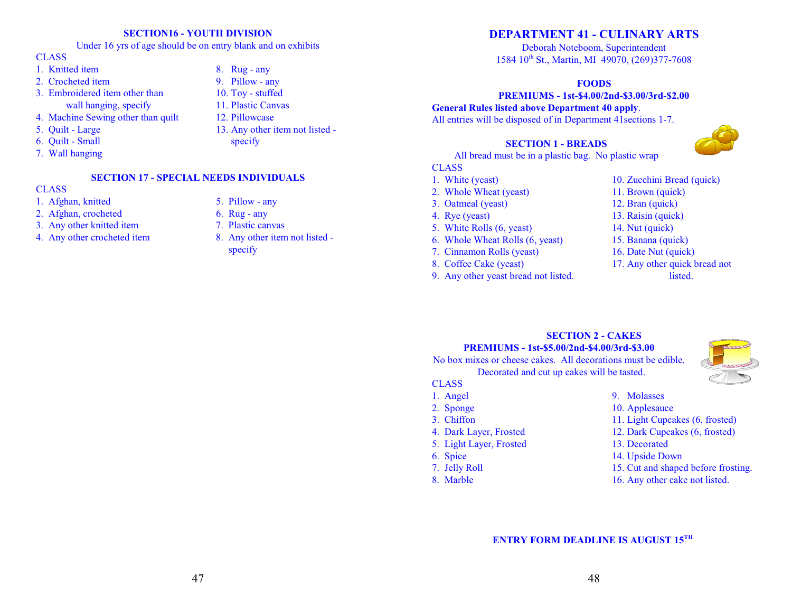#### **SECTION16 - YOUTH DIVISION**

Under 16 yrs of age should be on entry blank and on exhibits

# **CLASS**

- 1. Knitted item 8. Rug any
- 2. Crocheted item 9. Pillow any
- 3. Embroidered item other than 10. Toy stuffed wall hanging, specify 11. Plastic Canvas
- 4. Machine Sewing other than quilt 12. Pillowcase
- 5. Quilt Large 13. Any other item not listed -
- 6. Quilt Small specify
- 7. Wall hanging

### **CLASS**

- 1. Afghan, knitted 5. Pillow any
- 2. Afghan, crocheted 6. Rug any
- 3. Any other knitted item 7. Plastic canvas
- 

#### **SECTION 17 - SPECIAL NEEDS INDIVIDUALS**

- 
- 
- 
- 4. Any other crocheted item 8. Any other item not listed specify

# **DEPARTMENT 41 - CULINARY ARTS**

Deborah Noteboom, Superintendent 1584 10<sup>th</sup> St., Martin, MI 49070, (269)377-7608

#### **FOODS**

#### **PREMIUMS - 1st-\$4.00/2nd-\$3.00/3rd-\$2.00**

**General Rules listed above Department 40 apply**. All entries will be disposed of in Department 41sections 1-7.

# **SECTION 1 - BREADS**

All bread must be in a plastic bag. No plastic wrap

#### CLASS

- 
- 2. Whole Wheat (yeast) 11. Brown (quick)
- 
- 
- 5. White Rolls (6, yeast) 14. Nut (quick)
- 6. Whole Wheat Rolls (6, yeast) 15. Banana (quick)
- 7. Cinnamon Rolls (yeast) 16. Date Nut (quick)
- 
- 9. Any other yeast bread not listed. listed.
- 1. White (yeast) 10. Zucchini Bread (quick)
	-
- 3. Oatmeal (yeast) 12. Bran (quick)
- 4. Rye (yeast) 13. Raisin (quick)
	-
	-
	-
- 8. Coffee Cake (yeast) 17. Any other quick bread not
	-

# **SECTION 2 - CAKES PREMIUMS - 1st-\$5.00/2nd-\$4.00/3rd-\$3.00**

No box mixes or cheese cakes. All decorations must be edible. Decorated and cut up cakes will be tasted.



- **CLASS**
- 1. Angel 9. Molasses
- 
- 
- 
- 5. Light Layer, Frosted 13. Decorated
- 
- 
- 
- 
- 2. Sponge 10. Applesauce
- 3. Chiffon 11. Light Cupcakes (6, frosted)
- 4. Dark Layer, Frosted 12. Dark Cupcakes (6, frosted)
	-
- 6. Spice 14. Upside Down
- 7. Jelly Roll 15. Cut and shaped before frosting.
- 8. Marble 16. Any other cake not listed.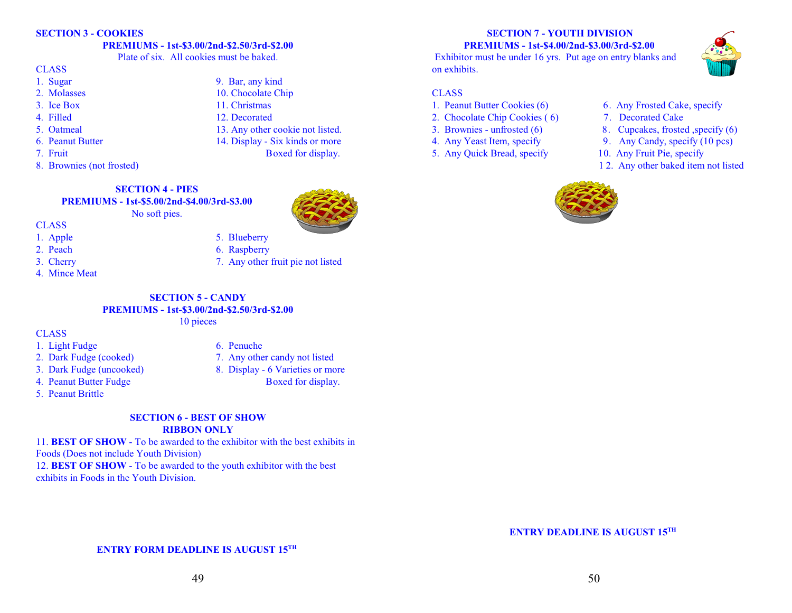#### **SECTION 3 - COOKIES**

# **PREMIUMS - 1st-\$3.00/2nd-\$2.50/3rd-\$2.00**

Plate of six. All cookies must be baked.

#### CLASS

- 1. Sugar 9. Bar, any kind
- 2. Molasses 10. Chocolate Chip
- 3. Ice Box 11. Christmas
- 4. Filled 12. Decorated
- 5. Oatmeal 13. Any other cookie not listed.
- 6. Peanut Butter 14. Display Six kinds or more
- 7. Fruit Boxed for display.
- 8. Brownies (not frosted)

# **SECTION 4 - PIES PREMIUMS - 1st-\$5.00/2nd-\$4.00/3rd-\$3.00**

No soft pies.



- CLASS
- 
- 
- 
- 4. Mince Meat

# **SECTION 5 - CANDY PREMIUMS - 1st-\$3.00/2nd-\$2.50/3rd-\$2.00**

# 10 pieces

**CLASS** 

- 1. Light Fudge 6. Penuche
- 
- 
- 4. Peanut Butter Fudge Boxed for display.
- 5. Peanut Brittle
- 
- 2. Dark Fudge (cooked) 7. Any other candy not listed
- 3. Dark Fudge (uncooked) 8. Display 6 Varieties or more
	-

### **SECTION 6 - BEST OF SHOW RIBBON ONLY**

11. **BEST OF SHOW** - To be awarded to the exhibitor with the best exhibits in Foods (Does not include Youth Division) 12. **BEST OF SHOW** - To be awarded to the youth exhibitor with the best exhibits in Foods in the Youth Division.

Exhibitor must be under 16 yrs. Put age on entry blanks and on exhibits.



# CLASS

- 
- 2. Chocolate Chip Cookies (6) 7. Decorated Cake
- 
- -

# 1. Peanut Butter Cookies (6) 6. Any Frosted Cake, specify

- 
- 3. Brownies unfrosted (6) 8. Cupcakes, frosted ,specify (6)
- 4. Any Yeast Item, specify 9. Any Candy, specify (10 pcs)
- 5. Any Quick Bread, specify 10. Any Fruit Pie, specify
	- 1 2. Any other baked item not listed



**ENTRY DEADLINE IS AUGUST 15TH** 

- 
- 1. Apple 5. Blueberry 2. Peach 6. Raspberry
	-
- 3. Cherry 2. Any other fruit pie not listed
	-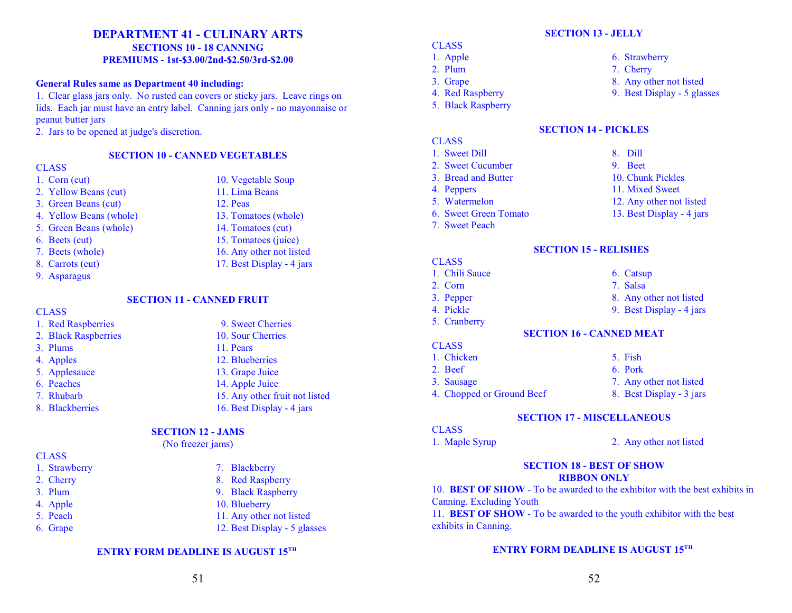# **DEPARTMENT 41 - CULINARY ARTS SECTIONS 10 - 18 CANNING PREMIUMS** - **1st-\$3.00/2nd-\$2.50/3rd-\$2.00**

#### **General Rules same as Department 40 including:**

1. Clear glass jars only. No rusted can covers or sticky jars. Leave rings on lids. Each jar must have an entry label. Canning jars only - no mayonnaise or peanut butter jars

2. Jars to be opened at judge's discretion.

#### **SECTION 10 - CANNED VEGETABLES**

#### **CLASS**

- 
- 2. Yellow Beans (cut) 11. Lima Beans
- 3. Green Beans (cut) 12. Peas
- 4. Yellow Beans (whole) 13. Tomatoes (whole)
- 5. Green Beans (whole) 14. Tomatoes (cut)
- 
- 
- 
- 9. Asparagus
	-

#### **CLASS**

- 
- 
- 
- 
- 
- 
- 

#### **SECTION 12 - JAMS**

# **CLASS**

- 
- 
- 
- 
- 
- 

1. Corn (cut) 10. Vegetable Soup 6. Beets (cut) 15. Tomatoes (juice) 7. Beets (whole) 16. Any other not listed

- 8. Carrots (cut) 17. Best Display 4 jars
	- **SECTION 11 CANNED FRUIT**
- 1. Red Raspberries 9. Sweet Cherries 2. Black Raspberries 10. Sour Cherries 3. Plums 11. Pears 4. Apples 12. Blueberries 5. Applesauce 13. Grape Juice 6. Peaches 14. Apple Juice 7. Rhubarb 15. Any other fruit not listed 8. Blackberries 16. Best Display - 4 jars
	-

# (No freezer jams)

- 1. Strawberry 7. Blackberry
- 2. Cherry 8. Red Raspberry
- 3. Plum 9. Black Raspberry
- 4. Apple 10. Blueberry
- 5. Peach 11. Any other not listed
- 6. Grape 12. Best Display 5 glasses

#### **ENTRY FORM DEADLINE IS AUGUST 15TH**

# **SECTION 13 - JELLY**

- **CLASS**
- 
- 
- 
- 5. Black Raspberry

# 1. Apple 6. Strawberry

- 2. Plum 7. Cherry
- 3. Grape 8. Any other not listed
- 4. Red Raspberry 9. Best Display 5 glasses

#### **SECTION 14 - PICKLES**

- CLASS 1. Sweet Dill 8. Dill
- 2. Sweet Cucumber 9. Beet
- 3. Bread and Butter 10. Chunk Pickles
- 4. Peppers 11. Mixed Sweet
- 5. Watermelon 12. Any other not listed
- 6. Sweet Green Tomato 13. Best Display 4 jars
- 7. Sweet Peach

# **SECTION 15 - RELISHES**

- **CLASS**
- 1. Chili Sauce 6. Catsup
- 2. Corn 7. Salsa
- 
- 
- 5. Cranberry
- 
- 
- 
- 
- 4. Chopped or Ground Beef 8. Best Display 3 jars
- 

#### **SECTION 17 - MISCELLANEOUS**

CLASS

1. Maple Syrup 2. Any other not listed

#### **SECTION 18 - BEST OF SHOW RIBBON ONLY**

10. **BEST OF SHOW** - To be awarded to the exhibitor with the best exhibits in Canning. Excluding Youth

11. **BEST OF SHOW** - To be awarded to the youth exhibitor with the best exhibits in Canning.

- 3. Pepper 8. Any other not listed
	-
- 4. Pickle 9. Best Display 4 jars
	-
	- **SECTION 16 CANNED MEAT**
	-
- **CLASS**
- 
- 
- 3. Sausage 7. Any other not listed
	-
- 1. Chicken 5. Fish 2. Beef 6. Pork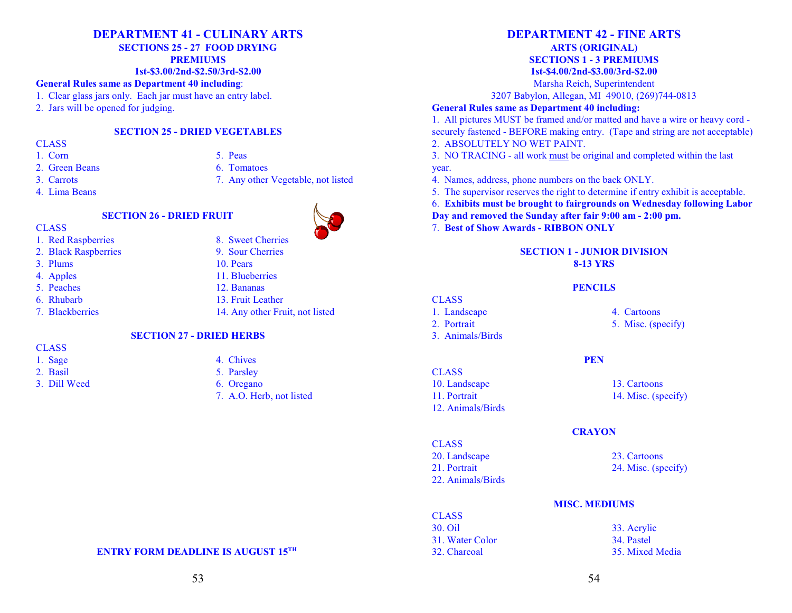# **DEPARTMENT 41 - CULINARY ARTS**

**SECTIONS 25 - 27 FOOD DRYING**

**PREMIUMS**

#### **1st-\$3.00/2nd-\$2.50/3rd-\$2.00**

#### **General Rules same as Department 40 including**:

- 1. Clear glass jars only. Each jar must have an entry label.
- 2. Jars will be opened for judging.

#### **SECTION 25 - DRIED VEGETABLES**

#### CLASS

- 
- 2. Green Beans 6. Tomatoes
- 
- 4. Lima Beans

# 1. Corn 5. Peas

- 
- 3. Carrots 7. Any other Vegetable, not listed

# **SECTION 26 - DRIED FRUIT**



- **CLASS**
- 1. Red Raspberries 8. Sweet Cherries
- 2. Black Raspberries 9. Sour Cherries
- 3. Plums 10. Pears
- 
- 
- 
- 



- 5. Peaches 12. Bananas
- 6. Rhubarb 13. Fruit Leather
- 7. Blackberries 14. Any other Fruit, not listed

# **SECTION 27 - DRIED HERBS**

CLASS

- 
- 
- 3. Dill Weed 6. Oregano



- 1. Sage 4. Chives
- 2. Basil 5. Parsley
	- - 7. A.O. Herb, not listed

# **DEPARTMENT 42 - FINE ARTS**

# **ARTS (ORIGINAL) SECTIONS 1 - 3 PREMIUMS**

**1st-\$4.00/2nd-\$3.00/3rd-\$2.00**

Marsha Reich, Superintendent

3207 Babylon, Allegan, MI 49010, (269)744-0813

# **General Rules same as Department 40 including:**

1. All pictures MUST be framed and/or matted and have a wire or heavy cord securely fastened - BEFORE making entry. (Tape and string are not acceptable) 2. ABSOLUTELY NO WET PAINT.

3. NO TRACING - all work must be original and completed within the last year.

- 4. Names, address, phone numbers on the back ONLY.
- 5. The supervisor reserves the right to determine if entry exhibit is acceptable.
- 6. **Exhibits must be brought to fairgrounds on Wednesday following Labor**
- **Day and removed the Sunday after fair 9:00 am 2:00 pm.**
- 7. **Best of Show Awards RIBBON ONLY**

# **SECTION 1 - JUNIOR DIVISION 8-13 YRS**

**PENCILS**

**PEN**

**CRAYON**

# **CLASS**

- 
- 
- 3. Animals/Birds
- CLASS
- 10. Landscape 13. Cartoons 11. Portrait 14. Misc. (specify) 12. Animals/Birds

# CLASS

- 20. Landscape 23. Cartoons 21. Portrait 24. Misc. (specify) 22. Animals/Birds
- -

# **MISC. MEDIUMS**

CLASS 30. Oil 33. Acrylic 31. Water Color 34. Pastel 32. Charcoal 35. Mixed Media

# 53

**ENTRY FORM DEADLINE IS AUGUST 15TH** 

# 1. Landscape 4. Cartoons 2. Portrait 5. Misc. (specify)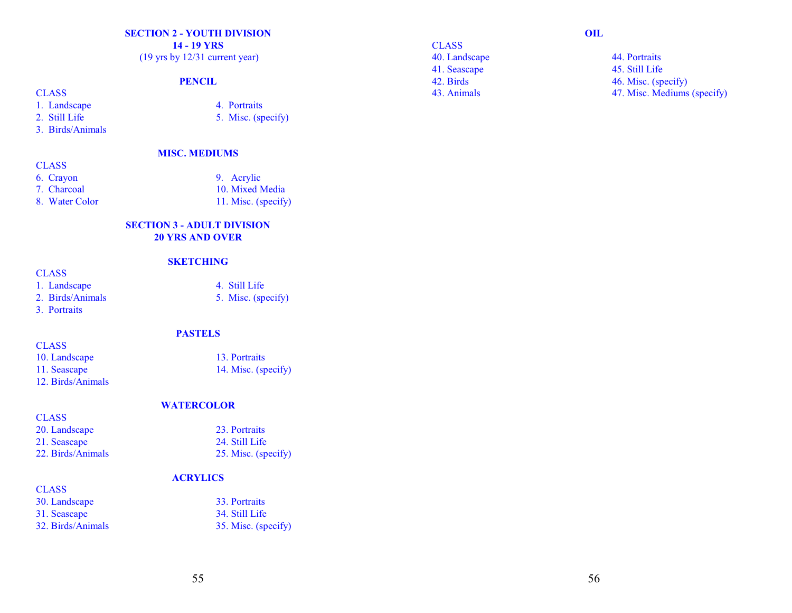# **SECTION 2 - YOUTH DIVISION**

**14 - 19 YRS**

(19 yrs by 12/31 current year)

# **PENCIL**

# **CLASS**

- 1. Landscape 4. Portraits
- 2. Still Life 5. Misc. (specify)
- 3. Birds/Animals

#### **MISC. MEDIUMS**

- **CLASS**
- 
- 
- 8. Water Color 11. Misc. (specify)
- 6. Crayon 9. Acrylic 7. Charcoal 10. Mixed Media

5. Misc. (specify)

#### **SECTION 3 - ADULT DIVISION 20 YRS AND OVER**

# **SKETCHING**

# **CLASS**

- 1. Landscape 4. Still Life<br>
2. Birds/Animals 5. Misc. (spe
- 

12. Birds/Animals

3. Portraits

**CLASS** 

**CLASS** 

#### **PASTELS**

10. Landscape 13. Portraits 11. Seascape 14. Misc. (specify)

#### **WATERCOLOR**

| .                 |                     |
|-------------------|---------------------|
| 20. Landscape     | 23. Portraits       |
| 21. Seascape      | 24. Still Life      |
| 22. Birds/Animals | 25. Misc. (specify) |

# **ACRYLICS**

| <b>CLASS</b>      |                     |
|-------------------|---------------------|
| 30. Landscape     | 33. Portraits       |
| 31. Seascape      | 34. Still Life      |
| 32. Birds/Animals | 35. Misc. (specify) |

# **CLASS**

40. Landscape 44. Portraits 41. Seascape 45. Still Life

#### **OIL**

42. Birds 46. Misc. (specify) 43. Animals 47. Misc. Mediums (specify)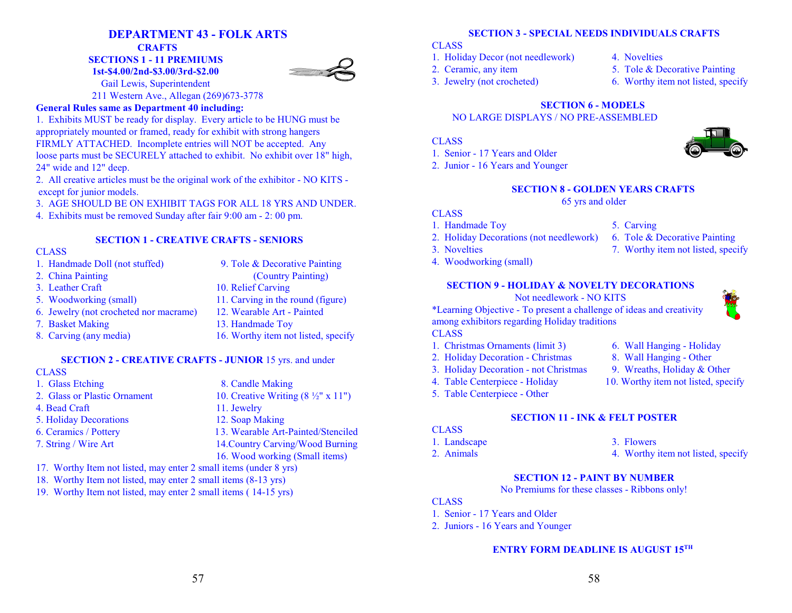# **DEPARTMENT 43 - FOLK ARTS**

**CRAFTS** 

**SECTIONS 1 - 11 PREMIUMS**

**1st-\$4.00/2nd-\$3.00/3rd-\$2.00** Gail Lewis, Superintendent



211 Western Ave., Allegan (269)673-3778

# **General Rules same as Department 40 including:**

1. Exhibits MUST be ready for display. Every article to be HUNG must be appropriately mounted or framed, ready for exhibit with strong hangers FIRMLY ATTACHED. Incomplete entries will NOT be accepted. Any loose parts must be SECURELY attached to exhibit. No exhibit over 18" high, 24" wide and 12" deep.

2. All creative articles must be the original work of the exhibitor - NO KITS except for junior models.

3. AGE SHOULD BE ON EXHIBIT TAGS FOR ALL 18 YRS AND UNDER.

4. Exhibits must be removed Sunday after fair 9:00 am - 2: 00 pm.

# **SECTION 1 - CREATIVE CRAFTS - SENIORS**

### **CLASS**

1. Handmade Doll (not stuffed) 9. Tole & Decorative Painting 2. China Painting (Country Painting) 3. Leather Craft 10. Relief Carving 5. Woodworking (small) 11. Carving in the round (figure) 6. Jewelry (not crocheted nor macrame) 12. Wearable Art - Painted 7. Basket Making 13. Handmade Toy 8. Carving (any media) 16. Worthy item not listed, specify

# **SECTION 2 - CREATIVE CRAFTS - JUNIOR** 15 yrs. and under

#### CLASS

- 1. Glass Etching 8. Candle Making 2. Glass or Plastic Ornament 10. Creative Writing  $(8 \frac{1}{2}$ " x 11") 4. Bead Craft 11. Jewelry 5. Holiday Decorations 12. Soap Making 6. Ceramics / Pottery 13. Wearable Art-Painted/Stenciled 7. String / Wire Art 14.Country Carving/Wood Burning 16. Wood working (Small items)
- 17. Worthy Item not listed, may enter 2 small items (under 8 yrs)
- 18. Worthy Item not listed, may enter 2 small items (8-13 yrs)
- 19. Worthy Item not listed, may enter 2 small items ( 14-15 yrs)

# **SECTION 3 - SPECIAL NEEDS INDIVIDUALS CRAFTS**

### **CLASS**

- 1. Holiday Decor (not needlework) 4. Novelties
	-
- 
- 2. Ceramic, any item 5. Tole & Decorative Painting
- 3. Jewelry (not crocheted) 6. Worthy item not listed, specify

# **SECTION 6 - MODELS**

NO LARGE DISPLAYS / NO PRE-ASSEMBLED

# CLASS

- 1. Senior 17 Years and Older
- 2. Junior 16 Years and Younger

# **SECTION 8 - GOLDEN YEARS CRAFTS**

### 65 yrs and older

# **CLASS**

- 1. Handmade Toy 5. Carving
- 2. Holiday Decorations (not needlework) 6. Tole & Decorative Painting
- 3. Novelties 7. Worthy item not listed, specify
- 4. Woodworking (small)

# **SECTION 9 - HOLIDAY & NOVELTY DECORATIONS**

# Not needlework - NO KITS

\*Learning Objective - To present a challenge of ideas and creativity among exhibitors regarding Holiday traditions

# CLASS

- 1. Christmas Ornaments (limit 3) 6. Wall Hanging Holiday
- 2. Holiday Decoration Christmas 8. Wall Hanging Other
- 3. Holiday Decoration not Christmas 9. Wreaths, Holiday & Other
- 4. Table Centerpiece Holiday 10. Worthy item not listed, specify
- 5. Table Centerpiece Other
- 

# **SECTION 11 - INK & FELT POSTER**

# CLASS

- 
- 
- 1. Landscape 3. Flowers
- 2. Animals 2. Animals 4. Worthy item not listed, specify

# **SECTION 12 - PAINT BY NUMBER**

No Premiums for these classes - Ribbons only!

# CLASS

- 1. Senior 17 Years and Older
- 2. Juniors 16 Years and Younger



- 
- 
- 
-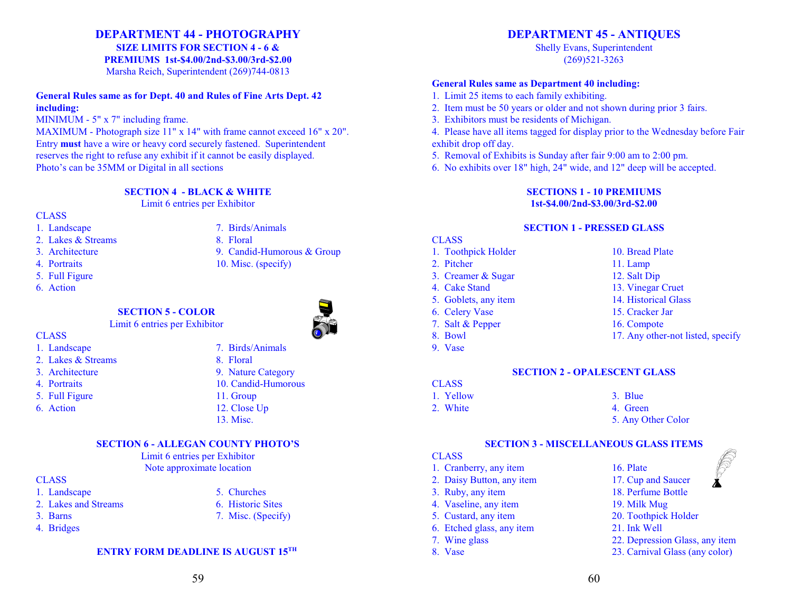# **DEPARTMENT 44 - PHOTOGRAPHY**

**SIZE LIMITS FOR SECTION 4 - 6 &**

**PREMIUMS 1st-\$4.00/2nd-\$3.00/3rd-\$2.00**

Marsha Reich, Superintendent (269)744-0813

#### **General Rules same as for Dept. 40 and Rules of Fine Arts Dept. 42 including:**

MINIMUM - 5" x 7" including frame.

MAXIMUM - Photograph size 11" x 14" with frame cannot exceed 16" x 20". Entry **must** have a wire or heavy cord securely fastened. Superintendent reserves the right to refuse any exhibit if it cannot be easily displayed. Photo's can be 35MM or Digital in all sections

**SECTION 4 - BLACK & WHITE**

Limit 6 entries per Exhibitor

### CLASS

- 
- 2. Lakes & Streams 8. Floral
- 
- 
- 5. Full Figure
- 6. Action
- 1. Landscape 7. Birds/Animals

# 3. Architecture 9. Candid-Humorous & Group

- 4. Portraits 10. Misc. (specify)
	-

# **SECTION 5 - COLOR**





- CLASS
- 1. Landscape 7. Birds/Animals
- 2. Lakes & Streams 8. Floral
- 
- 
- 
- 
- 3. Architecture 9. Nature Category 4. Portraits 10. Candid-Humorous
- 5. Full Figure 11. Group
- 6. Action 12. Close Up
	- 13. Misc.

# **SECTION 6 - ALLEGAN COUNTY PHOTO'S**

Limit 6 entries per Exhibitor Note approximate location

# **CLASS**

- 1. Landscape 5. Churches
- 2. Lakes and Streams 6. Historic Sites
- 3. Barns 7. Misc. (Specify)
- 4. Bridges

# **ENTRY FORM DEADLINE IS AUGUST 15TH**

# **DEPARTMENT 45 - ANTIQUES**

Shelly Evans, Superintendent (269)521-3263

# **General Rules same as Department 40 including:**

- 1. Limit 25 items to each family exhibiting.
- 2. Item must be 50 years or older and not shown during prior 3 fairs.
- 3. Exhibitors must be residents of Michigan.

4. Please have all items tagged for display prior to the Wednesday before Fair exhibit drop off day.

- 5. Removal of Exhibits is Sunday after fair 9:00 am to 2:00 pm.
- 6. No exhibits over 18" high, 24" wide, and 12" deep will be accepted.

#### **SECTIONS 1 - 10 PREMIUMS 1st-\$4.00/2nd-\$3.00/3rd-\$2.00**

# **SECTION 1 - PRESSED GLASS**

#### CLASS

- 1. Toothpick Holder 10. Bread Plate
- 2. Pitcher 11. Lamp
- 3. Creamer & Sugar 12. Salt Dip
- 4. Cake Stand 13. Vinegar Cruet
- 5. Goblets, any item 14. Historical Glass
- 6. Celery Vase 15. Cracker Jar
- 7. Salt & Pepper 16. Compote
- 
- 9. Vase

- 
- 
- 
- 
- 
- 
- 
- 8. Bowl 17. Any other-not listed, specify

# **SECTION 2 - OPALESCENT GLASS**

- **CLASS** 1. Yellow 3. Blue
- 2. White 4. Green

- 
- 5. Any Other Color

# **SECTION 3 - MISCELLANEOUS GLASS ITEMS**

# **CLASS**

- 1. Cranberry, any item 16. Plate
- 
- 4. Vaseline, any item 19. Milk Mug
- 
- 6. Etched glass, any item 21. Ink Well
- 
- 



- 3. Ruby, any item 18. Perfume Bottle
	-
- 5. Custard, any item 20. Toothpick Holder
	-
- 7. Wine glass 22. Depression Glass, any item
- 8. Vase 23. Carnival Glass (any color)

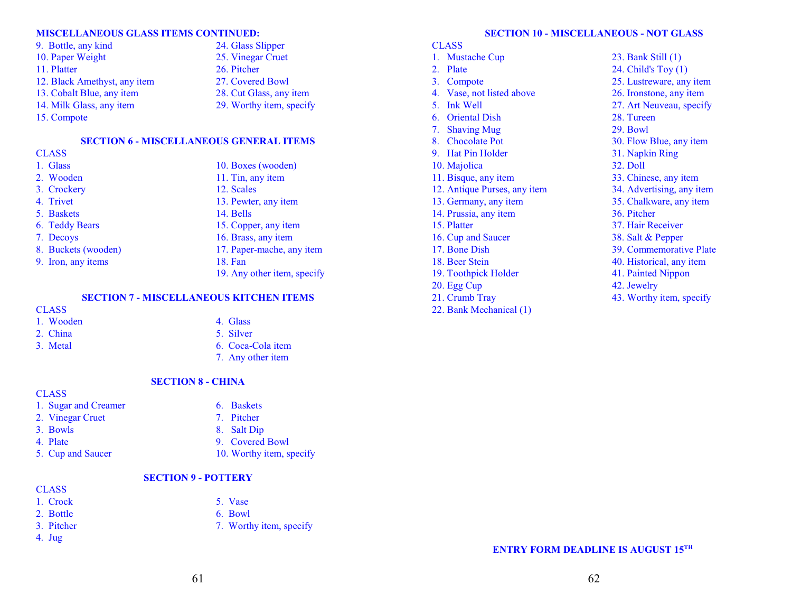#### **MISCELLANEOUS GLASS ITEMS CONTINUED:**

| 9. Bottle, any kind          |  |
|------------------------------|--|
| 10. Paper Weight             |  |
| 11. Platter                  |  |
| 12. Black Amethyst, any item |  |
| 13. Cobalt Blue, any item    |  |
| 14. Milk Glass, any item     |  |
| 15. Compote                  |  |

25. Vinegar Cruet 26. Pitcher 27. Covered Bowl 28. Cut Glass, any item 29. Worthy item, specify

24. Glass Slipper

#### **SECTION 6 - MISCELLANEOUS GENERAL ITEMS**

#### **CLASS**

| 1. Glass            | 10. Boxes (wooden)          |
|---------------------|-----------------------------|
| 2. Wooden           | 11. Tin, any item           |
| 3. Crockery         | 12. Scales                  |
| 4. Trivet           | 13. Pewter, any item        |
| 5. Baskets          | 14. Bells                   |
| 6. Teddy Bears      | 15. Copper, any item        |
| 7. Decoys           | 16. Brass, any item         |
| 8. Buckets (wooden) | 17. Paper-mache, any item   |
| 9. Iron, any items  | 18. Fan                     |
|                     | 19. Any other item, specify |

#### **SECTION 7 - MISCELLANEOUS KITCHEN ITEMS**

#### **CLASS**

| 1. |  | Wooden |
|----|--|--------|
|    |  |        |

### n and 4. Glass 2. China 5. Silver 3. Metal 6. Coca-Cola item

7. Any other item

#### **SECTION 8 - CHINA**

#### **CLASS**

- 1. Sugar and Creamer 6. Baskets
- 2. Vinegar Cruet 7. Pitcher
- 3. Bowls 8. Salt Dip
- 4. Plate 9. Covered Bowl
- 5. Cup and Saucer 10. Worthy item, specify

#### **SECTION 9 - POTTERY**

- **CLASS**
- 1. Crock 5. Vase
- 2. Bottle 6. Bowl
- 3. Pitcher 7. Worthy item, specify
- 4. Jug

#### **SECTION 10 - MISCELLANEOUS - NOT GLASS**

#### **CLASS**

| 1. | <b>Mustache Cup</b>          | 23. Bank Still (1)        |
|----|------------------------------|---------------------------|
| 2. | Plate                        | 24. Child's Toy (1)       |
| 3. | Compote                      | 25. Lustreware, any item  |
| 4. | Vase, not listed above       | 26. Ironstone, any item   |
| 5. | Ink Well                     | 27. Art Neuveau, specify  |
| 6. | <b>Oriental Dish</b>         | 28. Tureen                |
| 7. | <b>Shaving Mug</b>           | 29. Bowl                  |
|    | 8. Chocolate Pot             | 30. Flow Blue, any item   |
|    | 9. Hat Pin Holder            | 31. Napkin Ring           |
|    | 10. Majolica                 | 32. Doll                  |
|    | 11. Bisque, any item         | 33. Chinese, any item     |
|    | 12. Antique Purses, any item | 34. Advertising, any item |
|    | 13. Germany, any item        | 35. Chalkware, any item   |
|    | 14. Prussia, any item        | 36. Pitcher               |
|    | 15. Platter                  | 37. Hair Receiver         |
|    | 16. Cup and Saucer           | 38. Salt & Pepper         |
|    | 17. Bone Dish                | 39. Commemorative Plate   |
|    | 18. Beer Stein               | 40. Historical, any item  |
|    | 19. Toothpick Holder         | 41. Painted Nippon        |
|    | 20. Egg Cup                  | 42. Jewelry               |
|    | 21. Crumb Tray               | 43. Worthy item, specify  |
|    | 22. Bank Mechanical (1)      |                           |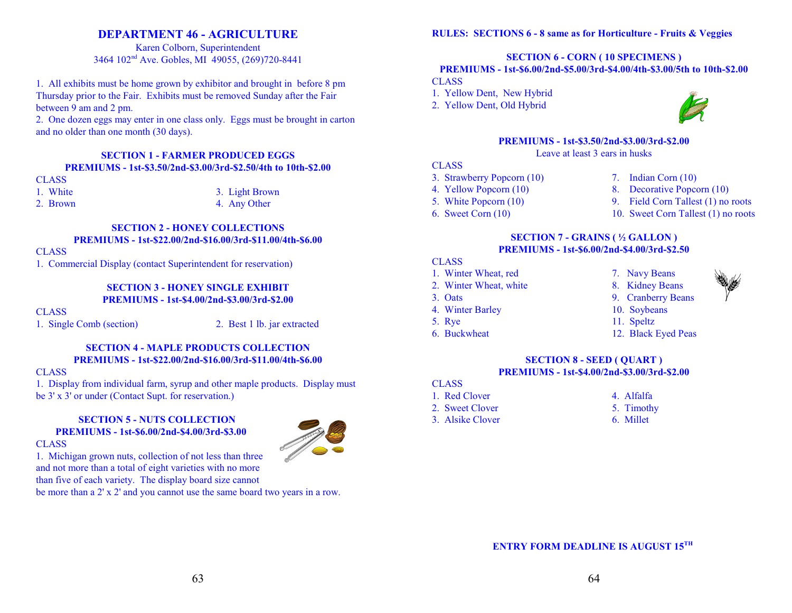# **DEPARTMENT 46 - AGRICULTURE**

Karen Colborn, Superintendent 3464 102<sup>nd</sup> Ave. Gobles, MI 49055, (269)720-8441

1. All exhibits must be home grown by exhibitor and brought in before 8 pm Thursday prior to the Fair. Exhibits must be removed Sunday after the Fair between 9 am and 2 pm.

2. One dozen eggs may enter in one class only. Eggs must be brought in carton and no older than one month (30 days).

# **SECTION 1 - FARMER PRODUCED EGGS PREMIUMS - 1st-\$3.50/2nd-\$3.00/3rd-\$2.50/4th to 10th-\$2.00**

#### **CLASS**

1. White 3. Light Brown 2. Brown 4. Any Other

#### **SECTION 2 - HONEY COLLECTIONS PREMIUMS - 1st-\$22.00/2nd-\$16.00/3rd-\$11.00/4th-\$6.00**

#### **CLASS**

1. Commercial Display (contact Superintendent for reservation)

### **SECTION 3 - HONEY SINGLE EXHIBIT PREMIUMS - 1st-\$4.00/2nd-\$3.00/3rd-\$2.00**

#### **CLASS**

1. Single Comb (section) 2. Best 1 lb. jar extracted

#### **SECTION 4 - MAPLE PRODUCTS COLLECTION PREMIUMS - 1st-\$22.00/2nd-\$16.00/3rd-\$11.00/4th-\$6.00**

#### CLASS

1. Display from individual farm, syrup and other maple products. Display must be 3' x 3' or under (Contact Supt. for reservation.)

#### **SECTION 5 - NUTS COLLECTION PREMIUMS - 1st-\$6.00/2nd-\$4.00/3rd-\$3.00** CLASS



1. Michigan grown nuts, collection of not less than three and not more than a total of eight varieties with no more than five of each variety. The display board size cannot

be more than a 2' x 2' and you cannot use the same board two years in a row.

#### **RULES: SECTIONS 6 - 8 same as for Horticulture - Fruits & Veggies**

## **SECTION 6 - CORN ( 10 SPECIMENS )**

#### **PREMIUMS - 1st-\$6.00/2nd-\$5.00/3rd-\$4.00/4th-\$3.00/5th to 10th-\$2.00**

CLASS

- 1. Yellow Dent, New Hybrid
- 2. Yellow Dent, Old Hybrid



#### **PREMIUMS - 1st-\$3.50/2nd-\$3.00/3rd-\$2.00** Leave at least 3 ears in husks

#### **CLASS**

- 3. Strawberry Popcorn (10) 7. Indian Corn (10)
- 4. Yellow Popcorn (10) 8. Decorative Popcorn (10)
	-
- 5. White Popcorn (10) 9. Field Corn Tallest (1) no roots
- 6. Sweet Corn (10) 10. Sweet Corn Tallest (1) no roots

#### **SECTION 7 - GRAINS ( ½ GALLON ) PREMIUMS - 1st-\$6.00/2nd-\$4.00/3rd-\$2.50**

#### CLASS

- 1. Winter Wheat, red 7. Navy Beans
- 2. Winter Wheat, white 8. Kidney Beans
- 
- 4. Winter Barley 10. Soybeans
- 5. Rye 11. Speltz
- 
- 
- 
- 3. Oats 9. Cranberry Beans
	- -
- 6. Buckwheat 12. Black Eyed Peas

#### **SECTION 8 - SEED ( QUART ) PREMIUMS - 1st-\$4.00/2nd-\$3.00/3rd-\$2.00**

- **CLASS**
- 1. Red Clover 4. Alfalfa
- 2. Sweet Clover 5. Timothy
	-
- 3. Alsike Clover 6. Millet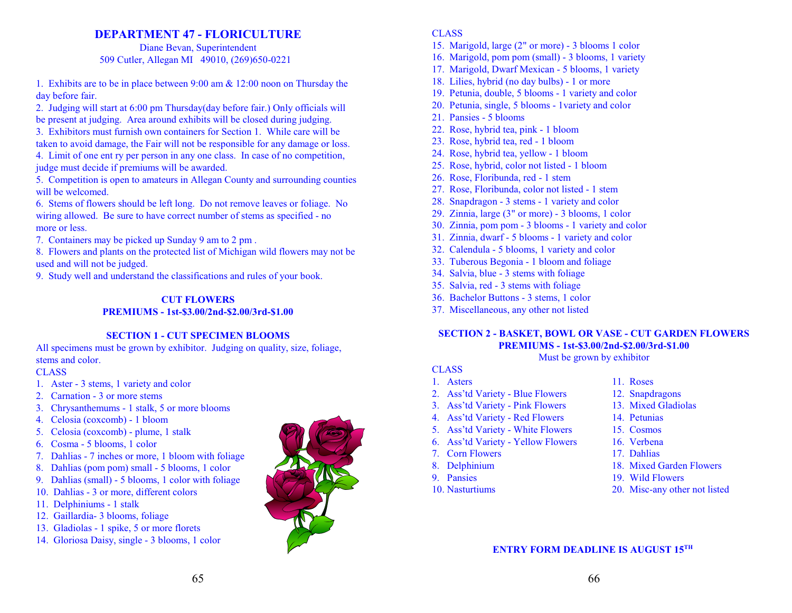# **DEPARTMENT 47 - FLORICULTURE**

Diane Bevan, Superintendent 509 Cutler, Allegan MI 49010, (269)650-0221

1. Exhibits are to be in place between 9:00 am & 12:00 noon on Thursday the day before fair.

2. Judging will start at 6:00 pm Thursday(day before fair.) Only officials will be present at judging. Area around exhibits will be closed during judging.

3. Exhibitors must furnish own containers for Section 1. While care will be taken to avoid damage, the Fair will not be responsible for any damage or loss.

4. Limit of one ent ry per person in any one class. In case of no competition, judge must decide if premiums will be awarded.

5. Competition is open to amateurs in Allegan County and surrounding counties will be welcomed.

6. Stems of flowers should be left long. Do not remove leaves or foliage. No wiring allowed. Be sure to have correct number of stems as specified - no more or less.

7. Containers may be picked up Sunday 9 am to 2 pm .

8. Flowers and plants on the protected list of Michigan wild flowers may not be used and will not be judged.

9. Study well and understand the classifications and rules of your book.

### **CUT FLOWERS**

#### **PREMIUMS - 1st-\$3.00/2nd-\$2.00/3rd-\$1.00**

# **SECTION 1 - CUT SPECIMEN BLOOMS**

All specimens must be grown by exhibitor. Judging on quality, size, foliage, stems and color.

# **CLASS**

- 1. Aster 3 stems, 1 variety and color
- 2. Carnation 3 or more stems
- 3. Chrysanthemums 1 stalk, 5 or more blooms
- 4. Celosia (coxcomb) 1 bloom
- 5. Celosia (coxcomb) plume, 1 stalk
- 6. Cosma 5 blooms, 1 color
- 7. Dahlias 7 inches or more, 1 bloom with foliage
- 8. Dahlias (pom pom) small 5 blooms, 1 color
- 9. Dahlias (small) 5 blooms, 1 color with foliage
- 10. Dahlias 3 or more, different colors
- 11. Delphiniums 1 stalk
- 12. Gaillardia- 3 blooms, foliage
- 13. Gladiolas 1 spike, 5 or more florets
- 14. Gloriosa Daisy, single 3 blooms, 1 color



# CLASS

- 15. Marigold, large (2" or more) 3 blooms 1 color
- 16. Marigold, pom pom (small) 3 blooms, 1 variety
- 17. Marigold, Dwarf Mexican 5 blooms, 1 variety
- 18. Lilies, hybrid (no day bulbs) 1 or more
- 19. Petunia, double, 5 blooms 1 variety and color
- 20. Petunia, single, 5 blooms 1variety and color
- 21. Pansies 5 blooms
- 22. Rose, hybrid tea, pink 1 bloom
- 23. Rose, hybrid tea, red 1 bloom
- 24. Rose, hybrid tea, yellow 1 bloom
- 25. Rose, hybrid, color not listed 1 bloom
- 26. Rose, Floribunda, red 1 stem
- 27. Rose, Floribunda, color not listed 1 stem
- 28. Snapdragon 3 stems 1 variety and color
- 29. Zinnia, large (3" or more) 3 blooms, 1 color
- 30. Zinnia, pom pom 3 blooms 1 variety and color
- 31. Zinnia, dwarf 5 blooms 1 variety and color
- 32. Calendula 5 blooms, 1 variety and color
- 33. Tuberous Begonia 1 bloom and foliage
- 34. Salvia, blue 3 stems with foliage
- 35. Salvia, red 3 stems with foliage
- 36. Bachelor Buttons 3 stems, 1 color
- 37. Miscellaneous, any other not listed

# **SECTION 2 - BASKET, BOWL OR VASE - CUT GARDEN FLOWERS PREMIUMS - 1st-\$3.00/2nd-\$2.00/3rd-\$1.00**

# Must be grown by exhibitor

# **CLASS**

- 1. Asters 11. Roses
- 2. Ass'td Variety Blue Flowers 12. Snapdragons
- 3. Ass'td Variety Pink Flowers 13. Mixed Gladiolas
- 4. Ass'td Variety Red Flowers 14. Petunias
- 5. Ass'td Variety White Flowers 15. Cosmos
- 6. Ass'td Variety Yellow Flowers 16. Verbena
- 7. Corn Flowers 17. Dahlias
- 
- 
- 
- 
- 
- 
- 
- 
- 
- 
- 8. Delphinium 18. Mixed Garden Flowers
- 9. Pansies 19. Wild Flowers
- 10. Nasturtiums 20. Misc-any other not listed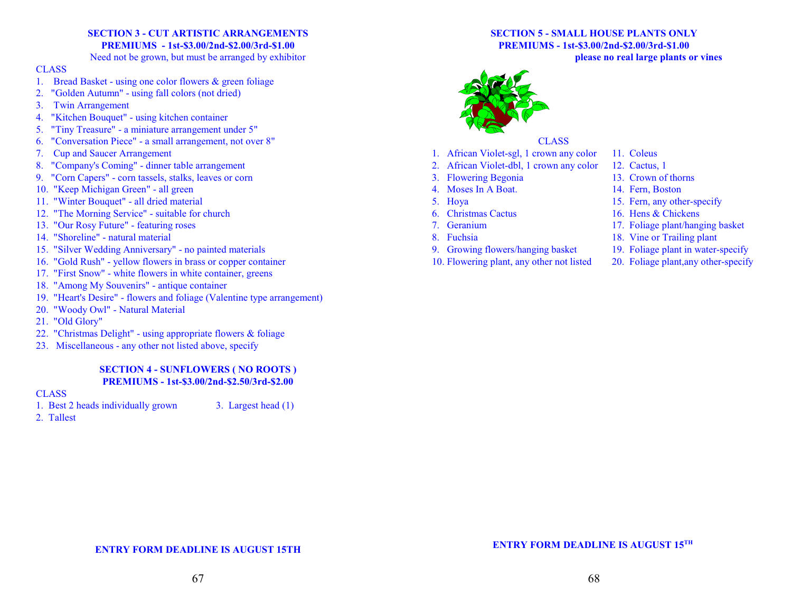# **SECTION 3 - CUT ARTISTIC ARRANGEMENTS PREMIUMS - 1st-\$3.00/2nd-\$2.00/3rd-\$1.00**

Need not be grown, but must be arranged by exhibitor

#### CLASS

- 1. Bread Basket using one color flowers & green foliage
- 2. "Golden Autumn" using fall colors (not dried)
- 3. Twin Arrangement
- 4. "Kitchen Bouquet" using kitchen container
- 5. "Tiny Treasure" a miniature arrangement under 5"
- 6. "Conversation Piece" a small arrangement, not over 8"
- 7. Cup and Saucer Arrangement
- 8. "Company's Coming" dinner table arrangement
- 9. "Corn Capers" corn tassels, stalks, leaves or corn
- 10. "Keep Michigan Green" all green
- 11. "Winter Bouquet" all dried material
- 12. "The Morning Service" suitable for church
- 13. "Our Rosy Future" featuring roses
- 14. "Shoreline" natural material
- 15. "Silver Wedding Anniversary" no painted materials
- 16. "Gold Rush" yellow flowers in brass or copper container
- 17. "First Snow" white flowers in white container, greens
- 18. "Among My Souvenirs" antique container
- 19. "Heart's Desire" flowers and foliage (Valentine type arrangement)
- 20. "Woody Owl" Natural Material
- 21. "Old Glory"
- 22. "Christmas Delight" using appropriate flowers & foliage
- 23. Miscellaneous any other not listed above, specify

# **SECTION 4 - SUNFLOWERS ( NO ROOTS ) PREMIUMS - 1st-\$3.00/2nd-\$2.50/3rd-\$2.00**

#### **CLASS**

- 1. Best 2 heads individually grown 3. Largest head (1)
- 2. Tallest

#### **SECTION 5 - SMALL HOUSE PLANTS ONLY PREMIUMS - 1st-\$3.00/2nd-\$2.00/3rd-\$1.00 please no real large plants or vines**



### **CLASS**

- 1. African Violet-sgl, 1 crown any color 11. Coleus
- 2. African Violet-dbl, 1 crown any color 12. Cactus, 1
- 
- 
- 
- 
- 
- 
- 9. Growing flowers/hanging basket 19. Foliage plant in water-specify
- 10. Flowering plant, any other not listed 20. Foliage plant,any other-specify

- 
- 3. Flowering Begonia 13. Crown of thorns
- 4. Moses In A Boat. 14. Fern, Boston
- 5. Hoya 15. Fern, any other-specify
- 6. Christmas Cactus 16. Hens & Chickens
- 7. Geranium 17. Foliage plant/hanging basket
- 8. Fuchsia 18. Vine or Trailing plant
	-
	-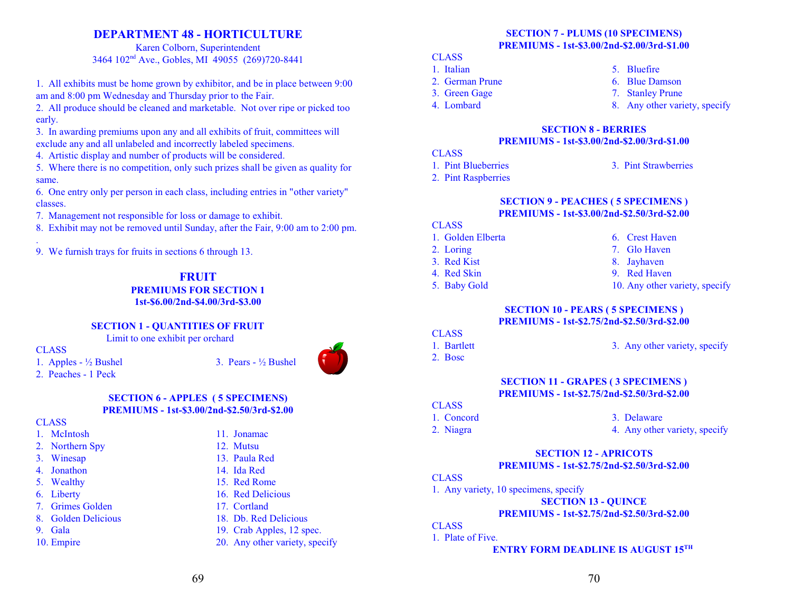# **DEPARTMENT 48 - HORTICULTURE**

Karen Colborn, Superintendent 3464 102<sup>nd</sup> Ave., Gobles, MI 49055 (269)720-8441

1. All exhibits must be home grown by exhibitor, and be in place between 9:00 am and 8:00 pm Wednesday and Thursday prior to the Fair.

2. All produce should be cleaned and marketable. Not over ripe or picked too early.

3. In awarding premiums upon any and all exhibits of fruit, committees will exclude any and all unlabeled and incorrectly labeled specimens.

4. Artistic display and number of products will be considered.

5. Where there is no competition, only such prizes shall be given as quality for same.

6. One entry only per person in each class, including entries in "other variety" classes.

7. Management not responsible for loss or damage to exhibit.

8. Exhibit may not be removed until Sunday, after the Fair, 9:00 am to 2:00 pm.

. 9. We furnish trays for fruits in sections 6 through 13.

> **FRUIT PREMIUMS FOR SECTION 1 1st-\$6.00/2nd-\$4.00/3rd-\$3.00**

# **SECTION 1 - QUANTITIES OF FRUIT**

Limit to one exhibit per orchard

CLASS

1. Apples -  $\frac{1}{2}$  Bushel 3. Pears -  $\frac{1}{2}$  Bushel

# 2. Peaches - 1 Peck

#### **SECTION 6 - APPLES ( 5 SPECIMENS) PREMIUMS - 1st-\$3.00/2nd-\$2.50/3rd-\$2.00**

#### **CLASS**

- 1. McIntosh 11. Jonamac
- 2. Northern Spy 12. Mutsu
- 3. Winesap 13. Paula Red
- 4. Jonathon 14. Ida Red
- 5. Wealthy 15. Red Rome
- 6. Liberty 16. Red Delicious
- 7. Grimes Golden 17. Cortland
- 8. Golden Delicious 18. Db. Red Delicious
- 9. Gala 19. Crab Apples, 12 spec.
- 10. Empire 20. Any other variety, specify



#### **CLASS**

- 1. Italian 5. Bluefire
- 2. German Prune 6. Blue Damson
- 3. Green Gage 7. Stanley Prune
- 

- 
- 
- 4. Lombard 8. Any other variety, specify

#### **SECTION 8 - BERRIES PREMIUMS - 1st-\$3.00/2nd-\$2.00/3rd-\$1.00**

### **CLASS**

- 1. Pint Blueberries 3. Pint Strawberries
- 2. Pint Raspberries

#### **SECTION 9 - PEACHES ( 5 SPECIMENS ) PREMIUMS - 1st-\$3.00/2nd-\$2.50/3rd-\$2.00**

# CLASS

- 1. Golden Elberta 6. Crest Haven
- 2. Loring 2. Glo Haven
- 3. Red Kist 8. Jayhaven
- 
- 
- 
- 
- 
- 4. Red Skin 9. Red Haven
- 5. Baby Gold 10. Any other variety, specify

#### **SECTION 10 - PEARS ( 5 SPECIMENS ) PREMIUMS - 1st-\$2.75/2nd-\$2.50/3rd-\$2.00**

# **CLASS**

- 
- 1. Bartlett 3. Any other variety, specify
- 2. Bosc

# **SECTION 11 - GRAPES ( 3 SPECIMENS ) PREMIUMS - 1st-\$2.75/2nd-\$2.50/3rd-\$2.00**

# **CLASS**

1. Concord 3. Delaware 2. Niagra 4. Any other variety, specify

#### **SECTION 12 - APRICOTS PREMIUMS - 1st-\$2.75/2nd-\$2.50/3rd-\$2.00**

#### CLASS

1. Any variety, 10 specimens, specify

#### **SECTION 13 - QUINCE**

# **PREMIUMS - 1st-\$2.75/2nd-\$2.50/3rd-\$2.00**

# **CLASS**

1. Plate of Five.

- 
-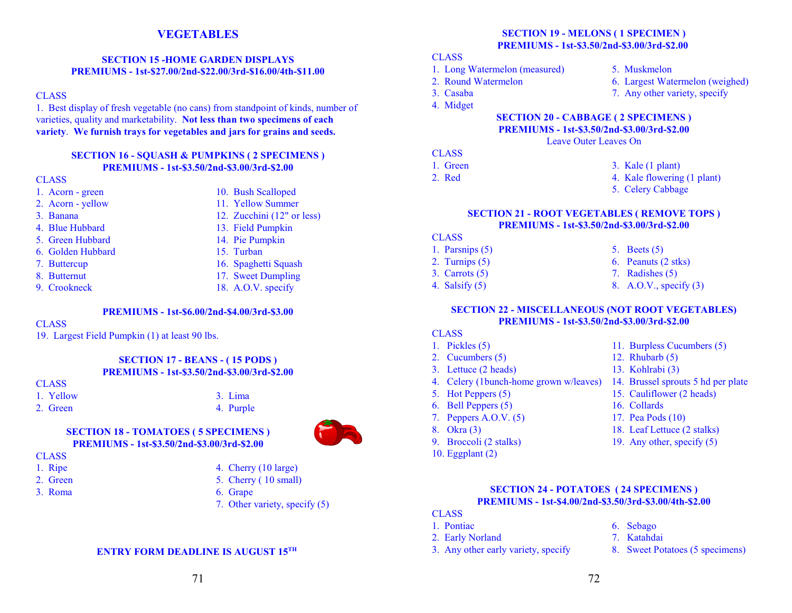# **VEGETABLES**

#### **SECTION 15 -HOME GARDEN DISPLAYS PREMIUMS - 1st-\$27.00/2nd-\$22.00/3rd-\$16.00/4th-\$11.00**

#### **CLASS**

1. Best display of fresh vegetable (no cans) from standpoint of kinds, number of varieties, quality and marketability. **Not less than two specimens of each variety**. **We furnish trays for vegetables and jars for grains and seeds.**

#### **SECTION 16 - SQUASH & PUMPKINS ( 2 SPECIMENS ) PREMIUMS - 1st-\$3.50/2nd-\$3.00/3rd-\$2.00**

#### **CLASS**

- 1. Acorn green 10. Bush Scalloped
	-
- 
- 2. Acorn yellow 11. Yellow Summer
- 3. Banana 12. Zucchini (12" or less)
- 4. Blue Hubbard 13. Field Pumpkin
- 5. Green Hubbard 14. Pie Pumpkin
- 6. Golden Hubbard 15. Turban
	-
	-
- 
- 7. Buttercup 16. Spaghetti Squash
- 8. Butternut 17. Sweet Dumpling
- 9. Crookneck 18. A.O.V. specify

#### **PREMIUMS - 1st-\$6.00/2nd-\$4.00/3rd-\$3.00**

#### **CLASS**

19. Largest Field Pumpkin (1) at least 90 lbs.

#### **SECTION 17 - BEANS - ( 15 PODS ) PREMIUMS - 1st-\$3.50/2nd-\$3.00/3rd-\$2.00**

#### **CLASS**

- 1. Yellow 3. Lima
- 
- 2. Green 4. Purple

# **SECTION 18 - TOMATOES ( 5 SPECIMENS ) PREMIUMS - 1st-\$3.50/2nd-\$3.00/3rd-\$2.00**

- **CLASS**
- 1. Ripe 4. Cherry (10 large)
- 2. Green 5. Cherry ( 10 small)
- 
- 3. Roma 6. Grape
	- 7. Other variety, specify (5)

#### **ENTRY FORM DEADLINE IS AUGUST 15TH**

# **SECTION 19 - MELONS ( 1 SPECIMEN ) PREMIUMS - 1st-\$3.50/2nd-\$3.00/3rd-\$2.00**

#### **CLASS**

- 1. Long Watermelon (measured) 5. Muskmelon
- 2. Round Watermelon 6. Largest Watermelon (weighed)
- 3. Casaba 7. Any other variety, specify
- 4. Midget

#### **SECTION 20 - CABBAGE ( 2 SPECIMENS ) PREMIUMS - 1st-\$3.50/2nd-\$3.00/3rd-\$2.00**

Leave Outer Leaves On

## **CLASS**

| 1. Green | 3. Kale $(1$ plant $)$ |
|----------|------------------------|
|          |                        |

- 
- 2. Red 4. Kale flowering (1 plant)
	- 5. Celery Cabbage

#### **SECTION 21 - ROOT VEGETABLES ( REMOVE TOPS ) PREMIUMS - 1st-\$3.50/2nd-\$3.00/3rd-\$2.00**

#### CLASS

- 1. Parsnips  $(5)$  5. Beets  $(5)$ 
	-
- 
- 
- 
- 2. Turnips (5) 6. Peanuts (2 stks)
- 3. Carrots (5) 7. Radishes (5)
- 4. Salsify (5) 8. A.O.V., specify (3)

#### **SECTION 22 - MISCELLANEOUS (NOT ROOT VEGETABLES) PREMIUMS - 1st-\$3.50/2nd-\$3.00/3rd-\$2.00**

# CLASS

- 
- 2. Cucumbers (5) 12. Rhubarb (5)
- 3. Lettuce (2 heads) 13. Kohlrabi (3)
- 4. Celery (1bunch-home grown w/leaves) 14. Brussel sprouts 5 hd per plate
- 5. Hot Peppers (5) 15. Cauliflower (2 heads)
- 6. Bell Peppers (5) 16. Collards
- 7. Peppers A.O.V. (5) 17. Pea Pods (10)
- 
- 
- 10. Eggplant (2)
- 1. Pickles (5) 11. Burpless Cucumbers (5)
	-
	-
	-
	-
	-
	-
- 8. Okra (3) 18. Leaf Lettuce (2 stalks)
- 9. Broccoli (2 stalks) 19. Any other, specify (5)

### **SECTION 24 - POTATOES ( 24 SPECIMENS ) PREMIUMS - 1st-\$4.00/2nd-\$3.50/3rd-\$3.00/4th-\$2.00**

- **CLASS**
- 1. Pontiac 6. Sebago
- 2. Early Norland 7. Katahdai
- 3. Any other early variety, specify 8. Sweet Potatoes (5 specimens)
- 
- -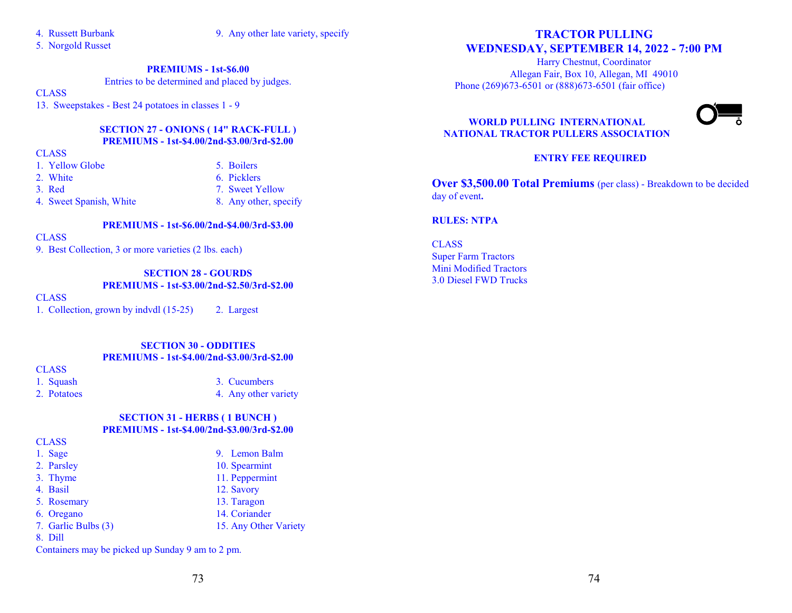- 
- 4. Russett Burbank 9. Any other late variety, specify

5. Norgold Russet

#### **PREMIUMS - 1st-\$6.00**

Entries to be determined and placed by judges.

#### **CLASS**

13. Sweepstakes - Best 24 potatoes in classes 1 - 9

#### **SECTION 27 - ONIONS ( 14" RACK-FULL ) PREMIUMS - 1st-\$4.00/2nd-\$3.00/3rd-\$2.00**

#### **CLASS**

- 1. Yellow Globe 5. Boilers
- 2. White 6. Picklers
- 
- 3. Red 2. Sweet Yellow
- 4. Sweet Spanish, White 8. Any other, specify
	- **PREMIUMS 1st-\$6.00/2nd-\$4.00/3rd-\$3.00**

**CLASS** 

9. Best Collection, 3 or more varieties (2 lbs. each)

# **SECTION 28 - GOURDS**

**PREMIUMS - 1st-\$3.00/2nd-\$2.50/3rd-\$2.00**

#### **CLASS**

1. Collection, grown by indvdl (15-25) 2. Largest

## **SECTION 30 - ODDITIES PREMIUMS - 1st-\$4.00/2nd-\$3.00/3rd-\$2.00**

**CLASS** 

- 1. Squash 3. Cucumbers
- 2. Potatoes 4. Any other variety

### **SECTION 31 - HERBS ( 1 BUNCH ) PREMIUMS - 1st-\$4.00/2nd-\$3.00/3rd-\$2.00**

**CLASS** 

1. Sage 9. Lemon Balm 2. Parsley 10. Spearmint 3. Thyme 11. Peppermint 4. Basil 12. Savory 5. Rosemary 13. Taragon 6. Oregano 14. Coriander 7. Garlic Bulbs (3) 15. Any Other Variety 8. Dill

# **TRACTOR PULLING WEDNESDAY, SEPTEMBER 14, 2022 - 7:00 PM**

Harry Chestnut, Coordinator Allegan Fair, Box 10, Allegan, MI 49010 Phone (269)673-6501 or (888)673-6501 (fair office)



# **WORLD PULLING INTERNATIONAL NATIONAL TRACTOR PULLERS ASSOCIATION**

# **ENTRY FEE REQUIRED**

**Over \$3,500.00 Total Premiums** (per class) - Breakdown to be decided day of event**.**

#### **RULES: NTPA**

**CLASS** Super Farm Tractors Mini Modified Tractors 3.0 Diesel FWD Trucks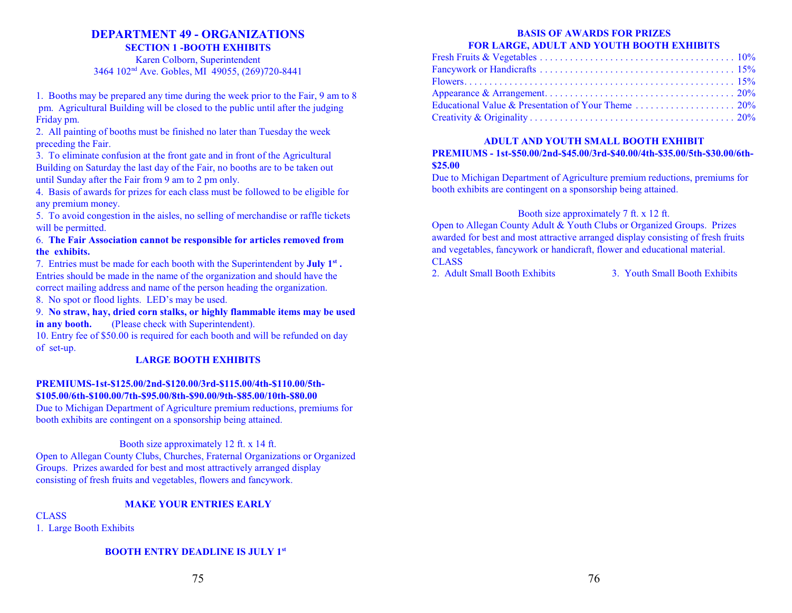# **DEPARTMENT 49 - ORGANIZATIONS**

**SECTION 1 -BOOTH EXHIBITS** Karen Colborn, Superintendent 3464 102<sup>nd</sup> Ave. Gobles, MI 49055, (269)720-8441

1. Booths may be prepared any time during the week prior to the Fair, 9 am to 8 pm. Agricultural Building will be closed to the public until after the judging Friday pm.

2. All painting of booths must be finished no later than Tuesday the week preceding the Fair.

3. To eliminate confusion at the front gate and in front of the Agricultural Building on Saturday the last day of the Fair, no booths are to be taken out until Sunday after the Fair from 9 am to 2 pm only.

4. Basis of awards for prizes for each class must be followed to be eligible for any premium money.

5. To avoid congestion in the aisles, no selling of merchandise or raffle tickets will be permitted.

#### 6. **The Fair Association cannot be responsible for articles removed from the exhibits.**

7. Entries must be made for each booth with the Superintendent by **July 1st .** Entries should be made in the name of the organization and should have the correct mailing address and name of the person heading the organization.

8. No spot or flood lights. LED's may be used.

9. **No straw, hay, dried corn stalks, or highly flammable items may be used in any booth.** (Please check with Superintendent).

10. Entry fee of \$50.00 is required for each booth and will be refunded on day of set-up.

# **LARGE BOOTH EXHIBITS**

#### **PREMIUMS-1st-\$125.00/2nd-\$120.00/3rd-\$115.00/4th-\$110.00/5th- \$105.00/6th-\$100.00/7th-\$95.00/8th-\$90.00/9th-\$85.00/10th-\$80.00**

Due to Michigan Department of Agriculture premium reductions, premiums for booth exhibits are contingent on a sponsorship being attained.

#### Booth size approximately 12 ft. x 14 ft.

Open to Allegan County Clubs, Churches, Fraternal Organizations or Organized Groups. Prizes awarded for best and most attractively arranged display consisting of fresh fruits and vegetables, flowers and fancywork.

# **MAKE YOUR ENTRIES EARLY**

CLASS

1. Large Booth Exhibits

# **BOOTH ENTRY DEADLINE IS JULY 1st**

# **BASIS OF AWARDS FOR PRIZES FOR LARGE, ADULT AND YOUTH BOOTH EXHIBITS**

#### **ADULT AND YOUTH SMALL BOOTH EXHIBIT PREMIUMS - 1st-\$50.00/2nd-\$45.00/3rd-\$40.00/4th-\$35.00/5th-\$30.00/6th- \$25.00**

Due to Michigan Department of Agriculture premium reductions, premiums for booth exhibits are contingent on a sponsorship being attained.

# Booth size approximately 7 ft. x 12 ft.

Open to Allegan County Adult & Youth Clubs or Organized Groups. Prizes awarded for best and most attractive arranged display consisting of fresh fruits and vegetables, fancywork or handicraft, flower and educational material. CLASS

2. Adult Small Booth Exhibits 3. Youth Small Booth Exhibits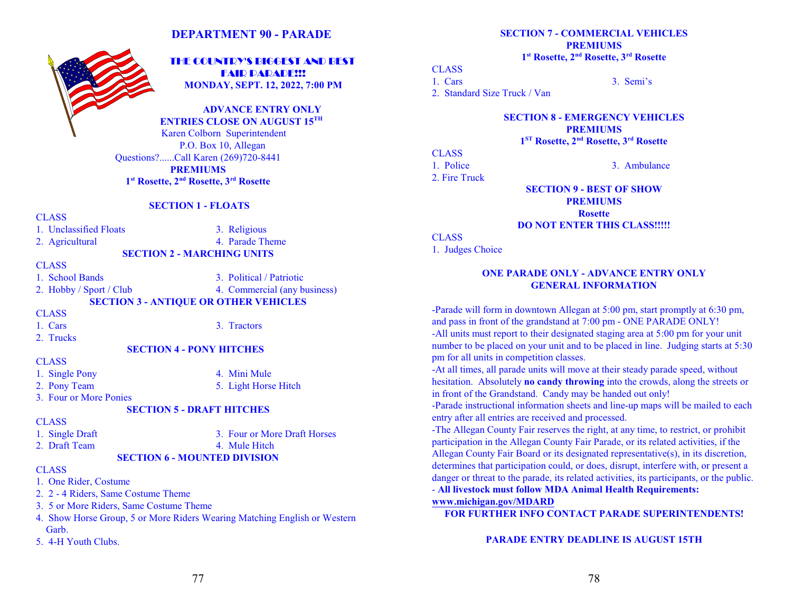# **DEPARTMENT 90 - PARADE**



 THE COUNTRY'S BIGGEST AND BEST **FAIR PARADE!!! MONDAY, SEPT. 12, 2022, 7:00 PM**

**ADVANCE ENTRY ONLY ENTRIES CLOSE ON AUGUST 15TH** 

Karen Colborn Superintendent P.O. Box 10, Allegan Questions?......Call Karen (269)720-8441 **PREMIUMS 1 st Rosette, 2nd Rosette, 3rd Rosette**

**SECTION 1 - FLOATS**

#### CLASS

1. Unclassified Floats 3. Religious

2. Agricultural 4. Parade Theme

#### **CLASS**

1. School Bands 3. Political / Patriotic

2. Hobby / Sport / Club 4. Commercial (any business)

**SECTION 2 - MARCHING UNITS**

**SECTION 3 - ANTIQUE OR OTHER VEHICLES**

CLASS

1. Cars 3. Tractors

2. Trucks

#### **SECTION 4 - PONY HITCHES**

#### CLASS

- 1. Single Pony 4. Mini Mule
- 2. Pony Team 5. Light Horse Hitch

3. Four or More Ponies

#### **SECTION 5 - DRAFT HITCHES**

#### CLASS

- 1. Single Draft 3. Four or More Draft Horses
- 2. Draft Team 4. Mule Hitch

#### **SECTION 6 - MOUNTED DIVISION**

- **CLASS**
- 1. One Rider, Costume
- 2. 2 4 Riders, Same Costume Theme
- 3. 5 or More Riders, Same Costume Theme
- 4. Show Horse Group, 5 or More Riders Wearing Matching English or Western Garb.
- 5. 4-H Youth Clubs.

**SECTION 7 - COMMERCIAL VEHICLES PREMIUMS 1 st Rosette, 2nd Rosette, 3rd Rosette**

#### CLASS

1. Cars 3. Semi's

2. Standard Size Truck / Van

**SECTION 8 - EMERGENCY VEHICLES PREMIUMS**

**1 ST Rosette, 2nd Rosette, 3rd Rosette**

#### **CLASS** 1. Police 3. Ambulance

2. Fire Truck

**SECTION 9 - BEST OF SHOW PREMIUMS Rosette DO NOT ENTER THIS CLASS!!!!!**

# **CLASS**

1. Judges Choice

#### **ONE PARADE ONLY - ADVANCE ENTRY ONLY GENERAL INFORMATION**

-Parade will form in downtown Allegan at 5:00 pm, start promptly at 6:30 pm, and pass in front of the grandstand at 7:00 pm - ONE PARADE ONLY! -All units must report to their designated staging area at 5:00 pm for your unit number to be placed on your unit and to be placed in line. Judging starts at 5:30 pm for all units in competition classes.

-At all times, all parade units will move at their steady parade speed, without hesitation. Absolutely **no candy throwing** into the crowds, along the streets or in front of the Grandstand. Candy may be handed out only!

-Parade instructional information sheets and line-up maps will be mailed to each entry after all entries are received and processed.

-The Allegan County Fair reserves the right, at any time, to restrict, or prohibit participation in the Allegan County Fair Parade, or its related activities, if the Allegan County Fair Board or its designated representative(s), in its discretion, determines that participation could, or does, disrupt, interfere with, or present a danger or threat to the parade, its related activities, its participants, or the public.

- **All livestock must follow MDA Animal Health Requirements: [www.michigan.gov/MDARD](http://www.michigan.gov/documents/mda/ExReq)** 

**FOR FURTHER INFO CONTACT PARADE SUPERINTENDENTS!**

**PARADE ENTRY DEADLINE IS AUGUST 15TH**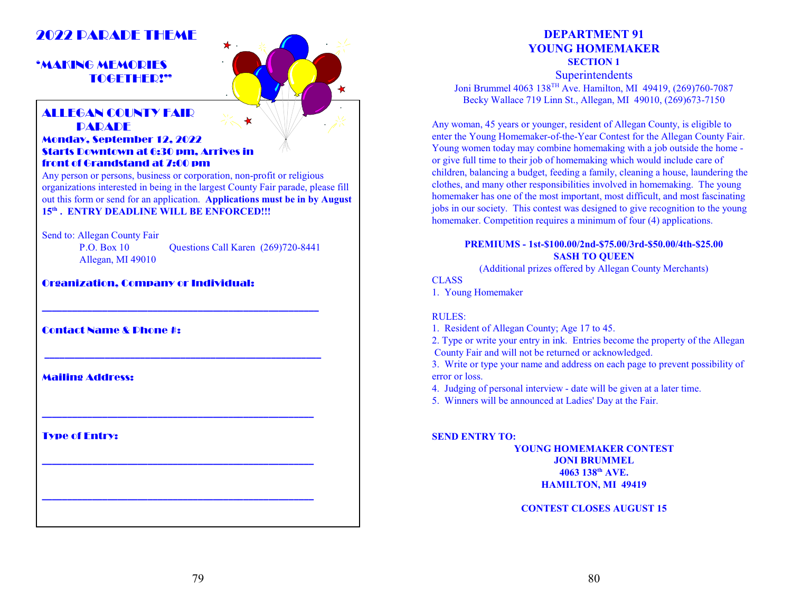# 2022 DADADE THEME

# 'MAKING MEMORIES TOGETHER!"



# ALLEGAN COUNTY FAIR **DADADE**

### Monday, September 12, 2022 Starts Downtown at 6:30 pm, Arrives in front of Grandstand at 7:00 pm

Any person or persons, business or corporation, non-profit or religious organizations interested in being in the largest County Fair parade, please fill out this form or send for an application. **Applications must be in by August 15 th . ENTRY DEADLINE WILL BE ENFORCED!!!**

Send to: Allegan County Fair

Allegan, MI 49010

P.O. Box 10 Questions Call Karen (269)720-8441

# Organization, Company or Individual:

Contact Name & Phone #:

Mailing Address:

Type of Entry:

# **DEPARTMENT 91 YOUNG HOMEMAKER**

**SECTION 1**

**Superintendents** Joni Brummel 4063 138TH Ave. Hamilton, MI 49419, (269)760-7087 Becky Wallace 719 Linn St., Allegan, MI 49010, (269)673-7150

Any woman, 45 years or younger, resident of Allegan County, is eligible to enter the Young Homemaker-of-the-Year Contest for the Allegan County Fair. Young women today may combine homemaking with a job outside the home or give full time to their job of homemaking which would include care of children, balancing a budget, feeding a family, cleaning a house, laundering the clothes, and many other responsibilities involved in homemaking. The young homemaker has one of the most important, most difficult, and most fascinating jobs in our society. This contest was designed to give recognition to the young homemaker. Competition requires a minimum of four (4) applications.

# **PREMIUMS - 1st-\$100.00/2nd-\$75.00/3rd-\$50.00/4th-\$25.00 SASH TO QUEEN**

(Additional prizes offered by Allegan County Merchants)

**CLASS** 

1. Young Homemaker

#### RULES:

1. Resident of Allegan County; Age 17 to 45.

2. Type or write your entry in ink. Entries become the property of the Allegan County Fair and will not be returned or acknowledged.

3. Write or type your name and address on each page to prevent possibility of error or loss.

4. Judging of personal interview - date will be given at a later time.

5. Winners will be announced at Ladies' Day at the Fair.

#### **SEND ENTRY TO:**

**YOUNG HOMEMAKER CONTEST JONI BRUMMEL 4063 138 th AVE. HAMILTON, MI 49419**

**CONTEST CLOSES AUGUST 15**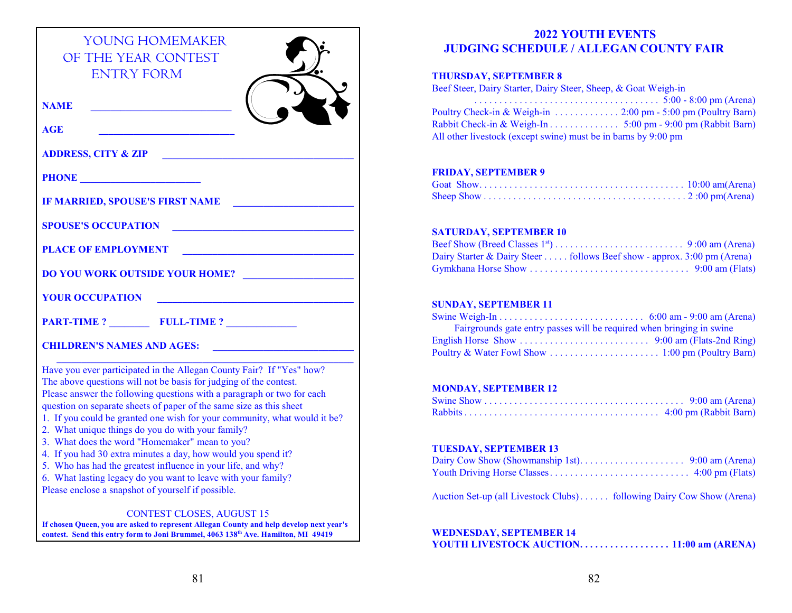| <b>YOUNG HOMEMAKER</b><br>OF THE YEAR CONTEST<br><b>ENTRY FORM</b>                                                                                                                                                                                                                                                                                                                                                                                                                                                                                                                                                                                                                                                                     |
|----------------------------------------------------------------------------------------------------------------------------------------------------------------------------------------------------------------------------------------------------------------------------------------------------------------------------------------------------------------------------------------------------------------------------------------------------------------------------------------------------------------------------------------------------------------------------------------------------------------------------------------------------------------------------------------------------------------------------------------|
| <b>NAME</b>                                                                                                                                                                                                                                                                                                                                                                                                                                                                                                                                                                                                                                                                                                                            |
| <b>AGE</b>                                                                                                                                                                                                                                                                                                                                                                                                                                                                                                                                                                                                                                                                                                                             |
| <b>ADDRESS, CITY &amp; ZIP</b>                                                                                                                                                                                                                                                                                                                                                                                                                                                                                                                                                                                                                                                                                                         |
|                                                                                                                                                                                                                                                                                                                                                                                                                                                                                                                                                                                                                                                                                                                                        |
| IF MARRIED, SPOUSE'S FIRST NAME                                                                                                                                                                                                                                                                                                                                                                                                                                                                                                                                                                                                                                                                                                        |
| <b>SPOUSE'S OCCUPATION</b><br><u> 1989 - Johann John Stone, markin film yn y breninnas y breninnas y breninn y breninn y breninn y breninn y br</u>                                                                                                                                                                                                                                                                                                                                                                                                                                                                                                                                                                                    |
| <b>PLACE OF EMPLOYMENT</b>                                                                                                                                                                                                                                                                                                                                                                                                                                                                                                                                                                                                                                                                                                             |
| <b>DO YOU WORK OUTSIDE YOUR HOME?</b>                                                                                                                                                                                                                                                                                                                                                                                                                                                                                                                                                                                                                                                                                                  |
| <b>YOUR OCCUPATION</b>                                                                                                                                                                                                                                                                                                                                                                                                                                                                                                                                                                                                                                                                                                                 |
| <b>PART-TIME ?</b> FULL-TIME ?                                                                                                                                                                                                                                                                                                                                                                                                                                                                                                                                                                                                                                                                                                         |
| <b>CHILDREN'S NAMES AND AGES:</b>                                                                                                                                                                                                                                                                                                                                                                                                                                                                                                                                                                                                                                                                                                      |
| Have you ever participated in the Allegan County Fair? If "Yes" how?<br>The above questions will not be basis for judging of the contest.<br>Please answer the following questions with a paragraph or two for each<br>question on separate sheets of paper of the same size as this sheet<br>1. If you could be granted one wish for your community, what would it be?<br>2. What unique things do you do with your family?<br>3. What does the word "Homemaker" mean to you?<br>4. If you had 30 extra minutes a day, how would you spend it?<br>5. Who has had the greatest influence in your life, and why?<br>6. What lasting legacy do you want to leave with your family?<br>Please enclose a snapshot of yourself if possible. |
| <b>CONTEST CLOSES, AUGUST 15</b><br>If chosen Queen, you are asked to represent Allegan County and help develop next year's<br>contest. Send this entry form to Joni Brummel, 4063 138 <sup>th</sup> Ave. Hamilton, MI 49419                                                                                                                                                                                                                                                                                                                                                                                                                                                                                                           |

# **2022 YOUTH EVENTS JUDGING SCHEDULE / ALLEGAN COUNTY FAIR**

# **THURSDAY, SEPTEMBER 8**

| Beef Steer, Dairy Starter, Dairy Steer, Sheep, & Goat Weigh-in |  |  |
|----------------------------------------------------------------|--|--|
|                                                                |  |  |
|                                                                |  |  |
|                                                                |  |  |
| All other livestock (except swine) must be in barns by 9:00 pm |  |  |

#### **FRIDAY, SEPTEMBER 9**

# **SATURDAY, SEPTEMBER 10**

| Dairy Starter & Dairy Steer follows Beef show - approx. 3:00 pm (Arena) |  |
|-------------------------------------------------------------------------|--|
|                                                                         |  |

# **SUNDAY, SEPTEMBER 11**

| Fairgrounds gate entry passes will be required when bringing in swine |  |
|-----------------------------------------------------------------------|--|
|                                                                       |  |
|                                                                       |  |

# **MONDAY, SEPTEMBER 12**

# **TUESDAY, SEPTEMBER 13**

| Auction Set-up (all Livestock Clubs) following Dairy Cow Show (Arena) |  |
|-----------------------------------------------------------------------|--|

# **WEDNESDAY, SEPTEMBER 14**

|--|--|--|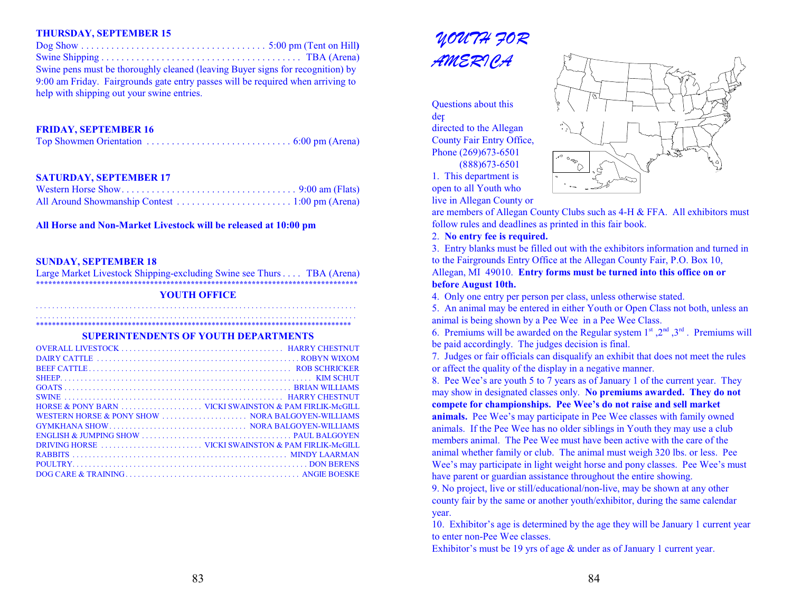#### **THURSDAY, SEPTEMBER 15**

| Swine pens must be thoroughly cleaned (leaving Buyer signs for recognition) by  |  |
|---------------------------------------------------------------------------------|--|
| 9:00 am Friday. Fairgrounds gate entry passes will be required when arriving to |  |
| help with shipping out your swine entries.                                      |  |

#### **FRIDAY, SEPTEMBER 16**

|--|--|--|

#### **SATURDAY, SEPTEMBER 17**

**All Horse and Non-Market Livestock will be released at 10:00 pm**

#### **SUNDAY, SEPTEMBER 18**

Large Market Livestock Shipping-excluding Swine see Thurs. . . . TBA (Arena) **\*\*\*\*\*\*\*\*\*\*\*\*\*\*\*\*\*\*\*\*\*\*\*\*\*\*\*\*\*\*\*\*\*\*\*\*\*\*\*\*\*\*\*\*\*\*\*\*\*\*\*\*\*\*\*\*\*\*\*\*\*\*\*\*\*\*\*\*\*\*\*\*\*\*\*\*\*\*\***

#### **YOUTH OFFICE**

. . . . . . . . . . . . . . . . . . . . . . . . . . . . . . . . . . . . . . . . . . . . . . . . . . . . . . . . . . . . . . . . . . . . . . . . . . . . . . . . . . . . . . . . . . . . . . . . . . . . . . . . . . . . . . . . . . . . . . . . . . . . . . . . . . . . . . . . . . . . . . . . . . . . . . . . . . . . . . \*\*\*\*\*\*\*\*\*\*\*\*\*\*\*\*\*\*\*\*\*\*\*\*\*\*\*\*\*\*\*\*\*\*\*\*\*\*\*\*\*\*\*\*\*\*\*\*\*\*\*\*\*\*\*\*\*\*\*\*\*\*\*\*\*\*\*\*\*\*\*\*\*\*\*\*\*\*\*

**SUPERINTENDENTS OF YOUTH DEPARTMENTS**

| WESTERN HORSE & PONY SHOW  NORA BALGOYEN-WILLIAMS |  |
|---------------------------------------------------|--|
|                                                   |  |
|                                                   |  |
|                                                   |  |
|                                                   |  |
|                                                   |  |
|                                                   |  |
|                                                   |  |



Questions about this  $der$ directed to the Allegan County Fair Entry Office, Phone (269)673-6501 (888)673-6501 1. This department is

open to all Youth who



are members of Allegan County Clubs such as 4-H & FFA. All exhibitors must follow rules and deadlines as printed in this fair book.

2. **No entry fee is required.**

3. Entry blanks must be filled out with the exhibitors information and turned in to the Fairgrounds Entry Office at the Allegan County Fair, P.O. Box 10, Allegan, MI 49010. **Entry forms must be turned into this office on or**

#### **before August 10th.**

4. Only one entry per person per class, unless otherwise stated.

5. An animal may be entered in either Youth or Open Class not both, unless an animal is being shown by a Pee Wee in a Pee Wee Class.

6. Premiums will be awarded on the Regular system  $1^{st}$ ,  $2^{nd}$ ,  $3^{rd}$ . Premiums will be paid accordingly. The judges decision is final.

7. Judges or fair officials can disqualify an exhibit that does not meet the rules or affect the quality of the display in a negative manner.

8. Pee Wee's are youth 5 to 7 years as of January 1 of the current year. They may show in designated classes only. **No premiums awarded. They do not compete for championships. Pee Wee's do not raise and sell market**

**animals.** Pee Wee's may participate in Pee Wee classes with family owned animals. If the Pee Wee has no older siblings in Youth they may use a club members animal. The Pee Wee must have been active with the care of the animal whether family or club. The animal must weigh 320 lbs. or less. Pee Wee's may participate in light weight horse and pony classes. Pee Wee's must have parent or guardian assistance throughout the entire showing.

9. No project, live or still/educational/non-live, may be shown at any other county fair by the same or another youth/exhibitor, during the same calendar year.

10. Exhibitor's age is determined by the age they will be January 1 current year to enter non-Pee Wee classes.

Exhibitor's must be 19 yrs of age & under as of January 1 current year.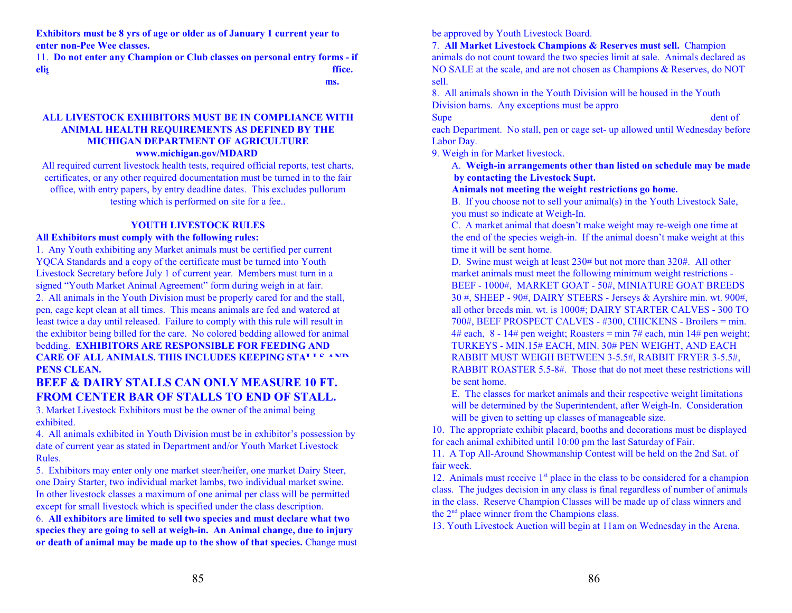**Exhibitors must be 8 yrs of age or older as of January 1 current year to enter non-Pee Wee classes.**

11. **Do not enter any Champion or Club classes on personal entry forms - if elig entered in the fair of**  $\mathbf{f}$  **free.** 12. **Club, Team or Group classes must be entered on Club entry forms.** 

#### **ALL LIVESTOCK EXHIBITORS MUST BE IN COMPLIANCE WITH ANIMAL HEALTH REQUIREMENTS AS DEFINED BY THE MICHIGAN DEPARTMENT OF AGRICULTURE www.michigan.gov/MDARD**

All required current livestock health tests, required official reports, test charts, certificates, or any other required documentation must be turned in to the fair office, with entry papers, by entry deadline dates. This excludes pullorum testing which is performed on site for a fee..

# **YOUTH LIVESTOCK RULES**

#### **All Exhibitors must comply with the following rules:**

1. Any Youth exhibiting any Market animals must be certified per current YQCA Standards and a copy of the certificate must be turned into Youth Livestock Secretary before July 1 of current year. Members must turn in a signed "Youth Market Animal Agreement" form during weigh in at fair.

2. All animals in the Youth Division must be properly cared for and the stall, pen, cage kept clean at all times. This means animals are fed and watered at least twice a day until released. Failure to comply with this rule will result in the exhibitor being billed for the care. No colored bedding allowed for animal bedding. **EXHIBITORS ARE RESPONSIBLE FOR FEEDING AND CARE OF ALL ANIMALS. THIS INCLUDES KEEPING STALLS AND PENS CLEAN.** 

# **BEEF & DAIRY STALLS CAN ONLY MEASURE 10 FT. FROM CENTER BAR OF STALLS TO END OF STALL.**

3. Market Livestock Exhibitors must be the owner of the animal being exhibited.

4. All animals exhibited in Youth Division must be in exhibitor's possession by date of current year as stated in Department and/or Youth Market Livestock Rules.

5. Exhibitors may enter only one market steer/heifer, one market Dairy Steer, one Dairy Starter, two individual market lambs, two individual market swine. In other livestock classes a maximum of one animal per class will be permitted except for small livestock which is specified under the class description.

6. **All exhibitors are limited to sell two species and must declare what two species they are going to sell at weigh-in. An Animal change, due to injury or death of animal may be made up to the show of that species.** Change must be approved by Youth Livestock Board.

7. **All Market Livestock Champions & Reserves must sell.** Champion animals do not count toward the two species limit at sale. Animals declared as NO SALE at the scale, and are not chosen as Champions & Reserves, do NOT sell.

8. All animals shown in the Youth Division will be housed in the Youth Division barns. Any exceptions must be approved by the Livestockhall by the Livestockhall by the Livestockhall

Superintendent. Statels, pens and cages will be assigned by Superintendent of  $\mathbf d$ each Department. No stall, pen or cage set- up allowed until Wednesday before Labor Day.

9. Weigh in for Market livestock.

A. **Weigh-in arrangements other than listed on schedule may be made by contacting the Livestock Supt.**

#### **Animals not meeting the weight restrictions go home.**

B. If you choose not to sell your animal(s) in the Youth Livestock Sale, you must so indicate at Weigh-In.

C. A market animal that doesn't make weight may re-weigh one time at the end of the species weigh-in. If the animal doesn't make weight at this time it will be sent home.

D. Swine must weigh at least 230# but not more than 320#. All other market animals must meet the following minimum weight restrictions - BEEF - 1000#, MARKET GOAT - 50#, MINIATURE GOAT BREEDS 30 #, SHEEP - 90#, DAIRY STEERS - Jerseys & Ayrshire min. wt. 900#, all other breeds min. wt. is 1000#; DAIRY STARTER CALVES - 300 TO 700#, BEEF PROSPECT CALVES - #300, CHICKENS - Broilers = min. 4# each,  $8 - 14$ # pen weight; Roasters = min 7# each, min 14# pen weight; TURKEYS - MIN.15# EACH, MIN. 30# PEN WEIGHT, AND EACH RABBIT MUST WEIGH BETWEEN 3-5.5#, RABBIT FRYER 3-5.5#, RABBIT ROASTER 5.5-8#. Those that do not meet these restrictions will be sent home.

E. The classes for market animals and their respective weight limitations will be determined by the Superintendent, after Weigh-In. Consideration will be given to setting up classes of manageable size.

10. The appropriate exhibit placard, booths and decorations must be displayed for each animal exhibited until 10:00 pm the last Saturday of Fair.

11. A Top All-Around Showmanship Contest will be held on the 2nd Sat. of fair week.

12. Animals must receive  $1<sup>st</sup>$  place in the class to be considered for a champion class. The judges decision in any class is final regardless of number of animals in the class. Reserve Champion Classes will be made up of class winners and the  $2<sup>nd</sup>$  place winner from the Champions class.

13. Youth Livestock Auction will begin at 11am on Wednesday in the Arena.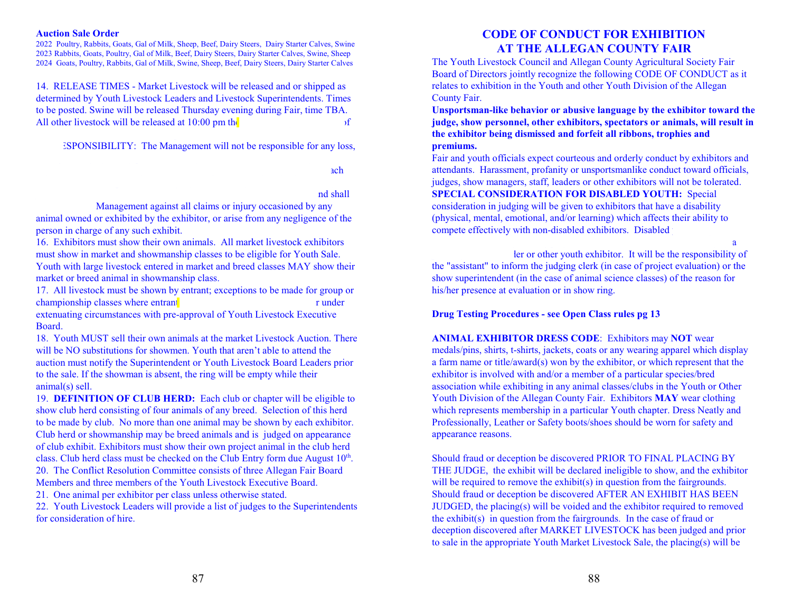#### **Auction Sale Order**

2022 Poultry, Rabbits, Goats, Gal of Milk, Sheep, Beef, Dairy Steers, Dairy Starter Calves, Swine 2023 Rabbits, Goats, Poultry, Gal of Milk, Beef, Dairy Steers, Dairy Starter Calves, Swine, Sheep 2024 Goats, Poultry, Rabbits, Gal of Milk, Swine, Sheep, Beef, Dairy Steers, Dairy Starter Calves

14. RELEASE TIMES - Market Livestock will be released and or shipped as determined by Youth Livestock Leaders and Livestock Superintendents. Times to be posted. Swine will be released Thursday evening during Fair, time TBA. All other livestock will be released at  $10:00$  pm the last Saturday. If

ESPONSIBILITY: The Management will not be responsible for any loss,

any kind or nature that may be lost or destroyed, or in any way in any way in  $\mathop{\rm ad}\nolimits$ 

#### person whosoever by any animal or exhibited by any animal or exhibited by the exhibited by the exhibition and shall

Management against all claims or injury occasioned by any animal owned or exhibited by the exhibitor, or arise from any negligence of the person in charge of any such exhibit.

16. Exhibitors must show their own animals. All market livestock exhibitors must show in market and showmanship classes to be eligible for Youth Sale. Youth with large livestock entered in market and breed classes MAY show their market or breed animal in showmanship class.

17. All livestock must be shown by entrant; exceptions to be made for group or championship classes where entrant has more than one entrant has more than one entrant than one entrant than one entrant than  $\mathbf{r}$  under extenuating circumstances with pre-approval of Youth Livestock Executive

Board.

18. Youth MUST sell their own animals at the market Livestock Auction. There will be NO substitutions for showmen. Youth that aren't able to attend the auction must notify the Superintendent or Youth Livestock Board Leaders prior to the sale. If the showman is absent, the ring will be empty while their animal(s) sell.

19. **DEFINITION OF CLUB HERD:** Each club or chapter will be eligible to show club herd consisting of four animals of any breed. Selection of this herd to be made by club. No more than one animal may be shown by each exhibitor. Club herd or showmanship may be breed animals and is judged on appearance of club exhibit. Exhibitors must show their own project animal in the club herd class. Club herd class must be checked on the Club Entry form due August 10<sup>th</sup>. 20. The Conflict Resolution Committee consists of three Allegan Fair Board Members and three members of the Youth Livestock Executive Board.

21. One animal per exhibitor per class unless otherwise stated.

22. Youth Livestock Leaders will provide a list of judges to the Superintendents for consideration of hire.

# **CODE OF CONDUCT FOR EXHIBITION AT THE ALLEGAN COUNTY FAIR**

The Youth Livestock Council and Allegan County Agricultural Society Fair Board of Directors jointly recognize the following CODE OF CONDUCT as it relates to exhibition in the Youth and other Youth Division of the Allegan County Fair.

**Unsportsman-like behavior or abusive language by the exhibitor toward the judge, show personnel, other exhibitors, spectators or animals, will result in the exhibitor being dismissed and forfeit all ribbons, trophies and premiums.**

Fair and youth officials expect courteous and orderly conduct by exhibitors and attendants. Harassment, profanity or unsportsmanlike conduct toward officials, judges, show managers, staff, leaders or other exhibitors will not be tolerated. **SPECIAL CONSIDERATION FOR DISABLED YOUTH:** Special consideration in judging will be given to exhibitors that have a disability (physical, mental, emotional, and/or learning) which affects their ability to compete effectively with non-disabled exhibitors. Disabled

assisted, as necessary, during project evaluation and/or in the show ring by a ler or other youth exhibitor. It will be the responsibility of the "assistant" to inform the judging clerk (in case of project evaluation) or the show superintendent (in the case of animal science classes) of the reason for his/her presence at evaluation or in show ring.

#### **Drug Testing Procedures - see Open Class rules pg 13**

**ANIMAL EXHIBITOR DRESS CODE**: Exhibitors may **NOT** wear medals/pins, shirts, t-shirts, jackets, coats or any wearing apparel which display a farm name or title/award(s) won by the exhibitor, or which represent that the exhibitor is involved with and/or a member of a particular species/bred association while exhibiting in any animal classes/clubs in the Youth or Other Youth Division of the Allegan County Fair. Exhibitors **MAY** wear clothing which represents membership in a particular Youth chapter. Dress Neatly and Professionally, Leather or Safety boots/shoes should be worn for safety and appearance reasons.

Should fraud or deception be discovered PRIOR TO FINAL PLACING BY THE JUDGE, the exhibit will be declared ineligible to show, and the exhibitor will be required to remove the exhibit(s) in question from the fairgrounds. Should fraud or deception be discovered AFTER AN EXHIBIT HAS BEEN JUDGED, the placing(s) will be voided and the exhibitor required to removed the exhibit(s) in question from the fairgrounds. In the case of fraud or deception discovered after MARKET LIVESTOCK has been judged and prior to sale in the appropriate Youth Market Livestock Sale, the placing(s) will be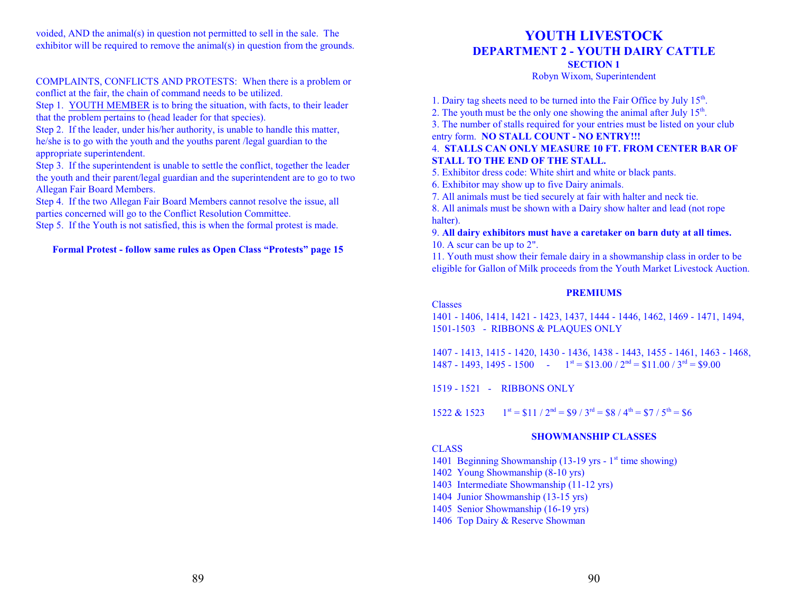voided, AND the animal(s) in question not permitted to sell in the sale. The exhibitor will be required to remove the animal(s) in question from the grounds.

#### COMPLAINTS, CONFLICTS AND PROTESTS: When there is a problem or conflict at the fair, the chain of command needs to be utilized.

Step 1. YOUTH MEMBER is to bring the situation, with facts, to their leader that the problem pertains to (head leader for that species).

Step 2. If the leader, under his/her authority, is unable to handle this matter, he/she is to go with the youth and the youths parent /legal guardian to the appropriate superintendent.

Step 3. If the superintendent is unable to settle the conflict, together the leader the youth and their parent/legal guardian and the superintendent are to go to two Allegan Fair Board Members.

Step 4. If the two Allegan Fair Board Members cannot resolve the issue, all parties concerned will go to the Conflict Resolution Committee.

Step 5. If the Youth is not satisfied, this is when the formal protest is made.

#### **Formal Protest - follow same rules as Open Class "Protests" page 15**

# **YOUTH LIVESTOCK DEPARTMENT 2 - YOUTH DAIRY CATTLE**

**SECTION 1**

Robyn Wixom, Superintendent

1. Dairy tag sheets need to be turned into the Fair Office by July 15<sup>th</sup>.

2. The youth must be the only one showing the animal after July  $15<sup>th</sup>$ .

3. The number of stalls required for your entries must be listed on your club entry form. **NO STALL COUNT - NO ENTRY!!!**

# 4. **STALLS CAN ONLY MEASURE 10 FT. FROM CENTER BAR OF STALL TO THE END OF THE STALL.**

5. Exhibitor dress code: White shirt and white or black pants.

6. Exhibitor may show up to five Dairy animals.

7. All animals must be tied securely at fair with halter and neck tie.

8. All animals must be shown with a Dairy show halter and lead (not rope halter).

9. **All dairy exhibitors must have a caretaker on barn duty at all times.** 10. A scur can be up to 2".

11. Youth must show their female dairy in a showmanship class in order to be eligible for Gallon of Milk proceeds from the Youth Market Livestock Auction.

#### **PREMIUMS**

Classes

1401 - 1406, 1414, 1421 - 1423, 1437, 1444 - 1446, 1462, 1469 - 1471, 1494, 1501-1503 - RIBBONS & PLAQUES ONLY

1407 - 1413, 1415 - 1420, 1430 - 1436, 1438 - 1443, 1455 - 1461, 1463 - 1468, 1487 - 1493, 1495 - 1500 -  $1^{st} = $13.00 / 2^{nd} = $11.00 / 3^{rd} = $9.00$ 

1519 - 1521 - RIBBONS ONLY

1522 & 1523  $= $11 / 2<sup>nd</sup> = $9 / 3<sup>rd</sup> = $8 / 4<sup>th</sup> = $7 / 5<sup>th</sup> = $6$ 

# **SHOWMANSHIP CLASSES**

# **CLASS**

1401 Beginning Showmanship (13-19 yrs - 1<sup>st</sup> time showing)

- 1402 Young Showmanship (8-10 yrs)
- 1403 Intermediate Showmanship (11-12 yrs)
- 1404 Junior Showmanship (13-15 yrs)
- 1405 Senior Showmanship (16-19 yrs)
- 1406 Top Dairy & Reserve Showman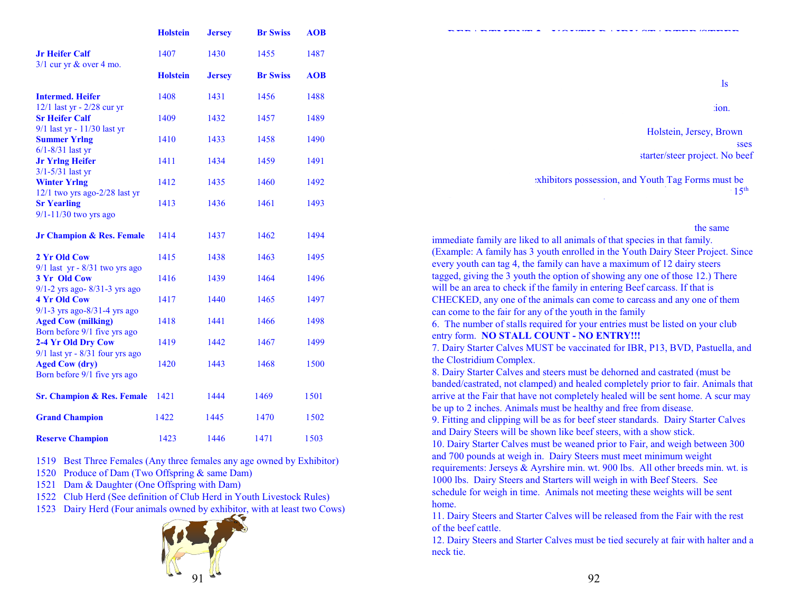|                                                                                              | <b>Holstein</b> | <b>Jersey</b> | <b>Br Swiss</b> | <b>AOB</b> |
|----------------------------------------------------------------------------------------------|-----------------|---------------|-----------------|------------|
| <b>Jr Heifer Calf</b><br>$3/1$ cur yr & over 4 mo.                                           | 1407            | 1430          | 1455            | 1487       |
|                                                                                              | <b>Holstein</b> | <b>Jersey</b> | <b>Br Swiss</b> | <b>AOB</b> |
| <b>Intermed, Heifer</b>                                                                      | 1408            | 1431          | 1456            | 1488       |
| $12/1$ last yr - $2/28$ cur yr<br><b>Sr Heifer Calf</b>                                      | 1409            | 1432          | 1457            | 1489       |
| 9/1 last yr - 11/30 last yr<br><b>Summer Yrlng</b>                                           | 1410            | 1433          | 1458            | 1490       |
| $6/1 - 8/31$ last yr<br><b>Jr Yring Heifer</b>                                               | 1411            | 1434          | 1459            | 1491       |
| $3/1 - 5/31$ last yr<br><b>Winter Yrlng</b>                                                  | 1412            | 1435          | 1460            | 1492       |
| $12/1$ two yrs ago- $2/28$ last yr<br><b>Sr Yearling</b><br>9/1-11/30 two yrs ago            | 1413            | 1436          | 1461            | 1493       |
| <b>Jr Champion &amp; Res. Female</b>                                                         | 1414            | 1437          | 1462            | 1494       |
| 2 Yr Old Cow                                                                                 | 1415            | 1438          | 1463            | 1495       |
| $9/1$ last yr - $8/31$ two yrs ago<br>3 Yr Old Cow                                           | 1416            | 1439          | 1464            | 1496       |
| $9/1 - 2$ yrs ago- $8/31 - 3$ yrs ago<br><b>4 Yr Old Cow</b>                                 | 1417            | 1440          | 1465            | 1497       |
| $9/1 - 3$ yrs ago-8/31-4 yrs ago<br><b>Aged Cow (milking)</b>                                | 1418            | 1441          | 1466            | 1498       |
| Born before 9/1 five yrs ago<br>2-4 Yr Old Dry Cow                                           | 1419            | 1442          | 1467            | 1499       |
| $9/1$ last yr - $8/31$ four yrs ago<br><b>Aged Cow (dry)</b><br>Born before 9/1 five yrs ago | 1420            | 1443          | 1468            | 1500       |
| <b>Sr. Champion &amp; Res. Female</b>                                                        | 1421            | 1444          | 1469            | 1501       |
| <b>Grand Champion</b>                                                                        | 1422            | 1445          | 1470            | 1502       |
| <b>Reserve Champion</b>                                                                      | 1423            | 1446          | 1471            | 1503       |

- 1519 Best Three Females (Any three females any age owned by Exhibitor)
- 1520 Produce of Dam (Two Offspring & same Dam)
- 1521 Dam & Daughter (One Offspring with Dam)
- 1522 Club Herd (See definition of Club Herd in Youth Livestock Rules)
- 1523 Dairy Herd (Four animals owned by exhibitor, with at least two Cows)



| 10 <sub>n</sub>                        |
|----------------------------------------|
| Holstein, Jersey, Brown                |
| sses<br>starter/steer project. No beef |

exhibitors possession, and Youth Tag Forms must be  $\sim 15^{\text{th}}$ 

Fair. Fair. Fair. Fair. Family tagging the same set up so that all youth in the same set up so that all youth in the same immediate family are liked to all animals of that species in that family. (Example: A family has 3 youth enrolled in the Youth Dairy Steer Project. Since every youth can tag 4, the family can have a maximum of 12 dairy steers tagged, giving the 3 youth the option of showing any one of those 12.) There will be an area to check if the family in entering Beef carcass. If that is CHECKED, any one of the animals can come to carcass and any one of them can come to the fair for any of the youth in the family 6. The number of stalls required for your entries must be listed on your club

**DEPARTMENT 2 - YOUTH DAIRY STARTER/STEER**

 $\log$ 

entry form. **NO STALL COUNT - NO ENTRY!!!**

7. Dairy Starter Calves MUST be vaccinated for IBR, P13, BVD, Pastuella, and the Clostridium Complex.

8. Dairy Starter Calves and steers must be dehorned and castrated (must be banded/castrated, not clamped) and healed completely prior to fair. Animals that arrive at the Fair that have not completely healed will be sent home. A scur may be up to 2 inches. Animals must be healthy and free from disease.

9. Fitting and clipping will be as for beef steer standards. Dairy Starter Calves and Dairy Steers will be shown like beef steers, with a show stick.

10. Dairy Starter Calves must be weaned prior to Fair, and weigh between 300 and 700 pounds at weigh in. Dairy Steers must meet minimum weight requirements: Jerseys & Ayrshire min. wt. 900 lbs. All other breeds min. wt. is 1000 lbs. Dairy Steers and Starters will weigh in with Beef Steers. See

schedule for weigh in time. Animals not meeting these weights will be sent home.

11. Dairy Steers and Starter Calves will be released from the Fair with the rest of the beef cattle.

12. Dairy Steers and Starter Calves must be tied securely at fair with halter and a neck tie.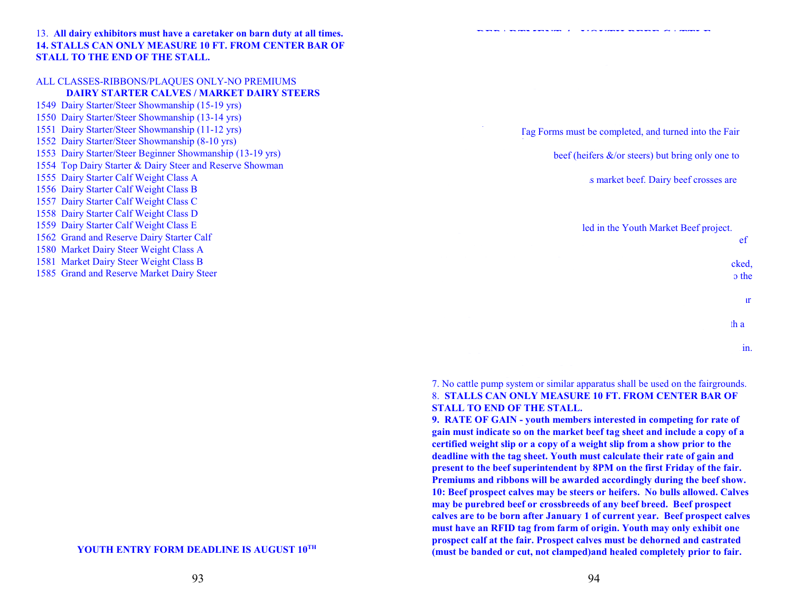13. **All dairy exhibitors must have a caretaker on barn duty at all times. 14. STALLS CAN ONLY MEASURE 10 FT. FROM CENTER BAR OF STALL TO THE END OF THE STALL.** 

#### ALL CLASSES-RIBBONS/PLAQUES ONLY-NO PREMIUMS

#### **DAIRY STARTER CALVES / MARKET DAIRY STEERS**

- 1549 Dairy Starter/Steer Showmanship (15-19 yrs) 1550 Dairy Starter/Steer Showmanship (13-14 yrs) 1551 Dairy Starter/Steer Showmanship (11-12 yrs) 1552 Dairy Starter/Steer Showmanship (8-10 yrs) 1553 Dairy Starter/Steer Beginner Showmanship (13-19 yrs) 1554 Top Dairy Starter & Dairy Steer and Reserve Showman 1555 Dairy Starter Calf Weight Class A 1556 Dairy Starter Calf Weight Class B 1557 Dairy Starter Calf Weight Class C 1558 Dairy Starter Calf Weight Class D 1559 Dairy Starter Calf Weight Class E 1562 Grand and Reserve Dairy Starter Calf 1580 Market Dairy Steer Weight Class A 1581 Market Dairy Steer Weight Class B
- 1585 Grand and Reserve Market Dairy Steer

**DEPARTMENT 4 - YOUTH BEEF CATTLE**

Tag Forms must be completed, and turned into the Fair

beef (heifers  $\&$ /or steers) but bring only one to

s market beef. Dairy beef crosses are

led in the Youth Market Beef project.  $\mathbf{e}$  eferge a maximum of  $\mathbf{e}$ will be an area to check if the family is entering Beef carcass. If the family is  $\mathbf{c}\mathbf{k}\mathbf{e}\mathbf{d}$ ,  $\alpha$  and animals can come to calculate animals can come to the animals can come to the m can come to the m can come to the m can come to the m can come to the m can come to the m can come to the m can come to the m can co  $\mathbf{3.3.7}$  $\mathbf{h}$  and steers must be tied securely to many tied securely to  $\mathbf{h}$  and  $\mathbf{h}$  $\frac{1}{2}$  in the individual members name and shown at weight in.

#### 7. No cattle pump system or similar apparatus shall be used on the fairgrounds. 8. **STALLS CAN ONLY MEASURE 10 FT. FROM CENTER BAR OF STALL TO END OF THE STALL.**

**9. RATE OF GAIN - youth members interested in competing for rate of gain must indicate so on the market beef tag sheet and include a copy of a certified weight slip or a copy of a weight slip from a show prior to the deadline with the tag sheet. Youth must calculate their rate of gain and present to the beef superintendent by 8PM on the first Friday of the fair. Premiums and ribbons will be awarded accordingly during the beef show. 10: Beef prospect calves may be steers or heifers. No bulls allowed. Calves may be purebred beef or crossbreeds of any beef breed. Beef prospect calves are to be born after January 1 of current year. Beef prospect calves must have an RFID tag from farm of origin. Youth may only exhibit one prospect calf at the fair. Prospect calves must be dehorned and castrated (must be banded or cut, not clamped)and healed completely prior to fair.** 

**YOUTH ENTRY FORM DEADLINE IS AUGUST 10 TH**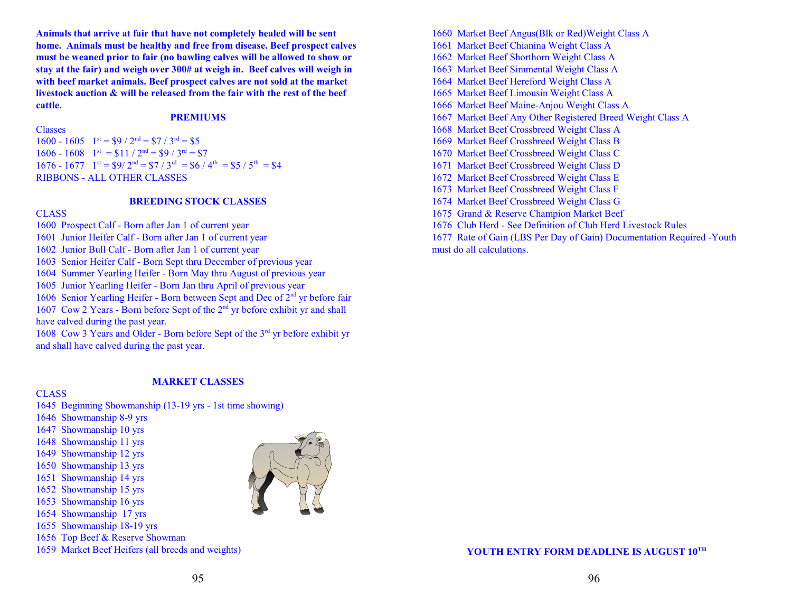**Animals that arrive at fair that have not completely healed will be sent home. Animals must be healthy and free from disease. Beef prospect calves must be weaned prior to fair (no bawling calves will be allowed to show or stay at the fair) and weigh over 300# at weigh in. Beef calves will weigh in with beef market animals. Beef prospect calves are not sold at the market livestock auction & will be released from the fair with the rest of the beef cattle.** 

#### **PREMIUMS**

#### Classes

 $1600 - 1605$   $1^{st} = $9 / 2^{nd} = $7 / 3^{rd} = $5$  $1606 - 1608$   $1^{st} = $11 / 2^{nd} = $9 / 3^{rd} = $7$  $1676 - 1677$   $1^{\text{st}} = $9/2^{\text{nd}} = $7/3^{\text{rd}} = $6/4^{\text{th}} = $5/5^{\text{th}} = $4$ RIBBONS - ALL OTHER CLASSES

#### **BREEDING STOCK CLASSES**

#### **CLASS**

- 1600 Prospect Calf Born after Jan 1 of current year
- 1601 Junior Heifer Calf Born after Jan 1 of current year
- 1602 Junior Bull Calf Born after Jan 1 of current year
- 1603 Senior Heifer Calf Born Sept thru December of previous year
- 1604 Summer Yearling Heifer Born May thru August of previous year
- 1605 Junior Yearling Heifer Born Jan thru April of previous year

1606 Senior Yearling Heifer - Born between Sept and Dec of 2<sup>nd</sup> yr before fair 1607 Cow 2 Years - Born before Sept of the 2<sup>nd</sup> yr before exhibit yr and shall have calved during the past year.

1608 Cow 3 Years and Older - Born before Sept of the 3rd yr before exhibit yr and shall have calved during the past year.

#### **MARKET CLASSES**

#### **CLASS**

- 1645 Beginning Showmanship (13-19 yrs 1st time showing)
- 1646 Showmanship 8-9 yrs
- 1647 Showmanship 10 yrs
- 1648 Showmanship 11 yrs
- 1649 Showmanship 12 yrs
- 1650 Showmanship 13 yrs
- 1651 Showmanship 14 yrs
- 1652 Showmanship 15 yrs
- 1653 Showmanship 16 yrs
- 1654 Showmanship 17 yrs
- 1655 Showmanship 18-19 yrs
- 1656 Top Beef & Reserve Showman
- 1659 Market Beef Heifers (all breeds and weights)



1661 Market Beef Chianina Weight Class A 1662 Market Beef Shorthorn Weight Class A 1663 Market Beef Simmental Weight Class A 1664 Market Beef Hereford Weight Class A 1665 Market Beef Limousin Weight Class A 1666 Market Beef Maine-Anjou Weight Class A 1667 Market Beef Any Other Registered Breed Weight Class A 1668 Market Beef Crossbreed Weight Class A 1669 Market Beef Crossbreed Weight Class B 1670 Market Beef Crossbreed Weight Class C 1671 Market Beef Crossbreed Weight Class D 1672 Market Beef Crossbreed Weight Class E 1673 Market Beef Crossbreed Weight Class F 1674 Market Beef Crossbreed Weight Class G

1660 Market Beef Angus(Blk or Red)Weight Class A

- 1675 Grand & Reserve Champion Market Beef
- 1676 Club Herd See Definition of Club Herd Livestock Rules
- 1677 Rate of Gain (LBS Per Day of Gain) Documentation Required -Youth must do all calculations.

#### **YOUTH ENTRY FORM DEADLINE IS AUGUST 10 TH**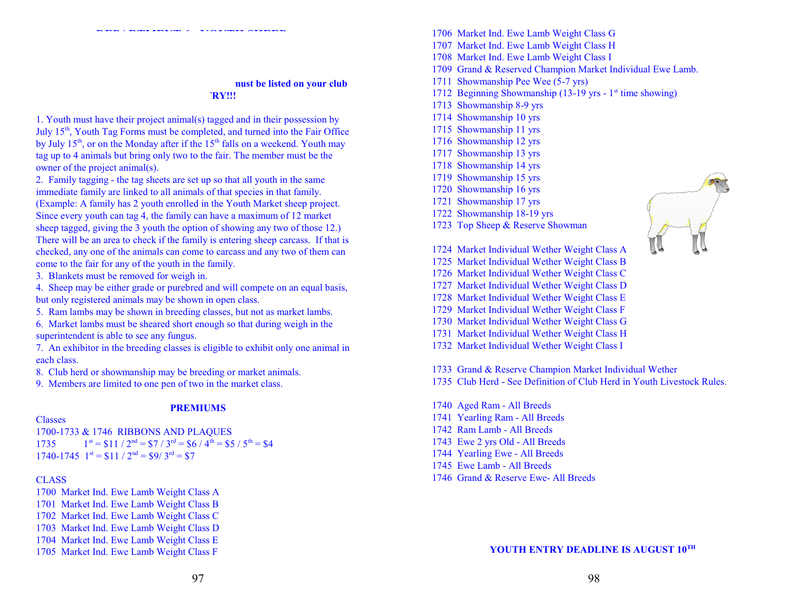#### **nust be listed on your club**  $"RY!!!$

1. Youth must have their project animal(s) tagged and in their possession by July 15<sup>th</sup>, Youth Tag Forms must be completed, and turned into the Fair Office by July 15<sup>th</sup>, or on the Monday after if the 15<sup>th</sup> falls on a weekend. Youth may tag up to 4 animals but bring only two to the fair. The member must be the owner of the project animal(s).

 **DEPARTMENT 6 - YOUTH SHEEP**

2. Family tagging - the tag sheets are set up so that all youth in the same immediate family are linked to all animals of that species in that family.

(Example: A family has 2 youth enrolled in the Youth Market sheep project. Since every youth can tag 4, the family can have a maximum of 12 market sheep tagged, giving the 3 youth the option of showing any two of those 12.) There will be an area to check if the family is entering sheep carcass. If that is checked, any one of the animals can come to carcass and any two of them can come to the fair for any of the youth in the family.

3. Blankets must be removed for weigh in.

4. Sheep may be either grade or purebred and will compete on an equal basis, but only registered animals may be shown in open class.

5. Ram lambs may be shown in breeding classes, but not as market lambs.

6. Market lambs must be sheared short enough so that during weigh in the superintendent is able to see any fungus.

7. An exhibitor in the breeding classes is eligible to exhibit only one animal in each class.

8. Club herd or showmanship may be breeding or market animals.

9. Members are limited to one pen of two in the market class.

#### **PREMIUMS**

#### Classes

1700-1733 & 1746 RIBBONS AND PLAQUES  $1735$  $= $11 / 2<sup>nd</sup> = $7 / 3<sup>rd</sup> = $6 / 4<sup>th</sup> = $5 / 5<sup>th</sup> = $4$  $1740-1745$   $1^{st} = $11 / 2^{nd} = $9 / 3^{rd} = $7$ 

#### **CLASS**

1700 Market Ind. Ewe Lamb Weight Class A 1701 Market Ind. Ewe Lamb Weight Class B 1702 Market Ind. Ewe Lamb Weight Class C 1703 Market Ind. Ewe Lamb Weight Class D 1704 Market Ind. Ewe Lamb Weight Class E 1705 Market Ind. Ewe Lamb Weight Class F

- 1706 Market Ind. Ewe Lamb Weight Class G
- 1707 Market Ind. Ewe Lamb Weight Class H
- 1708 Market Ind. Ewe Lamb Weight Class I
- 1709 Grand & Reserved Champion Market Individual Ewe Lamb.
- 1711 Showmanship Pee Wee (5-7 yrs)
- 1712 Beginning Showmanship (13-19 yrs 1<sup>st</sup> time showing)
- 1713 Showmanship 8-9 yrs
- 1714 Showmanship 10 yrs
- 1715 Showmanship 11 yrs
- 1716 Showmanship 12 yrs
- 1717 Showmanship 13 yrs
- 1718 Showmanship 14 yrs
- 1719 Showmanship 15 yrs
- 1720 Showmanship 16 yrs
- 1721 Showmanship 17 yrs
- 1722 Showmanship 18-19 yrs
- 1723 Top Sheep & Reserve Showman
- 1724 Market Individual Wether Weight Class A
- 1725 Market Individual Wether Weight Class B
- 1726 Market Individual Wether Weight Class C
- 1727 Market Individual Wether Weight Class D
- 1728 Market Individual Wether Weight Class E
- 1729 Market Individual Wether Weight Class F
- 1730 Market Individual Wether Weight Class G
- 1731 Market Individual Wether Weight Class H
- 1732 Market Individual Wether Weight Class I
- 1733 Grand & Reserve Champion Market Individual Wether
- 1735 Club Herd See Definition of Club Herd in Youth Livestock Rules.
- 1740 Aged Ram All Breeds
- 1741 Yearling Ram All Breeds
- 1742 Ram Lamb All Breeds
- 1743 Ewe 2 yrs Old All Breeds
- 1744 Yearling Ewe All Breeds
- 1745 Ewe Lamb All Breeds
- 1746 Grand & Reserve Ewe- All Breeds



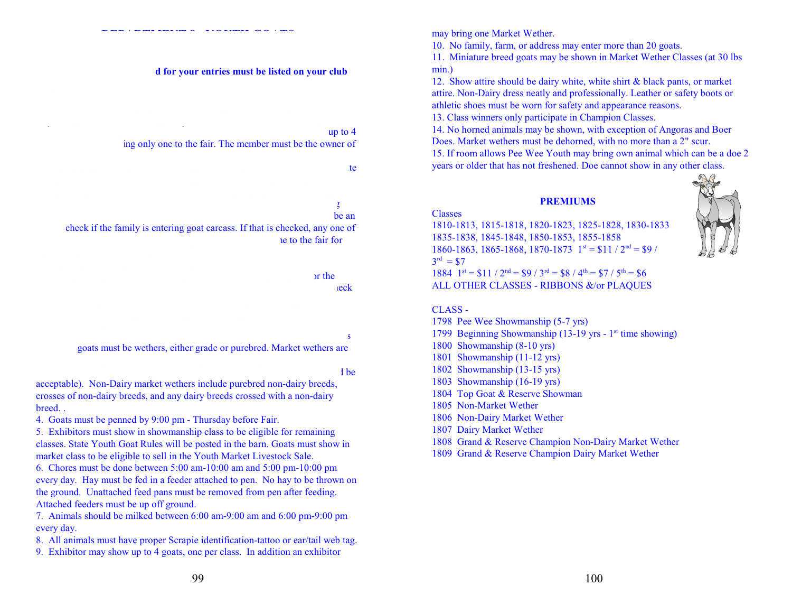**DEPARTMENT 8 - YOUTH GOATS**

#### **The definition of the isted on your club**

#### up to  $4$

ing only one to the fair. The member must be the owner of

# each of the 3 youth the 3 youth the 3 youth the 3 youth the 3 youth the 3 youth the 3 youth those 12.

## check if the family is entering goat carcass. If that is checked, any one of ne to the fair for

 $\mathbf{r}$  are the used tag to the used tag to the used tag to identify the goat for the goat for the goat for the goat for the goat for the goat for the goat for the goat for the goat for the goat for the goat for the goat and the put on a collar and trucking. This tag needs to be put on a collar around the goats neck

#### $2.5$ 3. Market goats must be wethers, either grade or purebred. Market wethers are

# $10<sub>0</sub>$

acceptable). Non-Dairy market wethers include purebred non-dairy breeds, crosses of non-dairy breeds, and any dairy breeds crossed with a non-dairy breed. .

4. Goats must be penned by 9:00 pm - Thursday before Fair.

5. Exhibitors must show in showmanship class to be eligible for remaining classes. State Youth Goat Rules will be posted in the barn. Goats must show in market class to be eligible to sell in the Youth Market Livestock Sale.

6. Chores must be done between 5:00 am-10:00 am and 5:00 pm-10:00 pm every day. Hay must be fed in a feeder attached to pen. No hay to be thrown on the ground. Unattached feed pans must be removed from pen after feeding. Attached feeders must be up off ground.

7. Animals should be milked between 6:00 am-9:00 am and 6:00 pm-9:00 pm every day.

- 8. All animals must have proper Scrapie identification-tattoo or ear/tail web tag.
- 9. Exhibitor may show up to 4 goats, one per class. In addition an exhibitor

may bring one Market Wether.

10. No family, farm, or address may enter more than 20 goats.

11. Miniature breed goats may be shown in Market Wether Classes (at 30 lbs min.)

12. Show attire should be dairy white, white shirt & black pants, or market attire. Non-Dairy dress neatly and professionally. Leather or safety boots or athletic shoes must be worn for safety and appearance reasons.

13. Class winners only participate in Champion Classes.

14. No horned animals may be shown, with exception of Angoras and Boer Does. Market wethers must be dehorned, with no more than a 2" scur. 15. If room allows Pee Wee Youth may bring own animal which can be a doe 2 years or older that has not freshened. Doe cannot show in any other class.

#### **PREMIUMS**

#### Classes

1810-1813, 1815-1818, 1820-1823, 1825-1828, 1830-1833 1835-1838, 1845-1848, 1850-1853, 1855-1858 1860-1863, 1865-1868, 1870-1873  $1^{st} = $11 / 2^{nd} = $9 / 10^{nd}$  $3^{rd} = $7$ 1884  $1^{st} = $11 / 2^{nd} = $9 / 3^{rd} = $8 / 4^{th} = $7 / 5^{th} = $6$ 

ALL OTHER CLASSES - RIBBONS &/or PLAQUES

#### CLASS -

- 1798 Pee Wee Showmanship (5-7 yrs)
- 1799 Beginning Showmanship (13-19 yrs 1<sup>st</sup> time showing)
- 1800 Showmanship (8-10 yrs)
- 1801 Showmanship (11-12 yrs)
- 1802 Showmanship (13-15 yrs)
- 1803 Showmanship (16-19 yrs)
- 1804 Top Goat & Reserve Showman
- 1805 Non-Market Wether
- 1806 Non-Dairy Market Wether
- 1807 Dairy Market Wether
- 1808 Grand & Reserve Champion Non-Dairy Market Wether

1809 Grand & Reserve Champion Dairy Market Wether

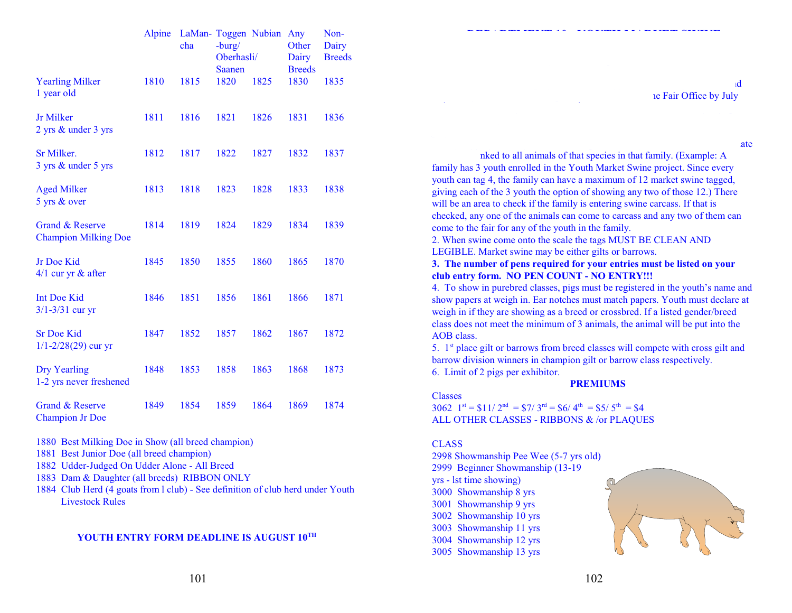|                                                      | Alpine | cha  | LaMan- Toggen Nubian<br>$-burg/$<br>Oberhasli/<br><b>Saanen</b> |      | Any<br>Other<br>Dairy<br><b>Breeds</b> | Non-<br>Dairy<br><b>Breeds</b> |
|------------------------------------------------------|--------|------|-----------------------------------------------------------------|------|----------------------------------------|--------------------------------|
| <b>Yearling Milker</b><br>1 year old                 | 1810   | 1815 | 1820                                                            | 1825 | 1830                                   | 1835                           |
| Jr Milker<br>2 yrs & under 3 yrs                     | 1811   | 1816 | 1821                                                            | 1826 | 1831                                   | 1836                           |
| Sr Milker.<br>3 yrs & under 5 yrs                    | 1812   | 1817 | 1822                                                            | 1827 | 1832                                   | 1837                           |
| <b>Aged Milker</b><br>5 yrs & over                   | 1813   | 1818 | 1823                                                            | 1828 | 1833                                   | 1838                           |
| Grand & Reserve<br><b>Champion Milking Doe</b>       | 1814   | 1819 | 1824                                                            | 1829 | 1834                                   | 1839                           |
| Jr Doe Kid<br>$4/1$ cur yr $&$ after                 | 1845   | 1850 | 1855                                                            | 1860 | 1865                                   | 1870                           |
| Int Doe Kid<br>$3/1 - 3/31$ cur yr                   | 1846   | 1851 | 1856                                                            | 1861 | 1866                                   | 1871                           |
| <b>Sr Doe Kid</b><br>$1/1 - 2/28(29)$ cur yr         | 1847   | 1852 | 1857                                                            | 1862 | 1867                                   | 1872                           |
| <b>Dry Yearling</b><br>1-2 yrs never freshened       | 1848   | 1853 | 1858                                                            | 1863 | 1868                                   | 1873                           |
| <b>Grand &amp; Reserve</b><br><b>Champion Jr Doe</b> | 1849   | 1854 | 1859                                                            | 1864 | 1869                                   | 1874                           |

1880 Best Milking Doe in Show (all breed champion)

- 1881 Best Junior Doe (all breed champion)
- 1882 Udder-Judged On Udder Alone All Breed
- 1883 Dam & Daughter (all breeds) RIBBON ONLY
- 1884 Club Herd (4 goats from l club) See definition of club herd under Youth Livestock Rules

#### **YOUTH ENTRY FORM DEADLINE IS AUGUST 10 TH**

**1. Youth** must have their project animal(s) tagged and in their possession and ne Fair Office by July

 $\mathbf{r}$  tagging  $\mathbf{r}$  tagging  $\mathbf{r}$  that all youth in the same immediate

harmonical animals of that species in that family. (Example: A family has 3 youth enrolled in the Youth Market Swine project. Since every youth can tag 4, the family can have a maximum of 12 market swine tagged, giving each of the 3 youth the option of showing any two of those 12.) There will be an area to check if the family is entering swine carcass. If that is checked, any one of the animals can come to carcass and any two of them can come to the fair for any of the youth in the family. 2. When swine come onto the scale the tags MUST BE CLEAN AND LEGIBLE. Market swine may be either gilts or barrows.

**DEPARTMENT 10 - YOUTH MARKET SWINE**

**3. The number of pens required for your entries must be listed on your club entry form. NO PEN COUNT - NO ENTRY!!!**

4. To show in purebred classes, pigs must be registered in the youth's name and show papers at weigh in. Ear notches must match papers. Youth must declare at weigh in if they are showing as a breed or crossbred. If a listed gender/breed class does not meet the minimum of 3 animals, the animal will be put into the AOB class.

5. 1<sup>st</sup> place gilt or barrows from breed classes will compete with cross gilt and barrow division winners in champion gilt or barrow class respectively. 6. Limit of 2 pigs per exhibitor.

**PREMIUMS**

Classes 3062  $1^{st} = $11/2^{nd} = $7/3^{rd} = $6/4^{th} = $5/5^{th} = $4$ ALL OTHER CLASSES - RIBBONS & /or PLAQUES

#### CLASS

2998 Showmanship Pee Wee (5-7 yrs old) 2999 Beginner Showmanship (13-19 yrs - lst time showing) 3000 Showmanship 8 yrs 3001 Showmanship 9 yrs 3002 Showmanship 10 yrs 3003 Showmanship 11 yrs 3004 Showmanship 12 yrs 3005 Showmanship 13 yrs

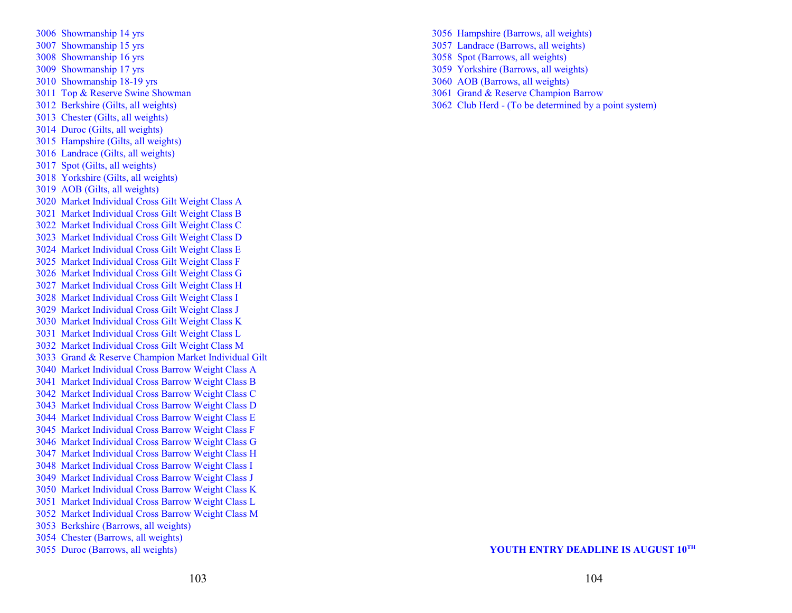3006 Showmanship 14 yrs 3007 Showmanship 15 yrs 3008 Showmanship 16 yrs 3009 Showmanship 17 yrs 3010 Showmanship 18-19 yrs 3011 Top & Reserve Swine Showman 3012 Berkshire (Gilts, all weights) 3013 Chester (Gilts, all weights) 3014 Duroc (Gilts, all weights) 3015 Hampshire (Gilts, all weights) 3016 Landrace (Gilts, all weights) 3017 Spot (Gilts, all weights) 3018 Yorkshire (Gilts, all weights) 3019 AOB (Gilts, all weights) 3020 Market Individual Cross Gilt Weight Class A 3021 Market Individual Cross Gilt Weight Class B 3022 Market Individual Cross Gilt Weight Class C 3023 Market Individual Cross Gilt Weight Class D 3024 Market Individual Cross Gilt Weight Class E 3025 Market Individual Cross Gilt Weight Class F 3026 Market Individual Cross Gilt Weight Class G 3027 Market Individual Cross Gilt Weight Class H 3028 Market Individual Cross Gilt Weight Class I 3029 Market Individual Cross Gilt Weight Class J 3030 Market Individual Cross Gilt Weight Class K 3031 Market Individual Cross Gilt Weight Class L 3032 Market Individual Cross Gilt Weight Class M 3033 Grand & Reserve Champion Market Individual Gilt 3040 Market Individual Cross Barrow Weight Class A 3041 Market Individual Cross Barrow Weight Class B 3042 Market Individual Cross Barrow Weight Class C 3043 Market Individual Cross Barrow Weight Class D 3044 Market Individual Cross Barrow Weight Class E 3045 Market Individual Cross Barrow Weight Class F 3046 Market Individual Cross Barrow Weight Class G 3047 Market Individual Cross Barrow Weight Class H 3048 Market Individual Cross Barrow Weight Class I 3049 Market Individual Cross Barrow Weight Class J 3050 Market Individual Cross Barrow Weight Class K 3051 Market Individual Cross Barrow Weight Class L 3052 Market Individual Cross Barrow Weight Class M 3053 Berkshire (Barrows, all weights) 3054 Chester (Barrows, all weights) 3055 Duroc (Barrows, all weights)

3056 Hampshire (Barrows, all weights) 3057 Landrace (Barrows, all weights) 3058 Spot (Barrows, all weights) 3059 Yorkshire (Barrows, all weights) 3060 AOB (Barrows, all weights) 3061 Grand & Reserve Champion Barrow 3062 Club Herd - (To be determined by a point system)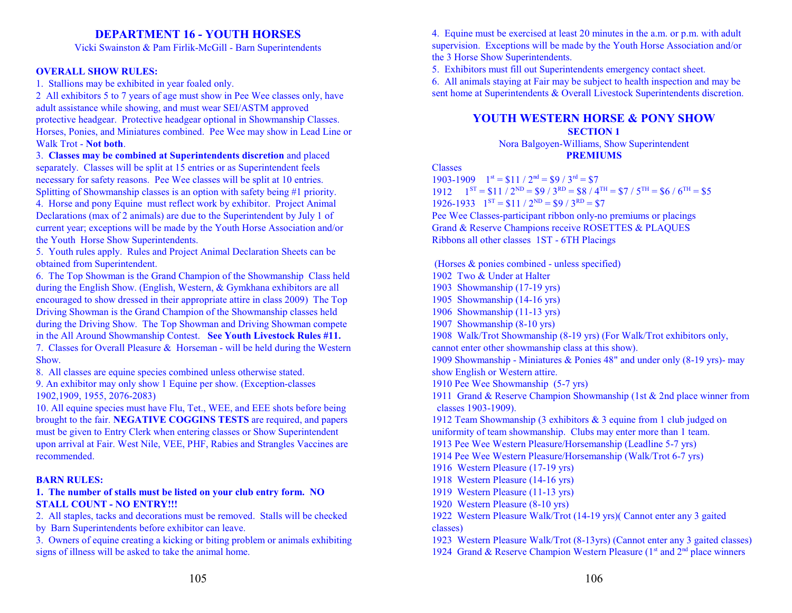# **DEPARTMENT 16 - YOUTH HORSES**

Vicki Swainston & Pam Firlik-McGill - Barn Superintendents

#### **OVERALL SHOW RULES:**

1. Stallions may be exhibited in year foaled only.

2 All exhibitors 5 to 7 years of age must show in Pee Wee classes only, have adult assistance while showing, and must wear SEI/ASTM approved protective headgear. Protective headgear optional in Showmanship Classes. Horses, Ponies, and Miniatures combined. Pee Wee may show in Lead Line or Walk Trot - **Not both**.

3. **Classes may be combined at Superintendents discretion** and placed separately. Classes will be split at 15 entries or as Superintendent feels necessary for safety reasons. Pee Wee classes will be split at 10 entries.

Splitting of Showmanship classes is an option with safety being #1 priority. 4. Horse and pony Equine must reflect work by exhibitor. Project Animal Declarations (max of 2 animals) are due to the Superintendent by July 1 of current year; exceptions will be made by the Youth Horse Association and/or the Youth Horse Show Superintendents.

5. Youth rules apply. Rules and Project Animal Declaration Sheets can be obtained from Superintendent.

6. The Top Showman is the Grand Champion of the Showmanship Class held during the English Show. (English, Western, & Gymkhana exhibitors are all encouraged to show dressed in their appropriate attire in class 2009) The Top Driving Showman is the Grand Champion of the Showmanship classes held during the Driving Show. The Top Showman and Driving Showman compete in the All Around Showmanship Contest. **See Youth Livestock Rules #11.**

7. Classes for Overall Pleasure & Horseman - will be held during the Western Show.

8. All classes are equine species combined unless otherwise stated.

9. An exhibitor may only show 1 Equine per show. (Exception-classes 1902,1909, 1955, 2076-2083)

10. All equine species must have Flu, Tet., WEE, and EEE shots before being brought to the fair. **NEGATIVE COGGINS TESTS** are required, and papers must be given to Entry Clerk when entering classes or Show Superintendent upon arrival at Fair. West Nile, VEE, PHF, Rabies and Strangles Vaccines are recommended.

#### **BARN RULES:**

#### **1. The number of stalls must be listed on your club entry form. NO STALL COUNT - NO ENTRY!!!**

2. All staples, tacks and decorations must be removed. Stalls will be checked by Barn Superintendents before exhibitor can leave.

3. Owners of equine creating a kicking or biting problem or animals exhibiting signs of illness will be asked to take the animal home.

4. Equine must be exercised at least 20 minutes in the a.m. or p.m. with adult supervision. Exceptions will be made by the Youth Horse Association and/or the 3 Horse Show Superintendents.

5. Exhibitors must fill out Superintendents emergency contact sheet.

6. All animals staying at Fair may be subject to health inspection and may be sent home at Superintendents & Overall Livestock Superintendents discretion.

#### **YOUTH WESTERN HORSE & PONY SHOW SECTION 1**

Nora Balgoyen-Williams, Show Superintendent **PREMIUMS**

Classes

1903-1909  $1^{st} = $11 / 2^{nd} = $9 / 3^{rd} = $7$ 1912  $1^{ST} = $11 / 2^{ND} = $9 / 3^{RD} = $8 / 4^{TH} = $7 / 5^{TH} = $6 / 6^{TH} = $5$ 1926-1933  $1^{ST} = $11 / 2^{ND} = $9 / 3^{RD} = $7$ Pee Wee Classes-participant ribbon only-no premiums or placings

Grand & Reserve Champions receive ROSETTES & PLAQUES Ribbons all other classes 1ST - 6TH Placings

 (Horses & ponies combined - unless specified) 1902 Two & Under at Halter 1903 Showmanship (17-19 yrs) 1905 Showmanship (14-16 yrs) 1906 Showmanship (11-13 yrs) 1907 Showmanship (8-10 yrs) 1908 Walk/Trot Showmanship (8-19 yrs) (For Walk/Trot exhibitors only, cannot enter other showmanship class at this show). 1909 Showmanship - Miniatures & Ponies 48" and under only (8-19 yrs)- may show English or Western attire. 1910 Pee Wee Showmanship (5-7 yrs) 1911 Grand & Reserve Champion Showmanship (1st & 2nd place winner from classes 1903-1909). 1912 Team Showmanship (3 exhibitors & 3 equine from 1 club judged on uniformity of team showmanship. Clubs may enter more than 1 team. 1913 Pee Wee Western Pleasure/Horsemanship (Leadline 5-7 yrs) 1914 Pee Wee Western Pleasure/Horsemanship (Walk/Trot 6-7 yrs) 1916 Western Pleasure (17-19 yrs) 1918 Western Pleasure (14-16 yrs) 1919 Western Pleasure (11-13 yrs) 1920 Western Pleasure (8-10 yrs) 1922 Western Pleasure Walk/Trot (14-19 yrs)( Cannot enter any 3 gaited classes) 1923 Western Pleasure Walk/Trot (8-13yrs) (Cannot enter any 3 gaited classes) 1924 Grand & Reserve Champion Western Pleasure (1<sup>st</sup> and 2<sup>nd</sup> place winners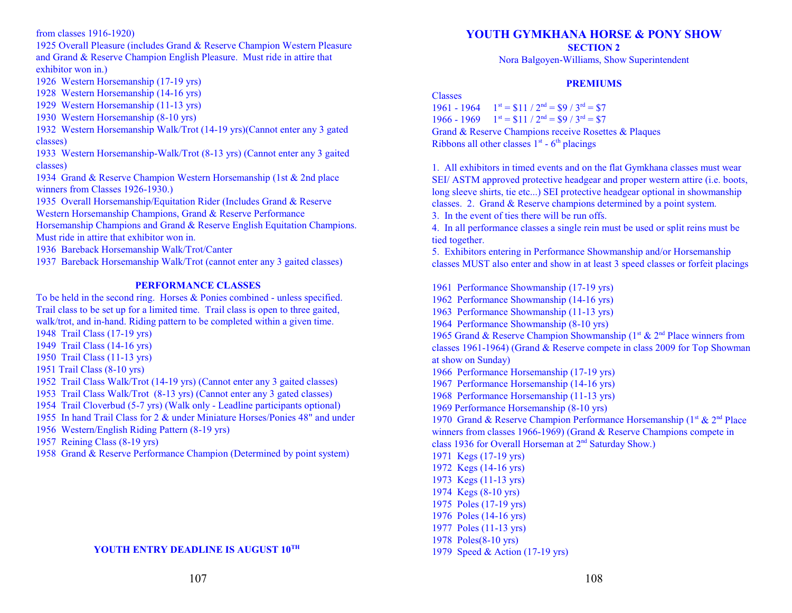from classes 1916-1920)

1925 Overall Pleasure (includes Grand & Reserve Champion Western Pleasure and Grand & Reserve Champion English Pleasure. Must ride in attire that exhibitor won in.)

1926 Western Horsemanship (17-19 yrs)

- 1928 Western Horsemanship (14-16 yrs)
- 1929 Western Horsemanship (11-13 yrs)
- 1930 Western Horsemanship (8-10 yrs)

1932 Western Horsemanship Walk/Trot (14-19 yrs)(Cannot enter any 3 gated classes)

1933 Western Horsemanship-Walk/Trot (8-13 yrs) (Cannot enter any 3 gaited classes)

1934 Grand & Reserve Champion Western Horsemanship (1st & 2nd place winners from Classes 1926-1930.)

1935 Overall Horsemanship/Equitation Rider (Includes Grand & Reserve

Western Horsemanship Champions, Grand & Reserve Performance

Horsemanship Champions and Grand & Reserve English Equitation Champions. Must ride in attire that exhibitor won in.

1936 Bareback Horsemanship Walk/Trot/Canter

1937 Bareback Horsemanship Walk/Trot (cannot enter any 3 gaited classes)

#### **PERFORMANCE CLASSES**

To be held in the second ring. Horses & Ponies combined - unless specified. Trail class to be set up for a limited time. Trail class is open to three gaited, walk/trot, and in-hand. Riding pattern to be completed within a given time.

- 1948 Trail Class (17-19 yrs)
- 1949 Trail Class (14-16 yrs)
- 1950 Trail Class (11-13 yrs)
- 1951 Trail Class (8-10 yrs)
- 1952 Trail Class Walk/Trot (14-19 yrs) (Cannot enter any 3 gaited classes)

1953 Trail Class Walk/Trot (8-13 yrs) (Cannot enter any 3 gated classes)

1954 Trail Cloverbud (5-7 yrs) (Walk only - Leadline participants optional)

1955 In hand Trail Class for 2 & under Miniature Horses/Ponies 48" and under

- 1956 Western/English Riding Pattern (8-19 yrs)
- 1957 Reining Class (8-19 yrs)
- 1958 Grand & Reserve Performance Champion (Determined by point system)

#### **YOUTH ENTRY DEADLINE IS AUGUST 10 TH**

# **YOUTH GYMKHANA HORSE & PONY SHOW**

**SECTION 2**

Nora Balgoyen-Williams, Show Superintendent

#### **PREMIUMS**

Classes

1961 - 1964  $1^{st} = $11 / 2^{nd} = $9 / 3^{rd} = $7$ 1966 - 1969  $1^{st} = $11 / 2^{nd} = $9 / 3^{rd} = $7$ Grand & Reserve Champions receive Rosettes & Plaques Ribbons all other classes  $1<sup>st</sup>$  -  $6<sup>th</sup>$  placings

1. All exhibitors in timed events and on the flat Gymkhana classes must wear SEI/ ASTM approved protective headgear and proper western attire (i.e. boots, long sleeve shirts, tie etc...) SEI protective headgear optional in showmanship classes. 2. Grand & Reserve champions determined by a point system.

3. In the event of ties there will be run offs.

4. In all performance classes a single rein must be used or split reins must be tied together.

5. Exhibitors entering in Performance Showmanship and/or Horsemanship classes MUST also enter and show in at least 3 speed classes or forfeit placings

1961 Performance Showmanship (17-19 yrs) 1962 Performance Showmanship (14-16 yrs) 1963 Performance Showmanship (11-13 yrs) 1964 Performance Showmanship (8-10 yrs) 1965 Grand & Reserve Champion Showmanship ( $1<sup>st</sup>$  &  $2<sup>nd</sup>$  Place winners from classes 1961-1964) (Grand & Reserve compete in class 2009 for Top Showman at show on Sunday) 1966 Performance Horsemanship (17-19 yrs) 1967 Performance Horsemanship (14-16 yrs) 1968 Performance Horsemanship (11-13 yrs) 1969 Performance Horsemanship (8-10 yrs) 1970 Grand & Reserve Champion Performance Horsemanship ( $1<sup>st</sup>$  &  $2<sup>nd</sup>$  Place winners from classes 1966-1969) (Grand & Reserve Champions compete in class 1936 for Overall Horseman at 2<sup>nd</sup> Saturday Show.) 1971 Kegs (17-19 yrs) 1972 Kegs (14-16 yrs) 1973 Kegs (11-13 yrs) 1974 Kegs (8-10 yrs) 1975 Poles (17-19 yrs) 1976 Poles (14-16 yrs) 1977 Poles (11-13 yrs)

1978 Poles(8-10 yrs)

1979 Speed & Action (17-19 yrs)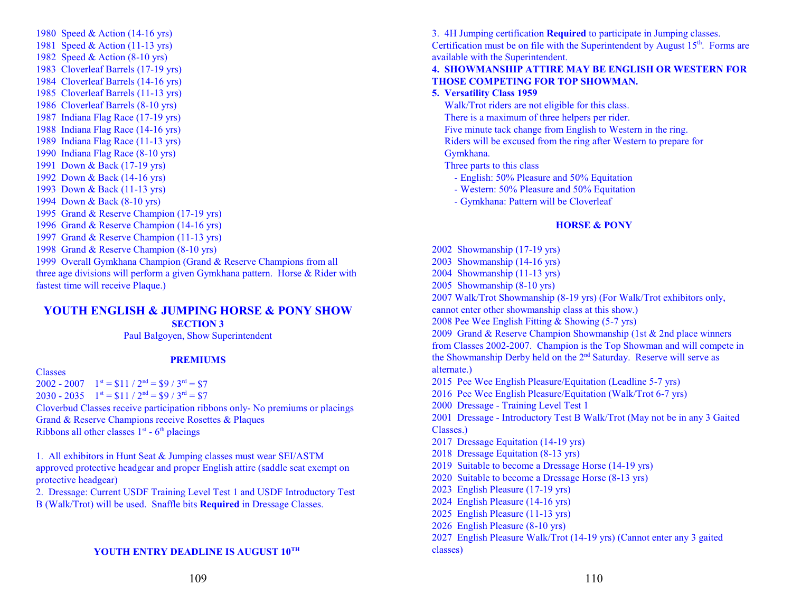1980 Speed & Action (14-16 yrs) 1981 Speed & Action (11-13 yrs) 1982 Speed & Action (8-10 yrs) 1983 Cloverleaf Barrels (17-19 yrs) 1984 Cloverleaf Barrels (14-16 yrs) 1985 Cloverleaf Barrels (11-13 yrs) 1986 Cloverleaf Barrels (8-10 yrs) 1987 Indiana Flag Race (17-19 yrs) 1988 Indiana Flag Race (14-16 yrs) 1989 Indiana Flag Race (11-13 yrs) 1990 Indiana Flag Race (8-10 yrs) 1991 Down & Back (17-19 yrs) 1992 Down & Back (14-16 yrs) 1993 Down & Back (11-13 yrs) 1994 Down & Back (8-10 yrs) 1995 Grand & Reserve Champion (17-19 yrs) 1996 Grand & Reserve Champion (14-16 yrs) 1997 Grand & Reserve Champion (11-13 yrs) 1998 Grand & Reserve Champion (8-10 yrs) 1999 Overall Gymkhana Champion (Grand & Reserve Champions from all three age divisions will perform a given Gymkhana pattern. Horse & Rider with fastest time will receive Plaque.)

# **YOUTH ENGLISH & JUMPING HORSE & PONY SHOW**

**SECTION 3**

Paul Balgoyen, Show Superintendent

#### **PREMIUMS**

Classes

 $2002 - 2007$   $1^{st} = $11 / 2^{nd} = $9 / 3^{rd} = $7$ 2030 - 2035  $1^{st} = $11 / 2^{nd} = $9 / 3^{rd} = $7$ Cloverbud Classes receive participation ribbons only- No premiums or placings Grand & Reserve Champions receive Rosettes & Plaques Ribbons all other classes  $1<sup>st</sup>$  -  $6<sup>th</sup>$  placings

1. All exhibitors in Hunt Seat & Jumping classes must wear SEI/ASTM approved protective headgear and proper English attire (saddle seat exempt on protective headgear)

2. Dressage: Current USDF Training Level Test 1 and USDF Introductory Test B (Walk/Trot) will be used. Snaffle bits **Required** in Dressage Classes.

#### **YOUTH ENTRY DEADLINE IS AUGUST 10 TH**

3. 4H Jumping certification **Required** to participate in Jumping classes.

Certification must be on file with the Superintendent by August  $15<sup>th</sup>$ . Forms are available with the Superintendent.

#### **4. SHOWMANSHIP ATTIRE MAY BE ENGLISH OR WESTERN FOR THOSE COMPETING FOR TOP SHOWMAN.**

#### **5. Versatility Class 1959**

Walk/Trot riders are not eligible for this class.

- There is a maximum of three helpers per rider.
- Five minute tack change from English to Western in the ring.

 Riders will be excused from the ring after Western to prepare for Gymkhana.

Three parts to this class

- English: 50% Pleasure and 50% Equitation
- Western: 50% Pleasure and 50% Equitation
- Gymkhana: Pattern will be Cloverleaf

#### **HORSE & PONY**

2002 Showmanship (17-19 yrs) 2003 Showmanship (14-16 yrs) 2004 Showmanship (11-13 yrs) 2005 Showmanship (8-10 yrs) 2007 Walk/Trot Showmanship (8-19 yrs) (For Walk/Trot exhibitors only, cannot enter other showmanship class at this show.) 2008 Pee Wee English Fitting & Showing (5-7 yrs) 2009 Grand & Reserve Champion Showmanship (1st & 2nd place winners from Classes 2002-2007. Champion is the Top Showman and will compete in the Showmanship Derby held on the  $2<sup>nd</sup>$  Saturday. Reserve will serve as alternate.) 2015 Pee Wee English Pleasure/Equitation (Leadline 5-7 yrs) 2016 Pee Wee English Pleasure/Equitation (Walk/Trot 6-7 yrs) 2000 Dressage - Training Level Test 1 2001 Dressage - Introductory Test B Walk/Trot (May not be in any 3 Gaited Classes.) 2017 Dressage Equitation (14-19 yrs) 2018 Dressage Equitation (8-13 yrs) 2019 Suitable to become a Dressage Horse (14-19 yrs) 2020 Suitable to become a Dressage Horse (8-13 yrs) 2023 English Pleasure (17-19 yrs) 2024 English Pleasure (14-16 yrs) 2025 English Pleasure (11-13 yrs) 2026 English Pleasure (8-10 yrs) 2027 English Pleasure Walk/Trot (14-19 yrs) (Cannot enter any 3 gaited classes)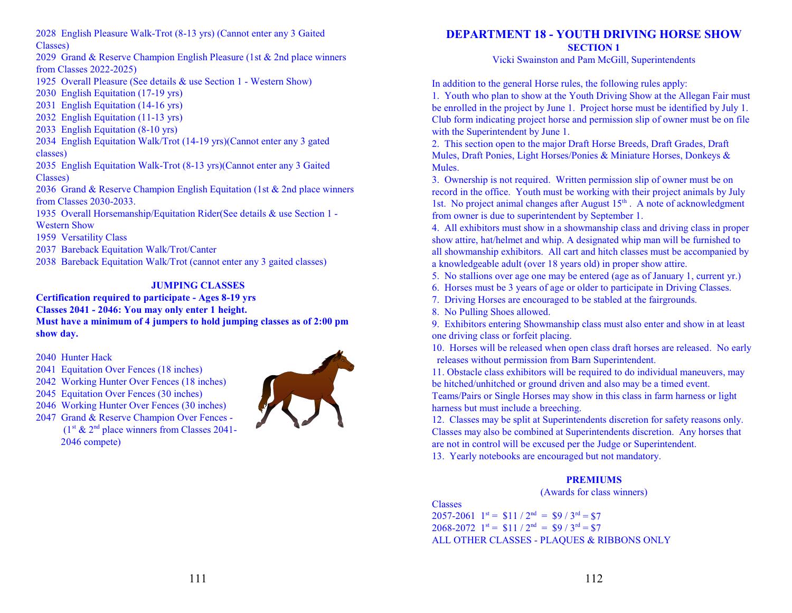2028 English Pleasure Walk-Trot (8-13 yrs) (Cannot enter any 3 Gaited Classes)

2029 Grand & Reserve Champion English Pleasure (1st & 2nd place winners from Classes 2022-2025)

- 1925 Overall Pleasure (See details & use Section 1 Western Show)
- 2030 English Equitation (17-19 yrs)
- 2031 English Equitation (14-16 yrs)
- 2032 English Equitation (11-13 yrs)
- 2033 English Equitation (8-10 yrs)

2034 English Equitation Walk/Trot (14-19 yrs)(Cannot enter any 3 gated classes)

2035 English Equitation Walk-Trot (8-13 yrs)(Cannot enter any 3 Gaited Classes)

2036 Grand & Reserve Champion English Equitation (1st & 2nd place winners from Classes 2030-2033.

- 1935 Overall Horsemanship/Equitation Rider(See details & use Section 1 Western Show
- 1959 Versatility Class

2037 Bareback Equitation Walk/Trot/Canter

2038 Bareback Equitation Walk/Trot (cannot enter any 3 gaited classes)

# **JUMPING CLASSES**

#### **Certification required to participate - Ages 8-19 yrs Classes 2041 - 2046: You may only enter 1 height. Must have a minimum of 4 jumpers to hold jumping classes as of 2:00 pm show day.**

2040 Hunter Hack

2041 Equitation Over Fences (18 inches)

2042 Working Hunter Over Fences (18 inches)

2045 Equitation Over Fences (30 inches)

2046 Working Hunter Over Fences (30 inches)

2047 Grand & Reserve Champion Over Fences -  $(1<sup>st</sup> & 2<sup>nd</sup>$  place winners from Classes 2041-2046 compete)



# **DEPARTMENT 18 - YOUTH DRIVING HORSE SHOW SECTION 1**

Vicki Swainston and Pam McGill, Superintendents

In addition to the general Horse rules, the following rules apply:

1. Youth who plan to show at the Youth Driving Show at the Allegan Fair must be enrolled in the project by June 1. Project horse must be identified by July 1. Club form indicating project horse and permission slip of owner must be on file with the Superintendent by June 1.

2. This section open to the major Draft Horse Breeds, Draft Grades, Draft Mules, Draft Ponies, Light Horses/Ponies & Miniature Horses, Donkeys & Mules.

3. Ownership is not required. Written permission slip of owner must be on record in the office. Youth must be working with their project animals by July 1st. No project animal changes after August 15<sup>th</sup>. A note of acknowledgment from owner is due to superintendent by September 1.

4. All exhibitors must show in a showmanship class and driving class in proper show attire, hat/helmet and whip. A designated whip man will be furnished to all showmanship exhibitors. All cart and hitch classes must be accompanied by a knowledgeable adult (over 18 years old) in proper show attire.

5. No stallions over age one may be entered (age as of January 1, current yr.)

- 6. Horses must be 3 years of age or older to participate in Driving Classes.
- 7. Driving Horses are encouraged to be stabled at the fairgrounds.

8. No Pulling Shoes allowed.

9. Exhibitors entering Showmanship class must also enter and show in at least one driving class or forfeit placing.

10. Horses will be released when open class draft horses are released. No early releases without permission from Barn Superintendent.

11. Obstacle class exhibitors will be required to do individual maneuvers, may be hitched/unhitched or ground driven and also may be a timed event.

Teams/Pairs or Single Horses may show in this class in farm harness or light harness but must include a breeching.

12. Classes may be split at Superintendents discretion for safety reasons only. Classes may also be combined at Superintendents discretion. Any horses that are not in control will be excused per the Judge or Superintendent. 13. Yearly notebooks are encouraged but not mandatory.

# **PREMIUMS**

(Awards for class winners)

Classes  $2057 - 2061$   $1^{st} = $11 / 2^{nd} = $9 / 3^{rd} = $7$  $2068 - 2072$  1<sup>st</sup> = \$11 / 2<sup>nd</sup> = \$9 / 3<sup>rd</sup> = \$7 ALL OTHER CLASSES - PLAQUES & RIBBONS ONLY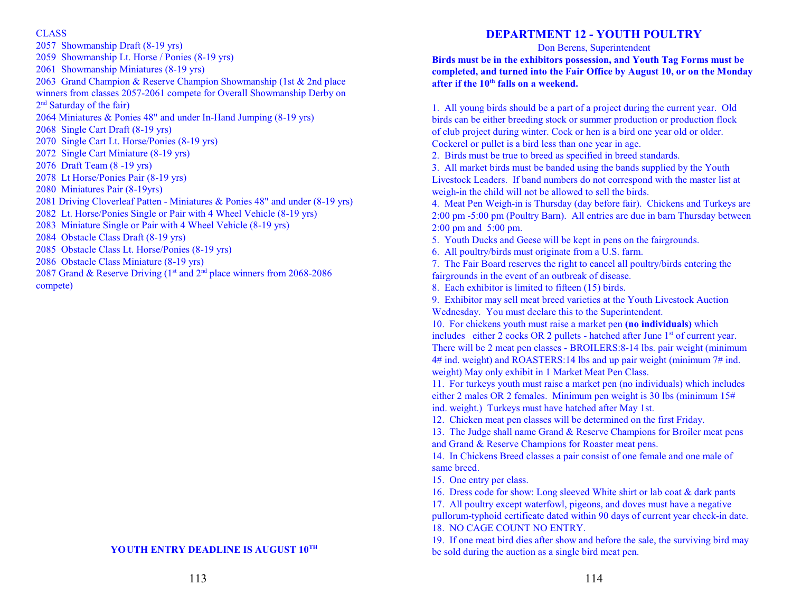#### CLASS

2057 Showmanship Draft (8-19 yrs) 2059 Showmanship Lt. Horse / Ponies (8-19 yrs) 2061 Showmanship Miniatures (8-19 yrs) 2063 Grand Champion & Reserve Champion Showmanship (1st & 2nd place winners from classes 2057-2061 compete for Overall Showmanship Derby on 2<sup>nd</sup> Saturday of the fair) 2064 Miniatures & Ponies 48" and under In-Hand Jumping (8-19 yrs) 2068 Single Cart Draft (8-19 yrs) 2070 Single Cart Lt. Horse/Ponies (8-19 yrs) 2072 Single Cart Miniature (8-19 yrs) 2076 Draft Team (8 -19 yrs) 2078 Lt Horse/Ponies Pair (8-19 yrs) 2080 Miniatures Pair (8-19yrs) 2081 Driving Cloverleaf Patten - Miniatures & Ponies 48" and under (8-19 yrs) 2082 Lt. Horse/Ponies Single or Pair with 4 Wheel Vehicle (8-19 yrs) 2083 Miniature Single or Pair with 4 Wheel Vehicle (8-19 yrs) 2084 Obstacle Class Draft (8-19 yrs) 2085 Obstacle Class Lt. Horse/Ponies (8-19 yrs) 2086 Obstacle Class Miniature (8-19 yrs) 2087 Grand & Reserve Driving ( $1<sup>st</sup>$  and  $2<sup>nd</sup>$  place winners from 2068-2086 compete)

### **YOUTH ENTRY DEADLINE IS AUGUST 10 TH**

# **DEPARTMENT 12 - YOUTH POULTRY**

#### Don Berens, Superintendent

**Birds must be in the exhibitors possession, and Youth Tag Forms must be completed, and turned into the Fair Office by August 10, or on the Monday** after if the 10<sup>th</sup> falls on a weekend.

1. All young birds should be a part of a project during the current year. Old birds can be either breeding stock or summer production or production flock of club project during winter. Cock or hen is a bird one year old or older. Cockerel or pullet is a bird less than one year in age.

2. Birds must be true to breed as specified in breed standards.

3. All market birds must be banded using the bands supplied by the Youth Livestock Leaders. If band numbers do not correspond with the master list at weigh-in the child will not be allowed to sell the birds.

4. Meat Pen Weigh-in is Thursday (day before fair). Chickens and Turkeys are 2:00 pm -5:00 pm (Poultry Barn). All entries are due in barn Thursday between 2:00 pm and 5:00 pm.

5. Youth Ducks and Geese will be kept in pens on the fairgrounds.

6. All poultry/birds must originate from a U.S. farm.

7. The Fair Board reserves the right to cancel all poultry/birds entering the fairgrounds in the event of an outbreak of disease.

8. Each exhibitor is limited to fifteen (15) birds.

9. Exhibitor may sell meat breed varieties at the Youth Livestock Auction Wednesday. You must declare this to the Superintendent.

10. For chickens youth must raise a market pen **(no individuals)** which includes either  $2 \text{ cocks OR } 2 \text{ pullets}$  - hatched after June  $1^{\text{st}}$  of current year. There will be 2 meat pen classes - BROILERS:8-14 lbs. pair weight (minimum 4# ind. weight) and ROASTERS:14 lbs and up pair weight (minimum 7# ind. weight) May only exhibit in 1 Market Meat Pen Class.

11. For turkeys youth must raise a market pen (no individuals) which includes either 2 males OR 2 females. Minimum pen weight is 30 lbs (minimum 15# ind. weight.) Turkeys must have hatched after May 1st.

12. Chicken meat pen classes will be determined on the first Friday.

13. The Judge shall name Grand & Reserve Champions for Broiler meat pens and Grand & Reserve Champions for Roaster meat pens.

14. In Chickens Breed classes a pair consist of one female and one male of same breed.

15. One entry per class.

16. Dress code for show: Long sleeved White shirt or lab coat & dark pants

17. All poultry except waterfowl, pigeons, and doves must have a negative pullorum-typhoid certificate dated within 90 days of current year check-in date. 18. NO CAGE COUNT NO ENTRY.

19. If one meat bird dies after show and before the sale, the surviving bird may be sold during the auction as a single bird meat pen.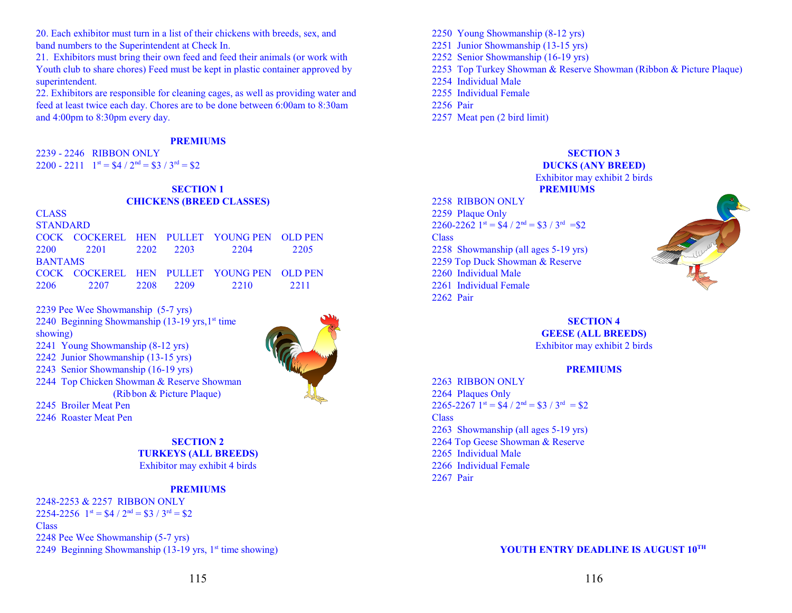20. Each exhibitor must turn in a list of their chickens with breeds, sex, and band numbers to the Superintendent at Check In.

21. Exhibitors must bring their own feed and feed their animals (or work with Youth club to share chores) Feed must be kept in plastic container approved by superintendent.

22. Exhibitors are responsible for cleaning cages, as well as providing water and feed at least twice each day. Chores are to be done between 6:00am to 8:30am and 4:00pm to 8:30pm every day.

#### **PREMIUMS**

2239 - 2246 RIBBON ONLY 2200 - 2211  $1^{st} = $4 / 2^{nd} = $3 / 3^{rd} = $2$ 

# **SECTION 1 CHICKENS (BREED CLASSES)**

| <b>CLASS</b>    |                |           |                                            |      |
|-----------------|----------------|-----------|--------------------------------------------|------|
| <b>STANDARD</b> |                |           |                                            |      |
|                 |                |           | COCK COCKEREL HEN PULLET YOUNG PEN OLD PEN |      |
| 2200            | 2201 2202 2203 |           | 2204                                       | 2205 |
| <b>BANTAMS</b>  |                |           |                                            |      |
|                 |                |           | COCK COCKEREL HEN PULLET YOUNG PEN OLD PEN |      |
| 2206            | 2207           | 2208 2209 | 2210                                       | 2211 |

2239 Pee Wee Showmanship (5-7 yrs) 2240 Beginning Showmanship (13-19 yrs, 1<sup>st</sup> time showing) 2241 Young Showmanship (8-12 yrs) 2242 Junior Showmanship (13-15 yrs) 2243 Senior Showmanship (16-19 yrs) 2244 Top Chicken Showman & Reserve Showman (Ribbon & Picture Plaque) 2245 Broiler Meat Pen 2246 Roaster Meat Pen



#### **SECTION 2 TURKEYS (ALL BREEDS)** Exhibitor may exhibit 4 birds

#### **PREMIUMS**

2248-2253 & 2257 RIBBON ONLY 2254-2256  $1^{\text{st}} = $4 / 2^{\text{nd}} = $3 / 3^{\text{rd}} = $2$ **Class** 2248 Pee Wee Showmanship (5-7 yrs) 2249 Beginning Showmanship (13-19 yrs,  $1<sup>st</sup>$  time showing)

2250 Young Showmanship (8-12 yrs) 2251 Junior Showmanship (13-15 yrs) 2252 Senior Showmanship (16-19 yrs) 2253 Top Turkey Showman & Reserve Showman (Ribbon & Picture Plaque) 2254 Individual Male 2255 Individual Female 2256 Pair 2257 Meat pen (2 bird limit)



# Exhibitor may exhibit 2 birds

#### **PREMIUMS**

2258 RIBBON ONLY 2259 Plaque Only  $2260 - 2262$  1<sup>st</sup> = \$4 / 2<sup>nd</sup> = \$3 / 3<sup>rd</sup> = \$2 **Class** 2258 Showmanship (all ages 5-19 yrs) 2259 Top Duck Showman & Reserve 2260 Individual Male 2261 Individual Female 2262 Pair



**SECTION 4 GEESE (ALL BREEDS)** Exhibitor may exhibit 2 birds

#### **PREMIUMS**

2263 RIBBON ONLY 2264 Plaques Only  $2265 - 2267$  1<sup>st</sup> = \$4 / 2<sup>nd</sup> = \$3 / 3<sup>rd</sup> = \$2 **Class** 2263 Showmanship (all ages 5-19 yrs) 2264 Top Geese Showman & Reserve 2265 Individual Male 2266 Individual Female 2267 Pair

**YOUTH ENTRY DEADLINE IS AUGUST 10 TH**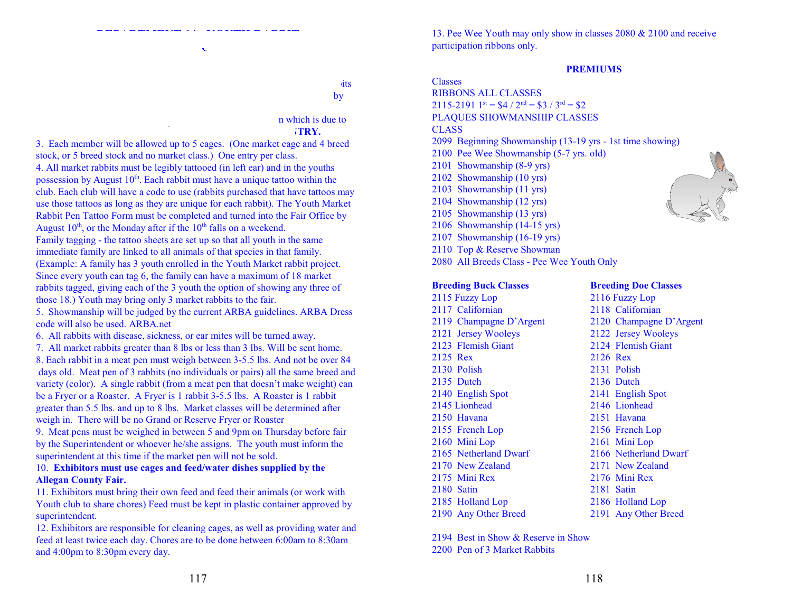1. Rabbits caged from 5:00 pm to 9:00 pm to 9:00 pm to 9:00 pm to 9:00 pm Thursday prior to the Fair. Rabbits will be released the last  $\log$ 

#### n which is due to **ITRY.**

3. Each member will be allowed up to 5 cages. (One market cage and 4 breed stock, or 5 breed stock and no market class.) One entry per class. 4. All market rabbits must be legibly tattooed (in left ear) and in the youths possession by August  $10<sup>th</sup>$ . Each rabbit must have a unique tattoo within the club. Each club will have a code to use (rabbits purchased that have tattoos may use those tattoos as long as they are unique for each rabbit). The Youth Market Rabbit Pen Tattoo Form must be completed and turned into the Fair Office by August  $10^{th}$ , or the Monday after if the  $10^{th}$  falls on a weekend. Family tagging - the tattoo sheets are set up so that all youth in the same

immediate family are linked to all animals of that species in that family. (Example: A family has 3 youth enrolled in the Youth Market rabbit project. Since every youth can tag 6, the family can have a maximum of 18 market rabbits tagged, giving each of the 3 youth the option of showing any three of those 18.) Youth may bring only 3 market rabbits to the fair.

5. Showmanship will be judged by the current ARBA guidelines. ARBA Dress code will also be used. ARBA.net

6. All rabbits with disease, sickness, or ear mites will be turned away.

7. All market rabbits greater than 8 lbs or less than 3 lbs. Will be sent home. 8. Each rabbit in a meat pen must weigh between 3-5.5 lbs. And not be over 84 days old. Meat pen of 3 rabbits (no individuals or pairs) all the same breed and variety (color). A single rabbit (from a meat pen that doesn't make weight) can be a Fryer or a Roaster. A Fryer is 1 rabbit 3-5.5 lbs. A Roaster is 1 rabbit greater than 5.5 lbs. and up to 8 lbs. Market classes will be determined after weigh in. There will be no Grand or Reserve Fryer or Roaster

9. Meat pens must be weighed in between 5 and 9pm on Thursday before fair by the Superintendent or whoever he/she assigns. The youth must inform the superintendent at this time if the market pen will not be sold.

#### 10. **Exhibitors must use cages and feed/water dishes supplied by the Allegan County Fair.**

11. Exhibitors must bring their own feed and feed their animals (or work with Youth club to share chores) Feed must be kept in plastic container approved by superintendent.

12. Exhibitors are responsible for cleaning cages, as well as providing water and feed at least twice each day. Chores are to be done between 6:00am to 8:30am and 4:00pm to 8:30pm every day.

13. Pee Wee Youth may only show in classes 2080 & 2100 and receive participation ribbons only.

#### **PREMIUMS**

Classes RIBBONS ALL CLASSES  $2115 - 2191$   $1^{st} = $4 / 2^{nd} = $3 / 3^{rd} = $2$ PLAQUES SHOWMANSHIP CLASSES CLASS 2099 Beginning Showmanship (13-19 yrs - 1st time showing) 2100 Pee Wee Showmanship (5-7 yrs. old) 2101 Showmanship (8-9 yrs) 2102 Showmanship (10 yrs) 2103 Showmanship (11 yrs) 2104 Showmanship (12 yrs) 2105 Showmanship (13 yrs) 2106 Showmanship (14-15 yrs) 2107 Showmanship (16-19 yrs) 2110 Top & Reserve Showman 2080 All Breeds Class - Pee Wee Youth Only

#### **Breeding Buck Classes Breeding Doe Classes**

2115 Fuzzy Lop 2116 Fuzzy Lop 2117 Californian 2118 Californian 2119 Champagne D'Argent 2120 Champagne D'Argent 2121 Jersey Wooleys 2122 Jersey Wooleys 2123 Flemish Giant 2124 Flemish Giant 2125 Rex 2126 Rex 2130 Polish 2131 Polish 2135 Dutch 2136 Dutch 2140 English Spot 2141 English Spot 2145 Lionhead 2146 Lionhead 2150 Havana 2151 Havana 2155 French Lop 2156 French Lop 2160 Mini Lop 2161 Mini Lop 2165 Netherland Dwarf 2166 Netherland Dwarf 2170 New Zealand 2171 New Zealand 2175 Mini Rex 2176 Mini Rex 2180 Satin 2181 Satin 2185 Holland Lop 2186 Holland Lop 2190 Any Other Breed 2191 Any Other Breed



2194 Best in Show & Reserve in Show 2200 Pen of 3 Market Rabbits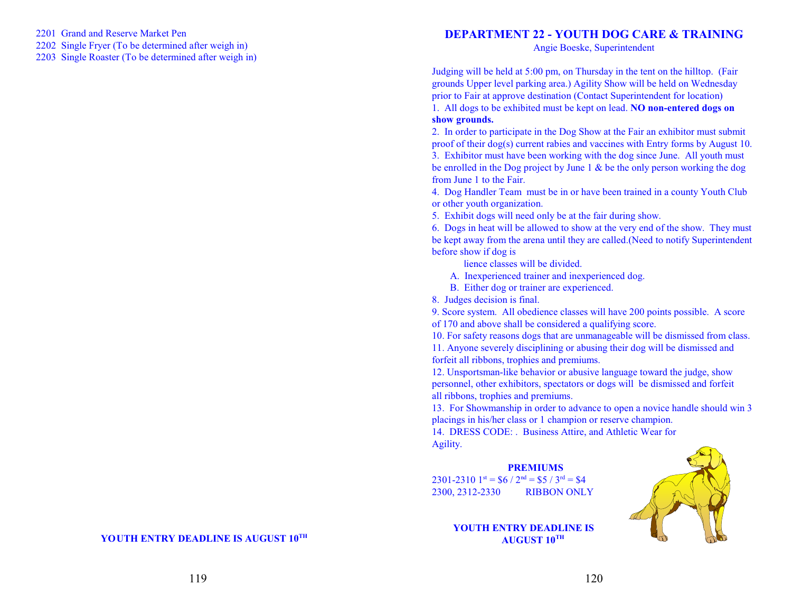2201 Grand and Reserve Market Pen

2202 Single Fryer (To be determined after weigh in)

2203 Single Roaster (To be determined after weigh in)

# **DEPARTMENT 22 - YOUTH DOG CARE & TRAINING**

Angie Boeske, Superintendent

Judging will be held at 5:00 pm, on Thursday in the tent on the hilltop. (Fair grounds Upper level parking area.) Agility Show will be held on Wednesday prior to Fair at approve destination (Contact Superintendent for location)

1. All dogs to be exhibited must be kept on lead. **NO non-entered dogs on show grounds.** 

2. In order to participate in the Dog Show at the Fair an exhibitor must submit proof of their dog(s) current rabies and vaccines with Entry forms by August 10. 3. Exhibitor must have been working with the dog since June. All youth must be enrolled in the Dog project by June 1 & be the only person working the dog from June 1 to the Fair.

4. Dog Handler Team must be in or have been trained in a county Youth Club or other youth organization.

5. Exhibit dogs will need only be at the fair during show.

6. Dogs in heat will be allowed to show at the very end of the show. They must be kept away from the arena until they are called.(Need to notify Superintendent before show if dog is

lience classes will be divided.

A. Inexperienced trainer and inexperienced dog.

B. Either dog or trainer are experienced.

8. Judges decision is final.

9. Score system. All obedience classes will have 200 points possible. A score of 170 and above shall be considered a qualifying score.

10. For safety reasons dogs that are unmanageable will be dismissed from class. 11. Anyone severely disciplining or abusing their dog will be dismissed and forfeit all ribbons, trophies and premiums.

12. Unsportsman-like behavior or abusive language toward the judge, show personnel, other exhibitors, spectators or dogs will be dismissed and forfeit all ribbons, trophies and premiums.

13. For Showmanship in order to advance to open a novice handle should win 3 placings in his/her class or 1 champion or reserve champion.

14. DRESS CODE: . Business Attire, and Athletic Wear for Agility.

#### **PREMIUMS** 2301-2310  $1^{st}$  = \$6 /  $2^{nd}$  = \$5 /  $3^{rd}$  = \$4 2300, 2312-2330 RIBBON ONLY



### **YOUTH ENTRY DEADLINE IS**  $\mathbf{A}\mathbf{U}\mathbf{G}\mathbf{U}\mathbf{S}\mathbf{T}$   $\mathbf{10}^{\text{TH}}$

119

 **YOUTH ENTRY DEADLINE IS AUGUST 10 TH**